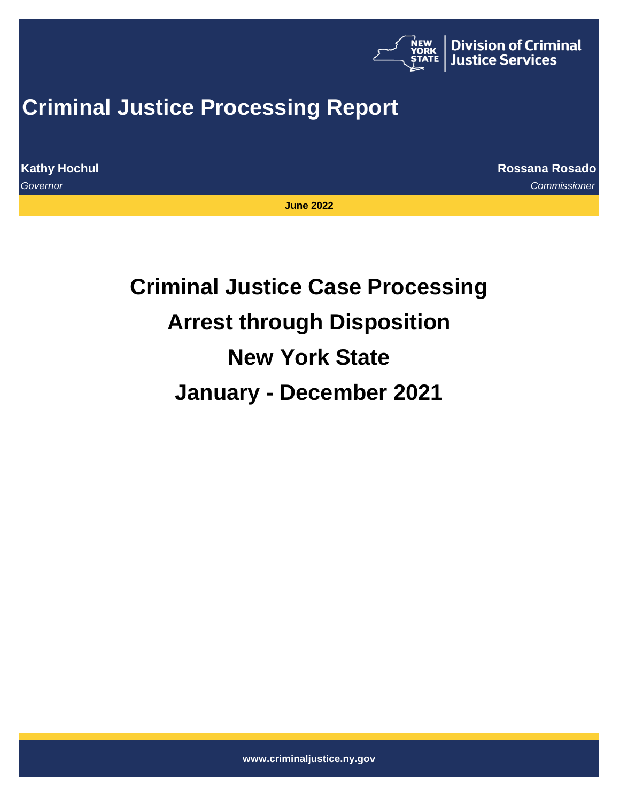

## **Criminal Justice Processing Report**

**Kathy Hochul Rossana Rosado**

*Governor Commissioner*

**June 2022**

# **Criminal Justice Case Processing Arrest through Disposition New York State January - December 2021**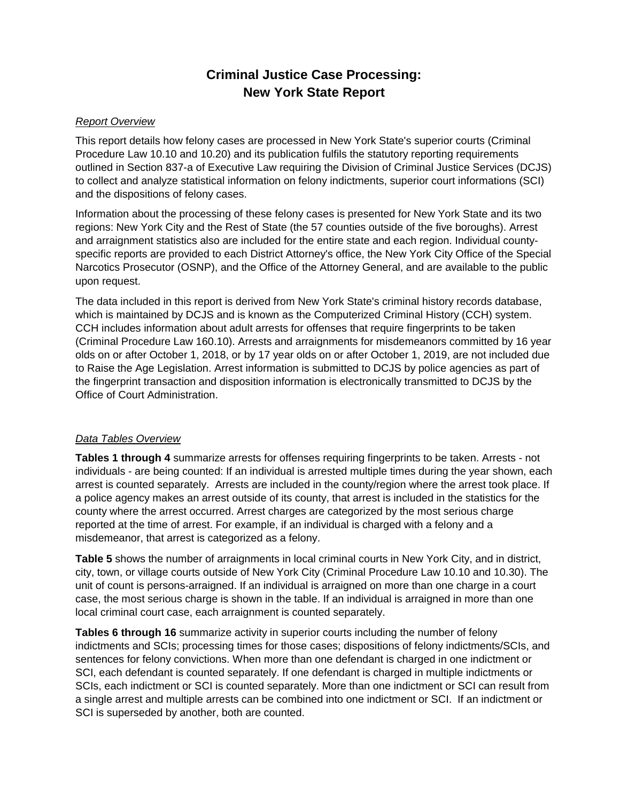## **Criminal Justice Case Processing: New York State Report**

#### *Report Overview*

This report details how felony cases are processed in New York State's superior courts (Criminal Procedure Law 10.10 and 10.20) and its publication fulfils the statutory reporting requirements outlined in Section 837-a of Executive Law requiring the Division of Criminal Justice Services (DCJS) to collect and analyze statistical information on felony indictments, superior court informations (SCI) and the dispositions of felony cases.

Information about the processing of these felony cases is presented for New York State and its two regions: New York City and the Rest of State (the 57 counties outside of the five boroughs). Arrest and arraignment statistics also are included for the entire state and each region. Individual countyspecific reports are provided to each District Attorney's office, the New York City Office of the Special Narcotics Prosecutor (OSNP), and the Office of the Attorney General, and are available to the public upon request.

The data included in this report is derived from New York State's criminal history records database, which is maintained by DCJS and is known as the Computerized Criminal History (CCH) system. CCH includes information about adult arrests for offenses that require fingerprints to be taken (Criminal Procedure Law 160.10). Arrests and arraignments for misdemeanors committed by 16 year olds on or after October 1, 2018, or by 17 year olds on or after October 1, 2019, are not included due to Raise the Age Legislation. Arrest information is submitted to DCJS by police agencies as part of the fingerprint transaction and disposition information is electronically transmitted to DCJS by the Office of Court Administration.

#### *Data Tables Overview*

**Tables 1 through 4** summarize arrests for offenses requiring fingerprints to be taken. Arrests - not individuals - are being counted: If an individual is arrested multiple times during the year shown, each arrest is counted separately. Arrests are included in the county/region where the arrest took place. If a police agency makes an arrest outside of its county, that arrest is included in the statistics for the county where the arrest occurred. Arrest charges are categorized by the most serious charge reported at the time of arrest. For example, if an individual is charged with a felony and a misdemeanor, that arrest is categorized as a felony.

**Table 5** shows the number of arraignments in local criminal courts in New York City, and in district, city, town, or village courts outside of New York City (Criminal Procedure Law 10.10 and 10.30). The unit of count is persons-arraigned. If an individual is arraigned on more than one charge in a court case, the most serious charge is shown in the table. If an individual is arraigned in more than one local criminal court case, each arraignment is counted separately.

**Tables 6 through 16** summarize activity in superior courts including the number of felony indictments and SCIs; processing times for those cases; dispositions of felony indictments/SCIs, and sentences for felony convictions. When more than one defendant is charged in one indictment or SCI, each defendant is counted separately. If one defendant is charged in multiple indictments or SCIs, each indictment or SCI is counted separately. More than one indictment or SCI can result from a single arrest and multiple arrests can be combined into one indictment or SCI. If an indictment or SCI is superseded by another, both are counted.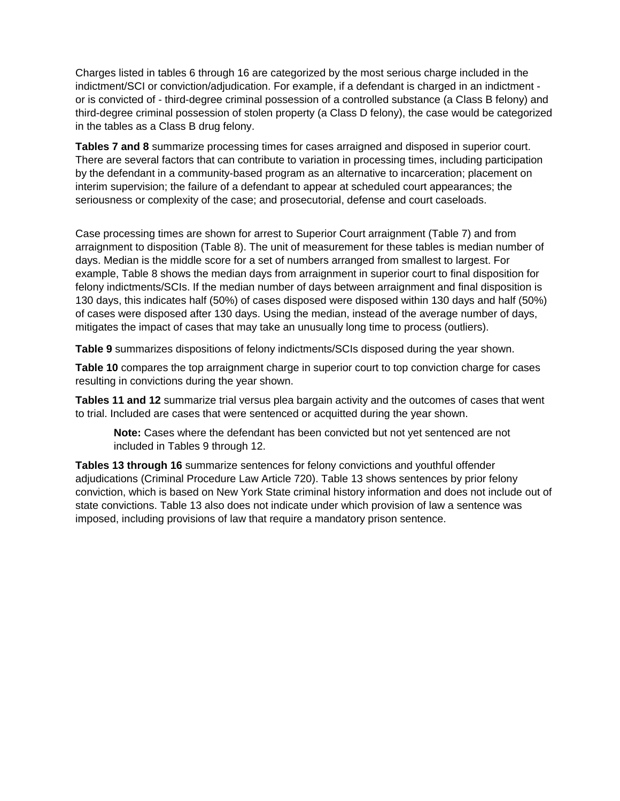Charges listed in tables 6 through 16 are categorized by the most serious charge included in the indictment/SCI or conviction/adjudication. For example, if a defendant is charged in an indictment or is convicted of - third-degree criminal possession of a controlled substance (a Class B felony) and third-degree criminal possession of stolen property (a Class D felony), the case would be categorized in the tables as a Class B drug felony.

**Tables 7 and 8** summarize processing times for cases arraigned and disposed in superior court. There are several factors that can contribute to variation in processing times, including participation by the defendant in a community-based program as an alternative to incarceration; placement on interim supervision; the failure of a defendant to appear at scheduled court appearances; the seriousness or complexity of the case; and prosecutorial, defense and court caseloads.

Case processing times are shown for arrest to Superior Court arraignment (Table 7) and from arraignment to disposition (Table 8). The unit of measurement for these tables is median number of days. Median is the middle score for a set of numbers arranged from smallest to largest. For example, Table 8 shows the median days from arraignment in superior court to final disposition for felony indictments/SCIs. If the median number of days between arraignment and final disposition is 130 days, this indicates half (50%) of cases disposed were disposed within 130 days and half (50%) of cases were disposed after 130 days. Using the median, instead of the average number of days, mitigates the impact of cases that may take an unusually long time to process (outliers).

**Table 9** summarizes dispositions of felony indictments/SCIs disposed during the year shown.

**Table 10** compares the top arraignment charge in superior court to top conviction charge for cases resulting in convictions during the year shown.

**Tables 11 and 12** summarize trial versus plea bargain activity and the outcomes of cases that went to trial. Included are cases that were sentenced or acquitted during the year shown.

**Note:** Cases where the defendant has been convicted but not yet sentenced are not included in Tables 9 through 12.

**Tables 13 through 16** summarize sentences for felony convictions and youthful offender adjudications (Criminal Procedure Law Article 720). Table 13 shows sentences by prior felony conviction, which is based on New York State criminal history information and does not include out of state convictions. Table 13 also does not indicate under which provision of law a sentence was imposed, including provisions of law that require a mandatory prison sentence.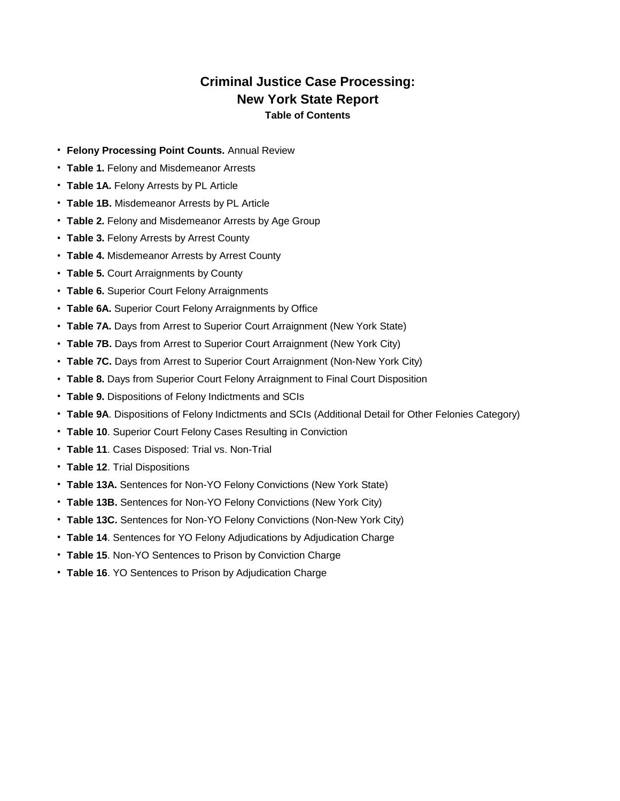#### **Criminal Justice Case Processing: New York State Report Table of Contents**

- **Felony Processing Point Counts.** Annual Review
- **Table 1.** Felony and Misdemeanor Arrests
- **Table 1A.** Felony Arrests by PL Article
- **Table 1B.** Misdemeanor Arrests by PL Article
- **Table 2.** Felony and Misdemeanor Arrests by Age Group
- **Table 3.** Felony Arrests by Arrest County
- **Table 4.** Misdemeanor Arrests by Arrest County
- **Table 5.** Court Arraignments by County
- **Table 6.** Superior Court Felony Arraignments
- **Table 6A.** Superior Court Felony Arraignments by Office
- **Table 7A.** Days from Arrest to Superior Court Arraignment (New York State)
- **Table 7B.** Days from Arrest to Superior Court Arraignment (New York City)
- **Table 7C.** Days from Arrest to Superior Court Arraignment (Non-New York City)
- **Table 8.** Days from Superior Court Felony Arraignment to Final Court Disposition
- **Table 9.** Dispositions of Felony Indictments and SCIs
- **Table 9A**. Dispositions of Felony Indictments and SCIs (Additional Detail for Other Felonies Category)
- **Table 10**. Superior Court Felony Cases Resulting in Conviction
- **Table 11**. Cases Disposed: Trial vs. Non-Trial
- **Table 12**. Trial Dispositions
- **Table 13A.** Sentences for Non-YO Felony Convictions (New York State)
- **Table 13B.** Sentences for Non-YO Felony Convictions (New York City)
- **Table 13C.** Sentences for Non-YO Felony Convictions (Non-New York City)
- **Table 14**. Sentences for YO Felony Adjudications by Adjudication Charge
- **Table 15**. Non-YO Sentences to Prison by Conviction Charge
- **Table 16**. YO Sentences to Prison by Adjudication Charge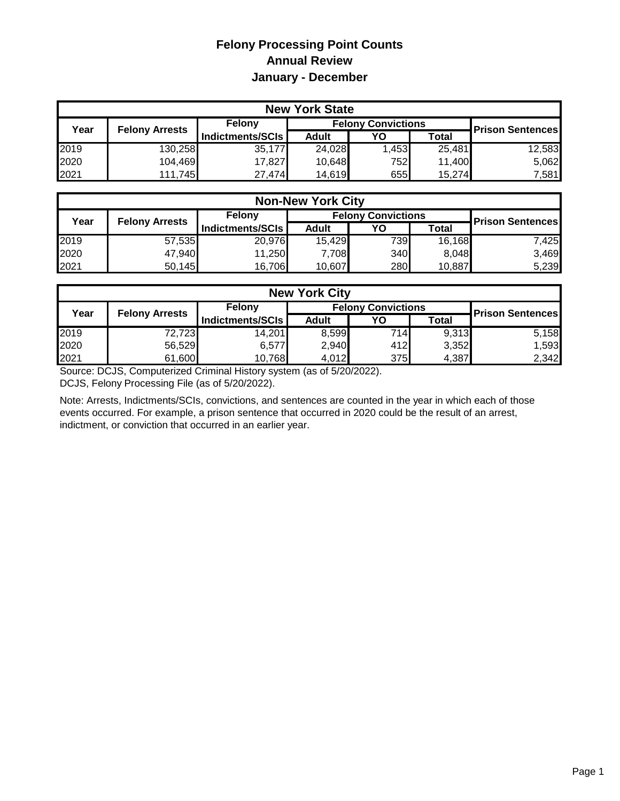## **Felony Processing Point Counts Annual Review January - December**

| <b>New York State</b> |                       |                  |                           |       |        |                         |  |  |  |
|-----------------------|-----------------------|------------------|---------------------------|-------|--------|-------------------------|--|--|--|
| Year                  | <b>Felony Arrests</b> | Felony           | <b>Felony Convictions</b> |       |        |                         |  |  |  |
|                       |                       | Indictments/SCIs | <b>Adult</b>              | YO    | Total  | <b>Prison Sentences</b> |  |  |  |
| 2019                  | 130,258               | 35,177           | 24,028                    | 1,453 | 25,481 | 12,583                  |  |  |  |
| 2020                  | 104,469               | 17,827           | 10,648                    | 752   | 11,400 | 5,062                   |  |  |  |
| 2021                  | 111,745               | 27,474           | 14,619                    | 655   | 15,274 | 7,581                   |  |  |  |

| <b>Non-New York City</b> |                       |                  |                           |     |        |                         |  |  |  |
|--------------------------|-----------------------|------------------|---------------------------|-----|--------|-------------------------|--|--|--|
| Year                     | <b>Felony Arrests</b> | Felony           | <b>Felony Convictions</b> |     |        | <b>Prison Sentences</b> |  |  |  |
|                          |                       | Indictments/SCIs | <b>Adult</b>              | YO  | Total  |                         |  |  |  |
| 2019                     | 57,535                | 20,976           | 15,429                    | 739 | 16,168 | 7.425I                  |  |  |  |
| 2020                     | 47,940                | 11,250           | 7,708                     | 340 | 8,048  | 3,469                   |  |  |  |
| 2021                     | 50,145                | 16,706           | 10,607                    | 280 | 10,887 | 5,239                   |  |  |  |

| <b>New York City</b> |                       |                  |                           |                         |              |       |  |  |  |
|----------------------|-----------------------|------------------|---------------------------|-------------------------|--------------|-------|--|--|--|
| Year                 | <b>Felony Arrests</b> | Felony           | <b>Felony Convictions</b> | <b>Prison Sentences</b> |              |       |  |  |  |
|                      |                       | Indictments/SCIs | <b>Adult</b>              | YΟ                      | <b>Total</b> |       |  |  |  |
| 2019                 | 72,723                | 14,201           | 8,599                     | 714                     | 9.313        | 5,158 |  |  |  |
| 2020                 | 56,529                | 6,577            | 2,940                     | 412                     | 3,352        | 1,593 |  |  |  |
| 2021                 | 61,600                | 10,768           | 4,012                     | 375                     | 4,387        | 2,342 |  |  |  |

Source: DCJS, Computerized Criminal History system (as of 5/20/2022). DCJS, Felony Processing File (as of 5/20/2022).

Note: Arrests, Indictments/SCIs, convictions, and sentences are counted in the year in which each of those events occurred. For example, a prison sentence that occurred in 2020 could be the result of an arrest, indictment, or conviction that occurred in an earlier year.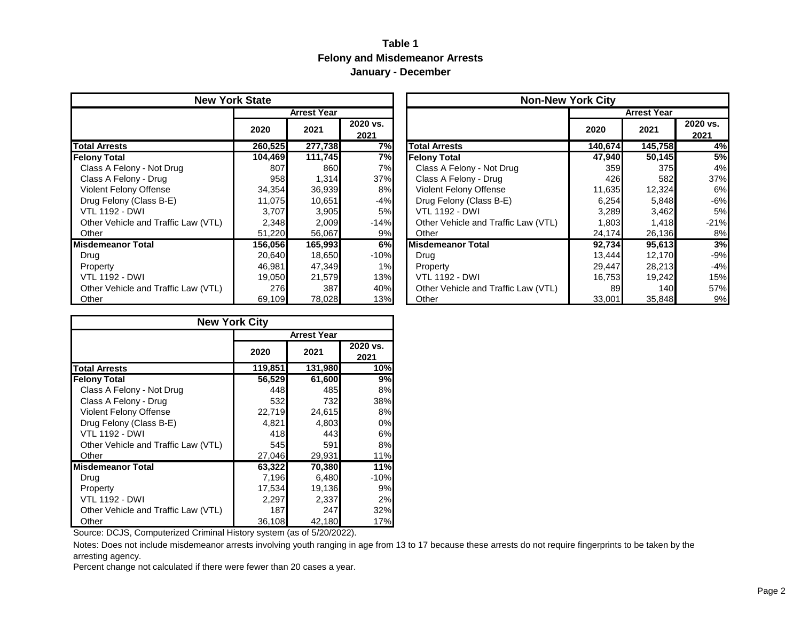#### **Table 1 Felony and Misdemeanor Arrests January - December**

| <b>New York State</b>               |         |                    |                  | <b>Non-New York City</b>            |         |                    |                  |  |
|-------------------------------------|---------|--------------------|------------------|-------------------------------------|---------|--------------------|------------------|--|
|                                     |         | <b>Arrest Year</b> |                  |                                     |         | <b>Arrest Year</b> |                  |  |
|                                     | 2020    | 2021               | 2020 vs.<br>2021 |                                     | 2020    | 2021               | 2020 vs.<br>2021 |  |
| <b>Total Arrests</b>                | 260,525 | 277,738            | 7%               | <b>Total Arrests</b>                | 140,674 | 145,758            | 4%               |  |
| <b>Felony Total</b>                 | 104,469 | 111,745            | 7%               | <b>Felony Total</b>                 | 47,940  | 50,145             | 5%               |  |
| Class A Felony - Not Drug           | 807     | 860                | 7%               | Class A Felony - Not Drug           | 359     | 375                | 4%               |  |
| Class A Felony - Drug               | 958     | 1,314              | 37%              | Class A Felony - Drug               | 426     | 582                | 37%              |  |
| <b>Violent Felony Offense</b>       | 34,354  | 36,939             | 8%               | <b>Violent Felony Offense</b>       | 11,635  | 12,324             | 6%               |  |
| Drug Felony (Class B-E)             | 11,075  | 10,651             | $-4%$            | Drug Felony (Class B-E)             | 6,254   | 5,848              | $-6%$            |  |
| <b>VTL 1192 - DWI</b>               | 3,707   | 3,905              | 5%               | <b>VTL 1192 - DWI</b>               | 3,289   | 3,462              | 5%               |  |
| Other Vehicle and Traffic Law (VTL) | 2,348   | 2,009              | $-14%$           | Other Vehicle and Traffic Law (VTL) | 1,803   | 1,418              | $-21%$           |  |
| Other                               | 51,220  | 56,067             | 9%               | Other                               | 24,174  | 26,136             | 8%               |  |
| Misdemeanor Total                   | 156,056 | 165,993            | 6%               | <b>Misdemeanor Total</b>            | 92,734  | 95,613             | 3%               |  |
| Drug                                | 20,640  | 18,650             | $-10%$           | Drug                                | 13,444  | 12,170             | $-9%$            |  |
| Property                            | 46,981  | 47,349             | 1%               | Property                            | 29,447  | 28,213             | $-4%$            |  |
| <b>VTL 1192 - DWI</b>               | 19,050  | 21,579             | 13%              | <b>VTL 1192 - DWI</b>               | 16,753  | 19,242             | 15%              |  |
| Other Vehicle and Traffic Law (VTL) | 276     | 387                | 40%              | Other Vehicle and Traffic Law (VTL) | 89      | 140I               | 57%              |  |
| Other                               | 69,109  | 78,028             | 13%              | Other                               | 33,001  | 35,848             | 9%               |  |

| <b>New York State</b> |         |                    |                  | <b>Non-New York City</b>            |         |                    |                  |
|-----------------------|---------|--------------------|------------------|-------------------------------------|---------|--------------------|------------------|
|                       |         | <b>Arrest Year</b> |                  |                                     |         | <b>Arrest Year</b> |                  |
|                       | 2020    | 2021               | 2020 vs.<br>2021 |                                     | 2020    | 2021               | 2020 vs.<br>2021 |
|                       | 260,525 | 277,738            | 7%               | <b>Total Arrests</b>                | 140,674 | 145,758            | 4%               |
|                       | 104,469 | 111,745            | 7%               | <b>Felony Total</b>                 | 47,940  | 50,145             | 5%               |
|                       | 807     | 860                | 7%               | Class A Felony - Not Drug           | 359     | 375                | 4%               |
|                       | 958     | 1,314              | 37%              | Class A Felony - Drug               | 426     | 582                | 37%              |
|                       | 34,354  | 36,939             | 8%               | <b>Violent Felony Offense</b>       | 11,635  | 12,324             | 6%               |
|                       | 11,075  | 10,651             | -4%              | Drug Felony (Class B-E)             | 6,254   | 5,848              | $-6%$            |
|                       | 3,707   | 3,905              | 5%               | <b>VTL 1192 - DWI</b>               | 3,289   | 3,462              | 5%               |
| v (VTL)               | 2,348   | 2,009              | $-14%$           | Other Vehicle and Traffic Law (VTL) | 1,803   | 1,418              | $-21%$           |
|                       | 51,220  | 56,067             | 9%               | Other                               | 24,174  | 26,136             | 8%               |
|                       | 156,056 | 165,993            | 6%               | <b>Misdemeanor Total</b>            | 92,734  | 95,613             | 3%               |
|                       | 20,640  | 18,650             | $-10%$           | Drug                                | 13,444  | 12,170             | $-9%$            |
|                       | 46,981  | 47,349             | 1%               | Property                            | 29,447  | 28,213             | $-4%$            |
|                       | 19,050  | 21,579             | 13%              | <b>VTL 1192 - DWI</b>               | 16,753  | 19,242             | 15%              |
| v (VTL)               | 276     | 387                | 40%              | Other Vehicle and Traffic Law (VTL) | 89      | 140                | 57%              |
|                       | 69,109  | 78,028             | 13%              | Other                               | 33,001  | 35,848             | 9%               |

|                                     | <b>New York City</b> |                    |                  |
|-------------------------------------|----------------------|--------------------|------------------|
|                                     |                      | <b>Arrest Year</b> |                  |
|                                     | 2020                 | 2021               | 2020 vs.<br>2021 |
| <b>Total Arrests</b>                | 119,851              | 131,980            | 10%              |
| <b>Felony Total</b>                 | 56,529               | 61,600             | 9%               |
| Class A Felony - Not Drug           | 448                  | 485                | 8%               |
| Class A Felony - Drug               | 532                  | 732                | 38%              |
| Violent Felony Offense              | 22,719               | 24,615             | 8%               |
| Drug Felony (Class B-E)             | 4,821                | 4,803              | 0%               |
| VTL 1192 - DWI                      | 418                  | 443                | 6%               |
| Other Vehicle and Traffic Law (VTL) | 545                  | 591                | 8%               |
| Other                               | 27,046               | 29,931             | 11%              |
| Misdemeanor Total                   | 63,322               | 70,380             | 11%              |
| Drug                                | 7,196                | 6,480              | $-10%$           |
| Property                            | 17,534               | 19,136             | 9%               |
| <b>VTL 1192 - DWI</b>               | 2,297                | 2,337              | 2%               |
| Other Vehicle and Traffic Law (VTL) | 187                  | 247                | 32%              |
| Other                               | 36,108               | 42,180             | 17%              |

Source: DCJS, Computerized Criminal History system (as of 5/20/2022).

Notes: Does not include misdemeanor arrests involving youth ranging in age from 13 to 17 because these arrests do not require fingerprints to be taken by the arresting agency.

Percent change not calculated if there were fewer than 20 cases a year.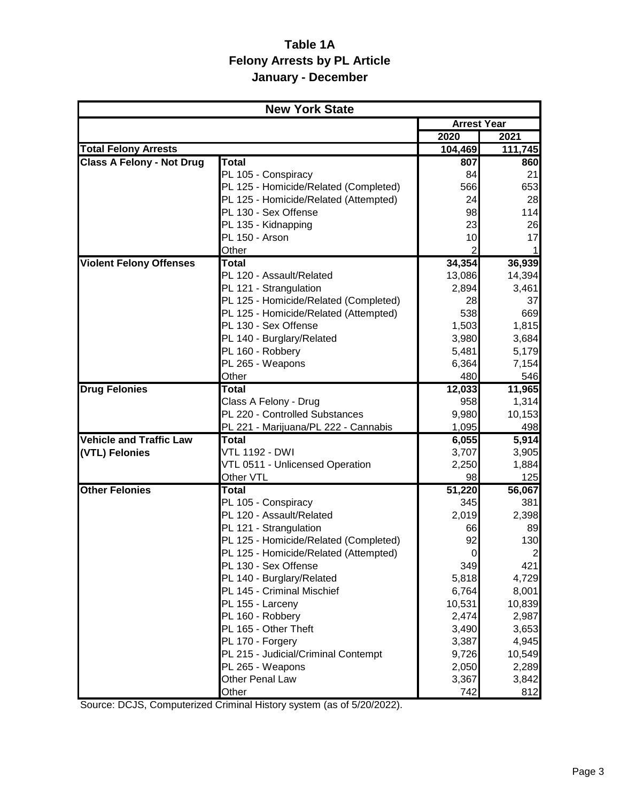## **Table 1A Felony Arrests by PL Article January - December**

|                                  | <b>New York State</b>                                                  |                      |                 |
|----------------------------------|------------------------------------------------------------------------|----------------------|-----------------|
|                                  |                                                                        | <b>Arrest Year</b>   |                 |
|                                  |                                                                        | 2020                 | 2021            |
| <b>Total Felony Arrests</b>      |                                                                        | 104,469              | 111,745         |
| <b>Class A Felony - Not Drug</b> | Total                                                                  | 807                  | 860             |
|                                  | PL 105 - Conspiracy                                                    | 84                   | 21              |
|                                  | PL 125 - Homicide/Related (Completed)                                  | 566                  | 653             |
|                                  | PL 125 - Homicide/Related (Attempted)                                  | 24                   | 28              |
|                                  | PL 130 - Sex Offense                                                   | 98                   | 114             |
|                                  | PL 135 - Kidnapping<br>PL 150 - Arson                                  | 23                   | 26<br>17        |
|                                  | Other                                                                  | 10<br>$\overline{2}$ |                 |
| <b>Violent Felony Offenses</b>   | Total                                                                  | 34,354               | 36,939          |
|                                  | PL 120 - Assault/Related                                               | 13,086               | 14,394          |
|                                  | PL 121 - Strangulation                                                 | 2,894                | 3,461           |
|                                  | PL 125 - Homicide/Related (Completed)                                  | 28                   | 37              |
|                                  | PL 125 - Homicide/Related (Attempted)                                  | 538                  | 669             |
|                                  | PL 130 - Sex Offense                                                   | 1,503                | 1,815           |
|                                  | PL 140 - Burglary/Related                                              | 3,980                | 3,684           |
|                                  | PL 160 - Robbery                                                       | 5,481                | 5,179           |
|                                  | PL 265 - Weapons                                                       | 6,364                | 7,154           |
|                                  | Other                                                                  | 480                  | 546             |
| <b>Drug Felonies</b>             | Total                                                                  | 12,033               | 11,965          |
|                                  | Class A Felony - Drug                                                  | 958                  | 1,314           |
|                                  | PL 220 - Controlled Substances<br>PL 221 - Marijuana/PL 222 - Cannabis | 9,980<br>1,095       | 10,153<br>498   |
| <b>Vehicle and Traffic Law</b>   | <b>Total</b>                                                           | 6,055                | 5,914           |
| (VTL) Felonies                   | <b>VTL 1192 - DWI</b>                                                  | 3,707                | 3,905           |
|                                  | VTL 0511 - Unlicensed Operation                                        | 2,250                | 1,884           |
|                                  | Other VTL                                                              | 98                   | 125             |
| <b>Other Felonies</b>            | Total                                                                  | 51,220               | 56,067          |
|                                  | PL 105 - Conspiracy                                                    | 345                  | 381             |
|                                  | PL 120 - Assault/Related                                               | 2,019                | 2,398           |
|                                  | PL 121 - Strangulation                                                 | 66                   | 89              |
|                                  | PL 125 - Homicide/Related (Completed)                                  | 92                   | 130             |
|                                  | PL 125 - Homicide/Related (Attempted)                                  |                      | $\overline{2}$  |
|                                  | PL 130 - Sex Offense                                                   | 349                  | 421             |
|                                  | PL 140 - Burglary/Related                                              | 5,818                | 4,729           |
|                                  | PL 145 - Criminal Mischief<br>PL 155 - Larceny                         | 6,764<br>10,531      | 8,001<br>10,839 |
|                                  | PL 160 - Robbery                                                       | 2,474                | 2,987           |
|                                  | PL 165 - Other Theft                                                   | 3,490                | 3,653           |
|                                  | PL 170 - Forgery                                                       | 3,387                | 4,945           |
|                                  | PL 215 - Judicial/Criminal Contempt                                    | 9,726                | 10,549          |
|                                  | PL 265 - Weapons                                                       | 2,050                | 2,289           |
|                                  | Other Penal Law                                                        | 3,367                | 3,842           |
|                                  | Other                                                                  | 742                  | 812             |

Source: DCJS, Computerized Criminal History system (as of 5/20/2022).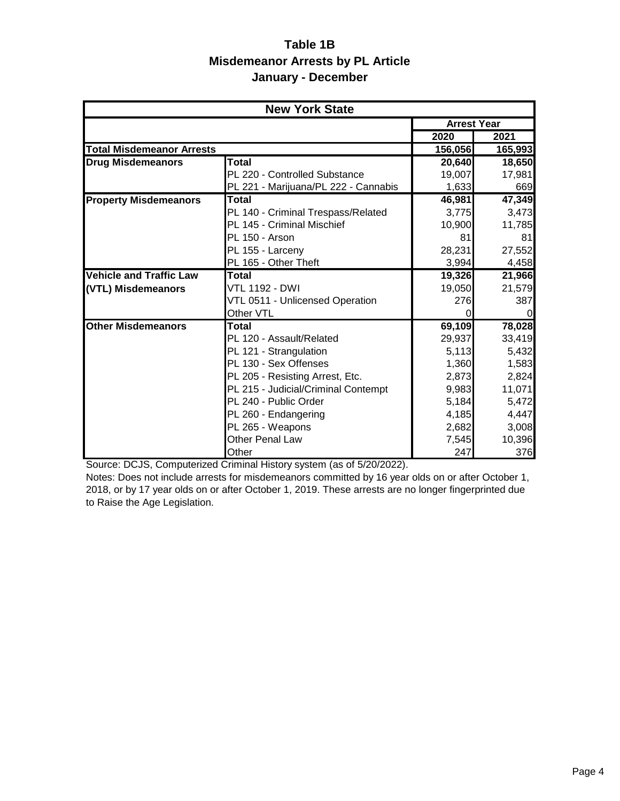## **Table 1B Misdemeanor Arrests by PL Article January - December**

|                                  | <b>New York State</b>                |                    |          |
|----------------------------------|--------------------------------------|--------------------|----------|
|                                  |                                      | <b>Arrest Year</b> |          |
|                                  |                                      | 2020               | 2021     |
| <b>Total Misdemeanor Arrests</b> |                                      | 156,056            | 165,993  |
| <b>Drug Misdemeanors</b>         | <b>Total</b>                         | 20,640             | 18,650   |
|                                  | PL 220 - Controlled Substance        | 19,007             | 17,981   |
|                                  | PL 221 - Marijuana/PL 222 - Cannabis | 1,633              | 669      |
| <b>Property Misdemeanors</b>     | Total                                | 46,981             | 47,349   |
|                                  | PL 140 - Criminal Trespass/Related   | 3,775              | 3,473    |
|                                  | PL 145 - Criminal Mischief           | 10,900             | 11,785   |
|                                  | <b>PL 150 - Arson</b>                | 81                 | 81       |
|                                  | PL 155 - Larceny                     | 28,231             | 27,552   |
|                                  | PL 165 - Other Theft                 | 3,994              | 4,458    |
| <b>Vehicle and Traffic Law</b>   | Total                                | 19,326             | 21,966   |
| (VTL) Misdemeanors               | VTL 1192 - DWI                       | 19,050             | 21,579   |
|                                  | VTL 0511 - Unlicensed Operation      | 276                | 387      |
|                                  | Other VTL                            | 0                  | $\Omega$ |
| <b>Other Misdemeanors</b>        | Total                                | 69,109             | 78,028   |
|                                  | PL 120 - Assault/Related             | 29,937             | 33,419   |
|                                  | PL 121 - Strangulation               | 5,113              | 5,432    |
|                                  | PL 130 - Sex Offenses                | 1,360              | 1,583    |
|                                  | PL 205 - Resisting Arrest, Etc.      | 2,873              | 2,824    |
|                                  | PL 215 - Judicial/Criminal Contempt  | 9,983              | 11,071   |
|                                  | PL 240 - Public Order                | 5,184              | 5,472    |
|                                  | PL 260 - Endangering                 | 4,185              | 4,447    |
|                                  | PL 265 - Weapons                     | 2,682              | 3,008    |
|                                  | <b>Other Penal Law</b>               | 7,545              | 10,396   |
|                                  | Other                                | 247                | 376      |

Source: DCJS, Computerized Criminal History system (as of 5/20/2022).

Notes: Does not include arrests for misdemeanors committed by 16 year olds on or after October 1, 2018, or by 17 year olds on or after October 1, 2019. These arrests are no longer fingerprinted due to Raise the Age Legislation.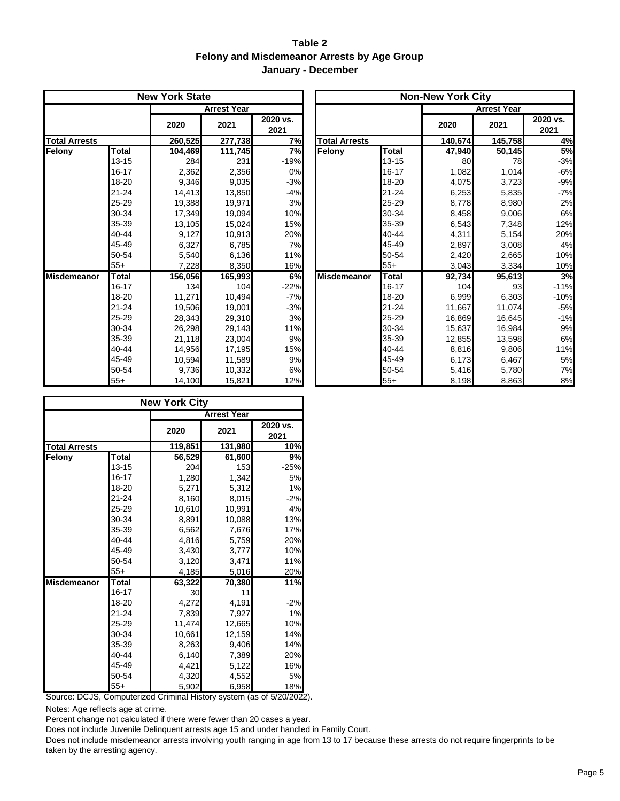#### **Table 2 Felony and Misdemeanor Arrests by Age Group January - December**

|                      |              | <b>New York State</b> |                    |                  |                      |              | <b>Non-New York City</b> |                    |                  |  |
|----------------------|--------------|-----------------------|--------------------|------------------|----------------------|--------------|--------------------------|--------------------|------------------|--|
|                      |              |                       | <b>Arrest Year</b> |                  |                      |              |                          | <b>Arrest Year</b> |                  |  |
|                      |              | 2020                  | 2021               | 2020 vs.<br>2021 |                      |              | 2020                     | 2021               | 2020 vs.<br>2021 |  |
| <b>Total Arrests</b> |              | 260,525               | 277,738            | 7%               | <b>Total Arrests</b> |              | 140,674                  | 145,758            | 4%               |  |
| Felony               | Total        | 104.469               | 111,745            | 7%               | Felony               | Total        | 47,940                   | 50,145             | 5%               |  |
|                      | 13-15        | 284                   | 231                | $-19%$           |                      | 13-15        | 80                       | 78                 | $-3%$            |  |
|                      | 16-17        | 2,362                 | 2,356              | 0%               |                      | 16-17        | 1,082                    | 1,014              | $-6%$            |  |
|                      | 18-20        | 9,346                 | 9,035              | $-3%$            |                      | 18-20        | 4,075                    | 3,723              | $-9%$            |  |
|                      | $21 - 24$    | 14,413                | 13,850             | $-4%$            |                      | $21 - 24$    | 6,253                    | 5,835              | $-7%$            |  |
|                      | 25-29        | 19,388                | 19,971             | 3%               |                      | 25-29        | 8,778                    | 8,980              | 2%               |  |
|                      | 30-34        | 17.349                | 19,094             | 10%              |                      | 30-34        | 8,458                    | 9,006              | 6%               |  |
|                      | 35-39        | 13,105                | 15,024             | 15%              |                      | 35-39        | 6,543                    | 7,348              | 12%              |  |
|                      | 40-44        | 9,127                 | 10,913             | 20%              |                      | 40-44        | 4,311                    | 5,154              | 20%              |  |
|                      | 45-49        | 6,327                 | 6,785              | 7%               |                      | 45-49        | 2,897                    | 3,008              | 4%               |  |
|                      | 50-54        | 5,540                 | 6,136              | 11%              |                      | 50-54        | 2,420                    | 2,665              | 10%              |  |
|                      | $55+$        | 7,228                 | 8,350              | 16%              |                      | $55+$        | 3,043                    | 3,334              | 10%              |  |
| <b>Misdemeanor</b>   | <b>Total</b> | 156,056               | 165,993            | 6%               | <b>Misdemeanor</b>   | <b>Total</b> | 92,734                   | 95,613             | 3%               |  |
|                      | $16 - 17$    | 134                   | 104                | $-22%$           |                      | $16 - 17$    | 104                      | 93                 | $-11%$           |  |
|                      | 18-20        | 11,271                | 10.494             | $-7%$            |                      | 18-20        | 6,999                    | 6,303              | $-10%$           |  |
|                      | $21 - 24$    | 19,506                | 19,001             | $-3%$            |                      | $21 - 24$    | 11,667                   | 11,074             | $-5%$            |  |
|                      | 25-29        | 28,343                | 29,310             | 3%               |                      | 25-29        | 16,869                   | 16,645             | $-1%$            |  |
|                      | 30-34        | 26,298                | 29,143             | 11%              |                      | 30-34        | 15,637                   | 16.984             | 9%               |  |
|                      | 35-39        | 21,118                | 23,004             | 9%               |                      | 35-39        | 12,855                   | 13,598             | 6%               |  |
|                      | 40-44        | 14.956                | 17,195             | 15%              |                      | 40-44        | 8,816                    | 9,806              | 11%              |  |
|                      | 45-49        | 10,594                | 11,589             | 9%               |                      | 45-49        | 6,173                    | 6,467              | 5%               |  |
|                      | 50-54        | 9,736                 | 10,332             | 6%               |                      | 50-54        | 5,416                    | 5,780              | 7%               |  |
|                      | $55+$        | 14,100                | 15,821             | 12%              |                      | $55+$        | 8,198                    | 8,863              | 8%               |  |

|           | <b>New York State</b> |                    |                  |                      |              | <b>Non-New York City</b> |                    |                  |
|-----------|-----------------------|--------------------|------------------|----------------------|--------------|--------------------------|--------------------|------------------|
|           |                       | <b>Arrest Year</b> |                  |                      |              |                          | <b>Arrest Year</b> |                  |
|           | 2020                  | 2021               | 2020 vs.<br>2021 |                      |              | 2020                     | 2021               | 2020 vs.<br>2021 |
|           | 260,525               | 277,738            | 7%               | <b>Total Arrests</b> |              | 140,674                  | 145,758            | 4%               |
| Total     | 104,469               | 111,745            | 7%               | Felony               | <b>Total</b> | 47,940                   | 50,145             | 5%               |
| $13 - 15$ | 284                   | 231                | $-19%$           |                      | $13 - 15$    | 80                       | 78                 | $-3%$            |
| $16 - 17$ | 2,362                 | 2,356              | 0%               |                      | 16-17        | 1,082                    | 1,014              | $-6%$            |
| 18-20     | 9,346                 | 9,035              | $-3%$            |                      | 18-20        | 4,075                    | 3,723              | $-9%$            |
| 21-24     | 14,413                | 13,850             | $-4%$            |                      | 21-24        | 6,253                    | 5,835              | $-7%$            |
| 25-29     | 19,388                | 19,971             | 3%               |                      | 25-29        | 8,778                    | 8,980              | 2%               |
| 30-34     | 17,349                | 19,094             | 10%              |                      | 30-34        | 8,458                    | 9,006              | 6%               |
| 35-39     | 13,105                | 15,024             | 15%              |                      | 35-39        | 6,543                    | 7,348              | 12%              |
| 40-44     | 9,127                 | 10,913             | 20%              |                      | 40-44        | 4,311                    | 5,154              | 20%              |
| 45-49     | 6,327                 | 6,785              | 7%               |                      | 45-49        | 2,897                    | 3,008              | 4%               |
| 50-54     | 5,540                 | 6,136              | 11%              |                      | 50-54        | 2,420                    | 2,665              | 10%              |
| 55+       | 7,228                 | 8,350              | 16%              |                      | $55+$        | 3,043                    | 3,334              | 10%              |
| Total     | 156,056               | 165,993            | 6%               | <b>Misdemeanor</b>   | <b>Total</b> | 92,734                   | 95,613             | 3%               |
| $16 - 17$ | 134                   | 104                | $-22%$           |                      | 16-17        | 104                      | 93                 | $-11%$           |
| 18-20     | 11,271                | 10,494             | $-7%$            |                      | 18-20        | 6,999                    | 6,303              | $-10%$           |
| 21-24     | 19,506                | 19,001             | $-3%$            |                      | $21 - 24$    | 11,667                   | 11,074             | $-5%$            |
| 25-29     | 28,343                | 29,310             | 3%               |                      | 25-29        | 16,869                   | 16,645             | $-1%$            |
| 30-34     | 26,298                | 29,143             | 11%              |                      | 30-34        | 15,637                   | 16.984             | 9%               |
| 35-39     | 21,118                | 23,004             | 9%               |                      | 35-39        | 12,855                   | 13,598             | 6%               |
| 40-44     | 14,956                | 17,195             | 15%              |                      | 40-44        | 8,816                    | 9,806              | 11%              |
| 45-49     | 10,594                | 11,589             | 9%               |                      | 45-49        | 6,173                    | 6,467              | 5%               |
| 50-54     | 9,736                 | 10,332             | 6%               |                      | 50-54        | 5,416                    | 5,780              | 7%               |
| 55+       | 14.100                | 15.821             | 12%              |                      | $55+$        | 8.198                    | 8.863              | 8%               |

|                      |           | <b>New York City</b> |                    |                  |
|----------------------|-----------|----------------------|--------------------|------------------|
|                      |           |                      | <b>Arrest Year</b> |                  |
|                      |           | 2020                 | 2021               | 2020 vs.<br>2021 |
| <b>Total Arrests</b> |           | 119,851              | 131,980            | 10%              |
| Felony               | Total     | 56,529               | 61,600             | 9%               |
|                      | $13 - 15$ | 204                  | 153                | $-25%$           |
|                      | 16-17     | 1,280                | 1,342              | 5%               |
|                      | 18-20     | 5,271                | 5,312              | 1%               |
|                      | $21 - 24$ | 8,160                | 8,015              | $-2%$            |
|                      | 25-29     | 10,610               | 10,991             | 4%               |
|                      | 30-34     | 8,891                | 10,088             | 13%              |
|                      | 35-39     | 6,562                | 7,676              | 17%              |
|                      | 40-44     | 4,816                | 5,759              | 20%              |
|                      | 45-49     | 3,430                | 3,777              | 10%              |
|                      | 50-54     | 3,120                | 3,471              | 11%              |
|                      | $55+$     | 4,185                | 5,016              | 20%              |
| <b>Misdemeanor</b>   | Total     | 63,322               | 70,380             | 11%              |
|                      | 16-17     | 30                   | 11                 |                  |
|                      | 18-20     | 4,272                | 4,191              | $-2%$            |
|                      | $21 - 24$ | 7,839                | 7,927              | 1%               |
|                      | 25-29     | 11,474               | 12,665             | 10%              |
|                      | 30-34     | 10,661               | 12,159             | 14%              |
|                      | 35-39     | 8,263                | 9,406              | 14%              |
|                      | 40-44     | 6,140                | 7,389              | 20%              |
|                      | 45-49     | 4,421                | 5,122              | 16%              |
|                      | 50-54     | 4,320                | 4,552              | 5%               |
|                      | $55+$     | 5,902                | 6,958              | 18%              |

Source: DCJS, Computerized Criminal History system (as of 5/20/2022).

Notes: Age reflects age at crime.

Percent change not calculated if there were fewer than 20 cases a year.

Does not include Juvenile Delinquent arrests age 15 and under handled in Family Court.

Does not include misdemeanor arrests involving youth ranging in age from 13 to 17 because these arrests do not require fingerprints to be taken by the arresting agency.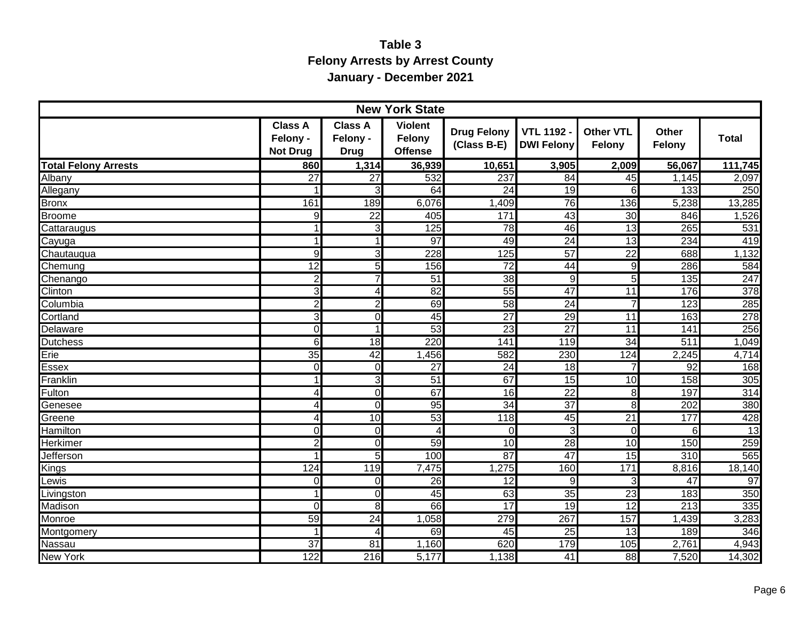## **Table 3 Felony Arrests by Arrest County January - December 2021**

|                             |                                               |                                           | <b>New York State</b>                      |                                   |                                      |                            |                        |                  |
|-----------------------------|-----------------------------------------------|-------------------------------------------|--------------------------------------------|-----------------------------------|--------------------------------------|----------------------------|------------------------|------------------|
|                             | <b>Class A</b><br>Felony -<br><b>Not Drug</b> | <b>Class A</b><br>Felony -<br><b>Drug</b> | <b>Violent</b><br>Felony<br><b>Offense</b> | <b>Drug Felony</b><br>(Class B-E) | <b>VTL 1192</b><br><b>DWI Felony</b> | <b>Other VTL</b><br>Felony | <b>Other</b><br>Felony | <b>Total</b>     |
| <b>Total Felony Arrests</b> | 860                                           | 1,314                                     | 36,939                                     | 10,651                            | 3,905                                | 2,009                      | 56,067                 | 111,745          |
| Albany                      | $\overline{27}$                               | $\overline{27}$                           | 532                                        | 237                               | 84                                   | 45                         | 1,145                  | 2,097            |
| Allegany                    |                                               | 3                                         | 64                                         | $\overline{24}$                   | 19                                   | 6                          | 133                    | 250              |
| <b>Bronx</b>                | 161                                           | 189                                       | 6,076                                      | 1,409                             | 76                                   | 136                        | 5,238                  | 13,285           |
| Broome                      | 9                                             | $\overline{22}$                           | 405                                        | 171                               | 43                                   | 30                         | 846                    | 1,526            |
| Cattaraugus                 | 1                                             | 3                                         | 125                                        | 78                                | 46                                   | 13                         | 265                    | 531              |
| Cayuga                      | 1                                             | 1                                         | 97                                         | 49                                | 24                                   | 13                         | 234                    | 419              |
| Chautauqua                  | 9                                             | 3                                         | 228                                        | 125                               | 57                                   | 22                         | 688                    | 1,132            |
| Chemung                     | 12                                            | 5                                         | 156                                        | $\overline{72}$                   | 44                                   | 9                          | 286                    | 584              |
| Chenango                    | <sub>2</sub>                                  | 7                                         | 51                                         | 38                                | $\overline{9}$                       | 5                          | 135                    | 247              |
| <b>Clinton</b>              | دن                                            | 4                                         | 82                                         | 55                                | 47                                   | $\overline{11}$            | 176                    | $\overline{378}$ |
| Columbia                    | $\overline{2}$                                | 2                                         | 69                                         | 58                                | 24                                   | $\overline{7}$             | 123                    | 285              |
| Cortland                    | 3                                             | Ō                                         | 45                                         | $\overline{27}$                   | 29                                   | 11                         | 163                    | 278              |
| Delaware                    | $\mathbf 0$                                   | 1                                         | 53                                         | 23                                | $\overline{27}$                      | 11                         | 141                    | 256              |
| <b>Dutchess</b>             | 6                                             | 18                                        | 220                                        | 141                               | 119                                  | 34                         | 511                    | 1,049            |
| Erie                        | 35                                            | 42                                        | 1,456                                      | 582                               | 230                                  | 124                        | 2,245                  | 4,714            |
| <b>Essex</b>                | $\Omega$                                      | 0                                         | $\overline{27}$                            | $\overline{24}$                   | 18                                   |                            | 92                     | 168              |
| Franklin                    | $\mathbf{1}$                                  | 3                                         | 51                                         | 67                                | 15                                   | 10                         | 158                    | 305              |
| Fulton                      | $\overline{4}$                                | 0                                         | 67                                         | $\overline{16}$                   | $\overline{22}$                      | 8                          | 197                    | 314              |
| Genesee                     | 4                                             | $\overline{0}$                            | 95                                         | 34                                | $\overline{37}$                      | 8                          | 202                    | 380              |
| Greene                      | 4                                             | 10                                        | 53                                         | 118                               | 45                                   | $\overline{21}$            | 177                    | 428              |
| <b>Hamilton</b>             | $\mathbf 0$                                   | $\mathbf 0$                               | 4                                          | $\Omega$                          | ω                                    | $\overline{0}$             | 6                      | 13               |
| <b>Herkimer</b>             | $\overline{2}$                                | 0                                         | 59                                         | 10                                | 28                                   | 10                         | 150                    | 259              |
| <b>Jefferson</b>            |                                               | 5                                         | 100                                        | 87                                | $\overline{47}$                      | $\overline{15}$            | 310                    | 565              |
| Kings                       | 124                                           | 119                                       | 7,475                                      | 1,275                             | 160                                  | 171                        | 8,816                  | 18,140           |
| Lewis                       | $\Omega$                                      | 0                                         | 26                                         | $\overline{12}$                   | 9                                    | 3                          | 47                     | 97               |
| Livingston                  | $\mathbf{1}$                                  | O                                         | 45                                         | 63                                | 35                                   | 23                         | 183                    | 350              |
| Madison                     | $\Omega$                                      | 8                                         | 66                                         | $\overline{17}$                   | 19                                   | $\overline{12}$            | 213                    | 335              |
| Monroe                      | 59                                            | 24                                        | 1,058                                      | 279                               | 267                                  | 157                        | 1,439                  | 3,283            |
| Montgomery                  | $\mathbf{1}$                                  | 4                                         | 69                                         | 45                                | 25                                   | 13                         | 189                    | 346              |
| <b>Nassau</b>               | $\overline{37}$                               | $\overline{81}$                           | 1,160                                      | 620                               | 179                                  | 105                        | 2,761                  | 4,943            |
| New York                    | 122                                           | 216                                       | 5,177                                      | 1,138                             | 41                                   | 88                         | 7,520                  | 14,302           |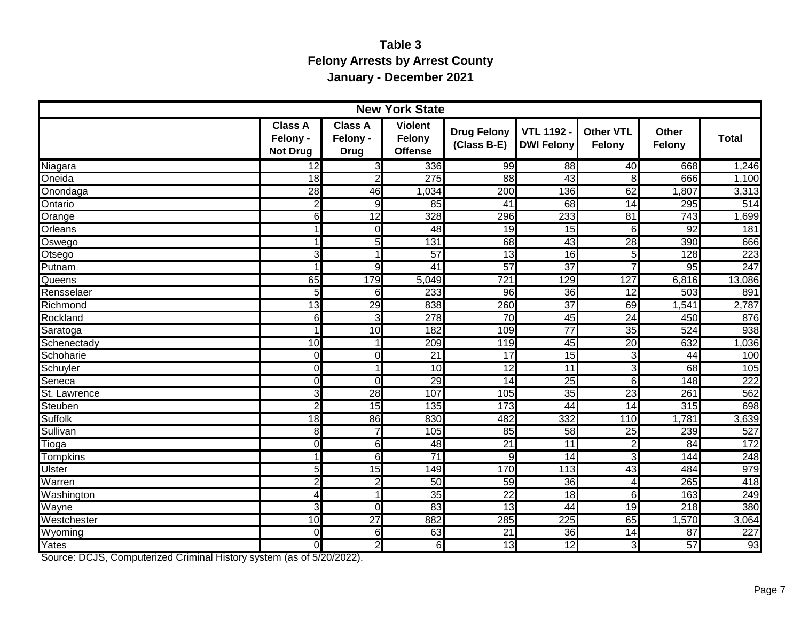## **Table 3 Felony Arrests by Arrest County January - December 2021**

|                 |                                               |                                           | <b>New York State</b>                      |                                   |                                      |                            |                        |              |
|-----------------|-----------------------------------------------|-------------------------------------------|--------------------------------------------|-----------------------------------|--------------------------------------|----------------------------|------------------------|--------------|
|                 | <b>Class A</b><br>Felony -<br><b>Not Drug</b> | <b>Class A</b><br>Felony -<br><b>Drug</b> | <b>Violent</b><br>Felony<br><b>Offense</b> | <b>Drug Felony</b><br>(Class B-E) | <b>VTL 1192</b><br><b>DWI Felony</b> | <b>Other VTL</b><br>Felony | <b>Other</b><br>Felony | <b>Total</b> |
| Niagara         | $\overline{12}$                               | $\overline{3}$                            | 336                                        | 99                                | $\overline{88}$                      | 40                         | 668                    | 1,246        |
| Oneida          | 18                                            | $\overline{2}$                            | 275                                        | 88                                | 43                                   | 8                          | 666                    | 1,100        |
| Onondaga        | 28                                            | 46                                        | 1,034                                      | $\overline{200}$                  | 136                                  | 62                         | 1,807                  | 3,313        |
| Ontario         | $\overline{2}$                                | 9                                         | $\overline{85}$                            | $\overline{41}$                   | 68                                   | $\overline{14}$            | 295                    | 514          |
| Orange          | 6                                             | 12                                        | 328                                        | 296                               | 233                                  | 81                         | $\overline{743}$       | 1,699        |
| Orleans         | $\mathbf{1}$                                  | 0                                         | $\overline{48}$                            | $\overline{19}$                   | 15                                   | 6                          | 92                     | 181          |
| Oswego          | $\overline{1}$                                | 5                                         | 131                                        | 68                                | 43                                   | 28                         | 390                    | 666          |
| <b>Otsego</b>   | $\overline{3}$                                | 1                                         | 57                                         | 13                                | 16                                   | 5                          | 128                    | 223          |
| <b>Putnam</b>   | $\overline{1}$                                | 9                                         | 41                                         | 57                                | 37                                   | 7                          | 95                     | 247          |
| Queens          | 65                                            | 179                                       | 5,049                                      | 721                               | 129                                  | 127                        | 6,816                  | 13,086       |
| Rensselaer      | 5 <sup>1</sup>                                | 6                                         | 233                                        | $\overline{96}$                   | 36                                   | 12                         | 503                    | 891          |
| Richmond        | 13                                            | 29                                        | 838                                        | 260                               | 37                                   | 69                         | $\overline{.541}$      | 2,787        |
| Rockland        | $6 \mid$                                      | دى                                        | 278                                        | 70                                | 45                                   | 24                         | 450                    | 876          |
| Saratoga        | $\overline{1}$                                | 10                                        | 182                                        | 109                               | $\overline{77}$                      | 35                         | 524                    | 938          |
| Schenectady     | $\overline{10}$                               | 1                                         | $\overline{209}$                           | 119                               | 45                                   | 20                         | 632                    | 1,036        |
| Schoharie       | $\Omega$                                      | $\overline{0}$                            | $\overline{21}$                            | 17                                | 15                                   | دن                         | 44                     | 100          |
| Schuyler        | $\Omega$                                      | 1                                         | $\overline{10}$                            | $\overline{12}$                   | 11                                   | دن                         | 68                     | 105          |
| Seneca          | $\overline{0}$                                | $\overline{0}$                            | 29                                         | $\overline{14}$                   | 25                                   | 6                          | $\overline{148}$       | 222          |
| St. Lawrence    | دى                                            | 28                                        | 107                                        | 105                               | 35                                   | 23                         | 261                    | 562          |
| <b>Steuben</b>  | $\overline{2}$                                | 15                                        | 135                                        | 173                               | 44                                   | $\overline{14}$            | 315                    | 698          |
| <b>Suffolk</b>  | $\overline{18}$                               | 86                                        | 830                                        | 482                               | 332                                  | 110                        | 1,781                  | 3,639        |
| Sullivan        | 8                                             | 7                                         | 105                                        | 85                                | 58                                   | 25                         | 239                    | 527          |
| Tioga           | $\Omega$                                      | $\overline{6}$                            | $\overline{48}$                            | $\overline{21}$                   | 11                                   | $\overline{2}$             | 84                     | 172          |
| <b>Tompkins</b> | $\mathbf 1$                                   | 6                                         | $\overline{71}$                            | 9                                 | 14                                   | 3                          | 144                    | 248          |
| Ulster          | 5 <sup>1</sup>                                | 15                                        | 149                                        | 170                               | 113                                  | 43                         | 484                    | 979          |
| Warren          | $\overline{2}$                                | $\overline{2}$                            | 50                                         | 59                                | 36                                   | 4                          | 265                    | 418          |
| Washington      | $\overline{4}$                                | 1                                         | 35                                         | $\overline{22}$                   | 18                                   | $6\phantom{1}$             | 163                    | 249          |
| Wayne           | 3                                             | $\overline{0}$                            | 83                                         | $\overline{13}$                   | 44                                   | 19                         | 218                    | 380          |
| Westchester     | $\overline{10}$                               | $\overline{27}$                           | 882                                        | 285                               | 225                                  | 65                         | 1,570                  | 3,064        |
| Wyoming         | $\Omega$                                      | 6                                         | 63                                         | $\overline{21}$                   | $\overline{36}$                      | 14                         | 87                     | 227          |
| Yates           | $\Omega$                                      | $\overline{2}$                            | 6                                          | $\overline{13}$                   | 12                                   | دن                         | $\overline{57}$        | 93           |

Source: DCJS, Computerized Criminal History system (as of 5/20/2022).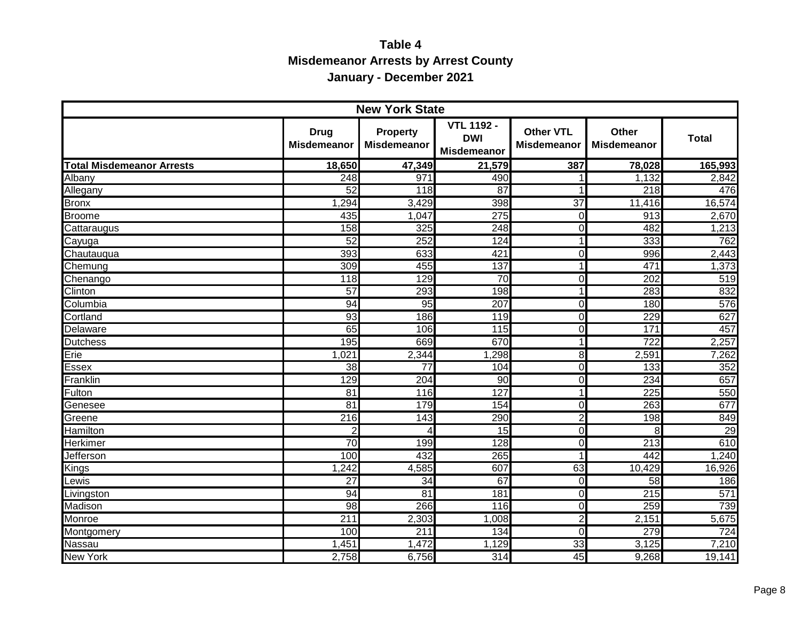## **Table 4 Misdemeanor Arrests by Arrest County January - December 2021**

|                                  |                                   | <b>New York State</b>                 |                                                       |                                        |                                    |                  |
|----------------------------------|-----------------------------------|---------------------------------------|-------------------------------------------------------|----------------------------------------|------------------------------------|------------------|
|                                  | <b>Drug</b><br><b>Misdemeanor</b> | <b>Property</b><br><b>Misdemeanor</b> | <b>VTL 1192 -</b><br><b>DWI</b><br><b>Misdemeanor</b> | <b>Other VTL</b><br><b>Misdemeanor</b> | <b>Other</b><br><b>Misdemeanor</b> | <b>Total</b>     |
| <b>Total Misdemeanor Arrests</b> | 18,650                            | 47,349                                | 21,579                                                | 387                                    | 78,028                             | 165,993          |
| Albany                           | 248                               | 971                                   | 490                                                   |                                        | 1,132                              | 2,842            |
| Allegany                         | 52                                | $\overline{118}$                      | $\overline{87}$                                       | 1                                      | 218                                | 476              |
| <b>Bronx</b>                     | 1,294                             | 3,429                                 | 398                                                   | $\overline{37}$                        | 11,416                             | 16,574           |
| <b>Broome</b>                    | 435                               | 1,047                                 | 275                                                   | $\Omega$                               | $\overline{913}$                   | 2,670            |
| Cattaraugus                      | 158                               | 325                                   | 248                                                   | $\Omega$                               | 482                                | 1,213            |
| Cayuga                           | 52                                | 252                                   | 124                                                   | 1                                      | 333                                | 762              |
| Chautauqua                       | 393                               | 633                                   | 421                                                   | $\Omega$                               | 996                                | 2,443            |
| Chemung                          | 309                               | 455                                   | 137                                                   | 1                                      | 471                                | 1,373            |
| Chenango                         | 118                               | 129                                   | 70                                                    | $\Omega$                               | 202                                | $\overline{519}$ |
| Clinton                          | 57                                | 293                                   | 198                                                   | 1                                      | 283                                | 832              |
| Columbia                         | 94                                | 95                                    | 207                                                   | $\overline{0}$                         | 180                                | 576              |
| Cortland                         | 93                                | 186                                   | 119                                                   | $\Omega$                               | 229                                | 627              |
| Delaware                         | 65                                | 106                                   | 115                                                   | $\Omega$                               | 171                                | 457              |
| <b>Dutchess</b>                  | 195                               | 669                                   | 670                                                   | 1                                      | 722                                | 2,257            |
| Erie                             | 1,021                             | 2,344                                 | 1,298                                                 | 8                                      | 2,591                              | 7,262            |
| Essex                            | $\overline{38}$                   | $\overline{77}$                       | 104                                                   | $\Omega$                               | $\overline{133}$                   | 352              |
| Franklin                         | 129                               | 204                                   | $\overline{90}$                                       | $\Omega$                               | 234                                | 657              |
| Fulton                           | $\overline{81}$                   | 116                                   | 127                                                   | 1                                      | $\overline{225}$                   | 550              |
| Genesee                          | 81                                | 179                                   | 154                                                   | $\Omega$                               | 263                                | 677              |
| Greene                           | 216                               | 143                                   | 290                                                   | $\overline{2}$                         | 198                                | 849              |
| Hamilton                         | $\overline{c}$                    | 4                                     | $\overline{15}$                                       | $\Omega$                               | 8                                  | 29               |
| Herkimer                         | $\overline{70}$                   | 199                                   | 128                                                   | $\Omega$                               | 213                                | 610              |
| Jefferson                        | 100                               | 432                                   | 265                                                   | 1                                      | 442                                | 1,240            |
| Kings                            | 1,242                             | 4,585                                 | 607                                                   | 63                                     | 10,429                             | 16,926           |
| Lewis                            | $\overline{27}$                   | $\overline{34}$                       | 67                                                    | $\Omega$                               | 58                                 | 186              |
| Livingston                       | 94                                | $\overline{81}$                       | 181                                                   | $\Omega$                               | 215                                | 571              |
| Madison                          | $\overline{98}$                   | 266                                   | 116                                                   | $\overline{0}$                         | 259                                | 739              |
| Monroe                           | 211                               | 2,303                                 | 1,008                                                 | $\overline{2}$                         | 2,151                              | 5,675            |
| Montgomery                       | 100                               | 211                                   | 134                                                   | $\Omega$                               | 279                                | 724              |
| Nassau                           | 1,451                             | 1,472                                 | 1,129                                                 | 33                                     | 3,125                              | 7,210            |
| <b>New York</b>                  | 2,758                             | 6,756                                 | 314                                                   | 45                                     | 9,268                              | 19,141           |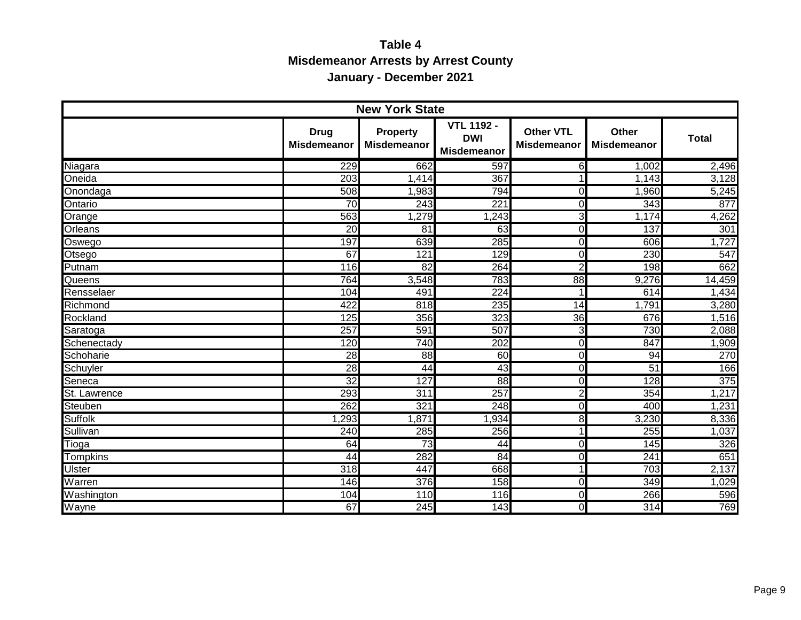## **Table 4 Misdemeanor Arrests by Arrest County January - December 2021**

|                 |                                   | <b>New York State</b>                 |                                                       |                                        |                             |              |
|-----------------|-----------------------------------|---------------------------------------|-------------------------------------------------------|----------------------------------------|-----------------------------|--------------|
|                 | <b>Drug</b><br><b>Misdemeanor</b> | <b>Property</b><br><b>Misdemeanor</b> | <b>VTL 1192 -</b><br><b>DWI</b><br><b>Misdemeanor</b> | <b>Other VTL</b><br><b>Misdemeanor</b> | Other<br><b>Misdemeanor</b> | <b>Total</b> |
| Niagara         | 229                               | 662                                   | 597                                                   | $6 \mid$                               | 1,002                       | 2,496        |
| Oneida          | $\overline{203}$                  | 1,414                                 | 367                                                   |                                        | 1,143                       | 3,128        |
| Onondaga        | 508                               | 1,983                                 | 794                                                   | $\Omega$                               | 1,960                       | 5,245        |
| Ontario         | $\overline{70}$                   | $\overline{243}$                      | 221                                                   | $\Omega$                               | 343                         | 877          |
| Orange          | 563                               | 1,279                                 | 1,243                                                 | دی                                     | 1,174                       | 4,262        |
| Orleans         | $\overline{20}$                   | $\overline{81}$                       | 63                                                    | $\overline{0}$                         | 137                         | 301          |
| Oswego          | 197                               | 639                                   | 285                                                   | $\overline{0}$                         | 606                         | 1,727        |
| Otsego          | 67                                | 121                                   | 129                                                   | $\overline{0}$                         | 230                         | 547          |
| Putnam          | 116                               | $\overline{82}$                       | 264                                                   | $\overline{2}$                         | 198                         | 662          |
| Queens          | 764                               | 3,548                                 | 783                                                   | 88                                     | 9,276                       | 14,459       |
| Rensselaer      | 104                               | 491                                   | $\overline{224}$                                      |                                        | 614                         | 1,434        |
| Richmond        | 422                               | 818                                   | 235                                                   | 14                                     | 1,791                       | 3,280        |
| Rockland        | 125                               | 356                                   | 323                                                   | 36                                     | 676                         | 1,516        |
| Saratoga        | 257                               | 591                                   | 507                                                   | 3                                      | 730                         | 2,088        |
| Schenectady     | 120                               | 740                                   | 202                                                   | $\overline{0}$                         | 847                         | 1,909        |
| Schoharie       | $\overline{28}$                   | 88                                    | 60                                                    | $\overline{0}$                         | 94                          | 270          |
| Schuyler        | $\overline{28}$                   | 44                                    | 43                                                    | $\Omega$                               | 51                          | 166          |
| Seneca          | 32                                | 127                                   | 88                                                    | $\overline{0}$                         | 128                         | 375          |
| St. Lawrence    | 293                               | $\overline{311}$                      | 257                                                   | 2                                      | 354                         | 1,217        |
| Steuben         | 262                               | 321                                   | 248                                                   | $\Omega$                               | 400                         | 1,231        |
| <b>Suffolk</b>  | ,293                              | 1,871                                 | ,934                                                  | 8 <sup>1</sup>                         | 3,230                       | 8,336        |
| Sullivan        | 240                               | 285                                   | 256                                                   | 1                                      | 255                         | 1,037        |
| Tioga           | 64                                | $\overline{73}$                       | 44                                                    | $\overline{0}$                         | 145                         | 326          |
| <b>Tompkins</b> | 44                                | 282                                   | 84                                                    | $\overline{0}$                         | 241                         | 651          |
| <b>Ulster</b>   | $\overline{318}$                  | 447                                   | 668                                                   | $\mathbf{1}$                           | 703                         | 2,137        |
| Warren          | 146                               | 376                                   | 158                                                   | $\Omega$                               | 349                         | 1,029        |
| Washington      | 104                               | 110                                   | 116                                                   | $\overline{0}$                         | 266                         | 596          |
| Wayne           | 67                                | 245                                   | 143                                                   | $\Omega$                               | 314                         | 769          |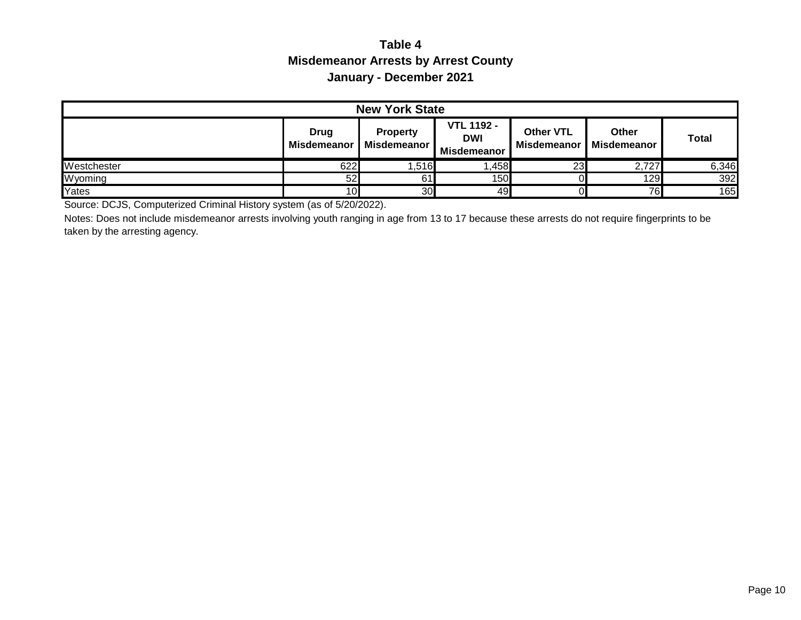## **Table 4 Misdemeanor Arrests by Arrest County January - December 2021**

| <b>New York State</b> |                     |                                |                                                |                                 |                      |              |
|-----------------------|---------------------|--------------------------------|------------------------------------------------|---------------------------------|----------------------|--------------|
|                       | Drug<br>Misdemeanor | <b>Property</b><br>Misdemeanor | <b>VTL 1192 -</b><br><b>DWI</b><br>Misdemeanor | <b>Other VTL</b><br>Misdemeanor | Other<br>Misdemeanor | <b>Total</b> |
| Westchester           | 622                 | 1,516                          | ,458                                           | 23                              | 2,727                | 6,346        |
| Wyoming               | 52                  | 61                             | 150                                            |                                 | 129                  | 392          |
| Yates                 | 10                  | 30                             | 49                                             |                                 | 76                   | 165          |

Source: DCJS, Computerized Criminal History system (as of 5/20/2022).

Notes: Does not include misdemeanor arrests involving youth ranging in age from 13 to 17 because these arrests do not require fingerprints to be taken by the arresting agency.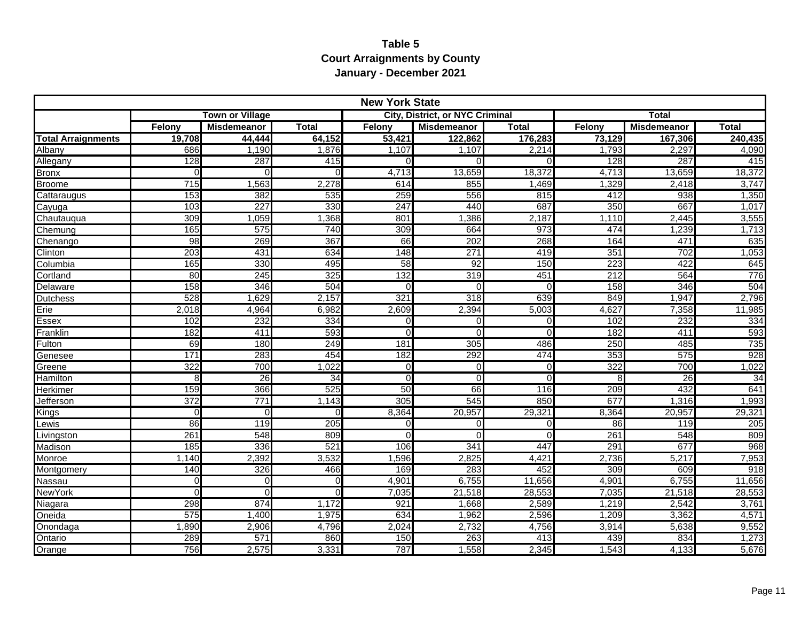#### **Table 5 Court Arraignments by County January - December 2021**

|                           |          |                        |              | <b>New York State</b> |                                        |                |        |                    |              |
|---------------------------|----------|------------------------|--------------|-----------------------|----------------------------------------|----------------|--------|--------------------|--------------|
|                           |          | <b>Town or Village</b> |              |                       | <b>City, District, or NYC Criminal</b> |                |        | <b>Total</b>       |              |
|                           | Felony   | <b>Misdemeanor</b>     | <b>Total</b> | Felony                | <b>Misdemeanor</b>                     | <b>Total</b>   | Felony | <b>Misdemeanor</b> | <b>Total</b> |
| <b>Total Arraignments</b> | 19,708   | 44,444                 | 64,152       | 53,421                | 122,862                                | 176,283        | 73,129 | 167,306            | 240,435      |
| Albany                    | 686      | 1,190                  | 1,876        | 1,107                 | 1.107                                  | 2,214          | 1,793  | 2,297              | 4,090        |
| Allegany                  | 128      | 287                    | 415          | $\Omega$              | $\Omega$                               | $\Omega$       | 128    | 287                | 415          |
| Bronx                     | O        | $\Omega$               | U            | 4,713                 | 13,659                                 | 18,372         | 4,713  | 13,659             | 18,372       |
| <b>Broome</b>             | 715      | 1,563                  | 2,278        | 614                   | 855                                    | 1,469          | 1,329  | 2,418              | 3,747        |
| Cattaraugus               | 153      | 382                    | 535          | 259                   | 556                                    | 815            | 412    | 938                | 1,350        |
| Cayuga                    | 103      | 227                    | 330          | 247                   | 440                                    | 687            | 350    | 667                | 1,017        |
| Chautauqua                | 309      | 1,059                  | 1,368        | 801                   | 1,386                                  | 2,187          | 1,110  | 2,445              | 3,555        |
| Chemung                   | 165      | 575                    | 740          | 309                   | 664                                    | 973            | 474    | 1,239              | 1,713        |
| Chenango                  | 98       | 269                    | 367          | 66                    | 202                                    | 268            | 164    | 471                | 635          |
| Clinton                   | 203      | 431                    | 634          | 148                   | 271                                    | 419            | 351    | 702                | 1,053        |
| Columbia                  | 165      | 330                    | 495          | 58                    | $\overline{92}$                        | 150            | 223    | 422                | 645          |
| Cortland                  | 80       | 245                    | 325          | 132                   | 319                                    | 451            | 212    | 564                | 776          |
| Delaware                  | 158      | 346                    | 504          | $\Omega$              | $\Omega$                               | $\Omega$       | 158    | 346                | 504          |
| Dutchess                  | 528      | 1,629                  | 2,157        | 321                   | 318                                    | 639            | 849    | 1,947              | 2,796        |
| Erie                      | 2,018    | 4,964                  | 6,982        | 2,609                 | 2,394                                  | 5,003          | 4,627  | 7,358              | 11,985       |
| Essex                     | 102      | 232                    | 334          | $\Omega$              | $\Omega$                               | $\Omega$       | 102    | 232                | 334          |
| Franklin                  | 182      | 411                    | 593          | $\Omega$              | $\Omega$                               | $\Omega$       | 182    | 411                | 593          |
| Fulton                    | 69       | 180                    | 249          | 181                   | 305                                    | 486            | 250    | 485                | 735          |
| Genesee                   | 171      | 283                    | 454          | 182                   | 292                                    | 474            | 353    | 575                | 928          |
| Greene                    | 322      | 700                    | 1,022        | $\Omega$              | $\Omega$                               | $\Omega$       | 322    | 700                | 1,022        |
| Hamilton                  | 8        | 26                     | 34           | $\overline{0}$        | $\Omega$                               | $\overline{0}$ | 8      | 26                 | 34           |
| Herkimer                  | 159      | 366                    | 525          | 50                    | 66                                     | 116            | 209    | 432                | 641          |
| Jefferson                 | 372      | 771                    | 1,143        | 305                   | 545                                    | 850            | 677    | 1,316              | 1,993        |
| Kings                     | $\Omega$ | $\Omega$               | $\Omega$     | 8,364                 | 20,957                                 | 29,321         | 8,364  | 20,957             | 29,321       |
| Lewis                     | 86       | 119                    | 205          | 0                     | $\Omega$                               | $\pmb{0}$      | 86     | 119                | 205          |
| Livingston                | 261      | 548                    | 809          | $\Omega$              | $\Omega$                               | $\Omega$       | 261    | 548                | 809          |
| Madison                   | 185      | 336                    | 521          | 106                   | 341                                    | 447            | 291    | 677                | 968          |
| Monroe                    | 1,140    | 2,392                  | 3,532        | 1,596                 | 2,825                                  | 4,421          | 2,736  | 5,217              | 7,953        |
| Montgomery                | 140      | 326                    | 466          | 169                   | 283                                    | 452            | 309    | 609                | 918          |
| <b>Nassau</b>             | 0        | $\Omega$               | $\Omega$     | 4,901                 | 6,755                                  | 11,656         | 4,901  | 6,755              | 11,656       |
| <b>NewYork</b>            | $\Omega$ | $\Omega$               | $\Omega$     | 7,035                 | 21,518                                 | 28,553         | 7,035  | 21,518             | 28,553       |
| Niagara                   | 298      | 874                    | 1,172        | 921                   | 1,668                                  | 2,589          | 1,219  | 2,542              | 3,761        |
| Oneida                    | 575      | 1,400                  | 1,975        | 634                   | 1,962                                  | 2,596          | 1,209  | 3,362              | 4,571        |
| Onondaga                  | 1,890    | 2,906                  | 4,796        | 2,024                 | 2,732                                  | 4,756          | 3,914  | 5,638              | 9,552        |
| Ontario                   | 289      | 571                    | 860          | 150                   | 263                                    | 413            | 439    | 834                | 1,273        |
| Orange                    | 756      | 2,575                  | 3,331        | 787                   | 1,558                                  | 2,345          | 1,543  | 4,133              | 5,676        |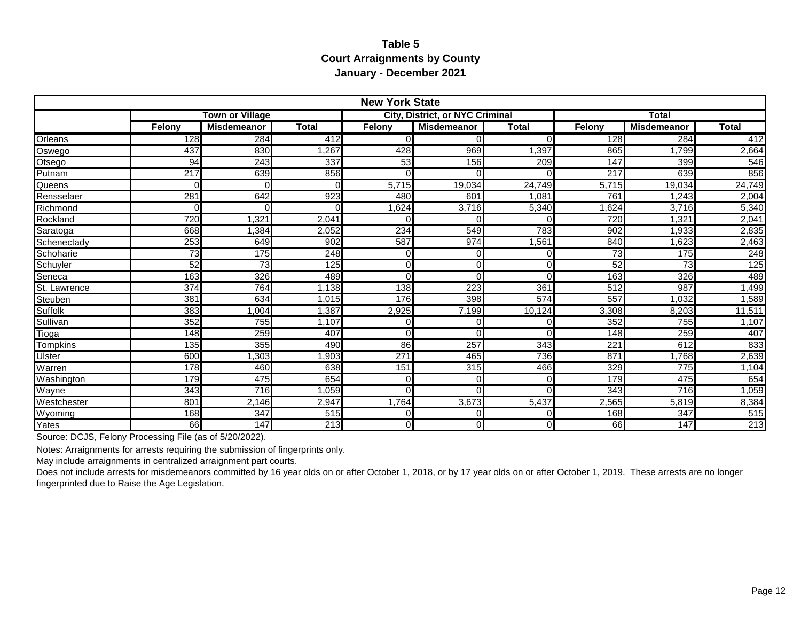#### **Table 5 Court Arraignments by County January - December 2021**

|                | <b>New York State</b> |                        |              |                |                                        |              |        |                    |               |  |
|----------------|-----------------------|------------------------|--------------|----------------|----------------------------------------|--------------|--------|--------------------|---------------|--|
|                |                       | <b>Town or Village</b> |              |                | <b>City, District, or NYC Criminal</b> |              |        | <b>Total</b>       |               |  |
|                | Felony                | <b>Misdemeanor</b>     | <b>Total</b> | Felony         | <b>Misdemeanor</b>                     | <b>Total</b> | Felony | <b>Misdemeanor</b> | Total         |  |
| <b>Orleans</b> | 128                   | 284                    | 412          | $\Omega$       |                                        | $\Omega$     | 128    | 284                | 412           |  |
| Oswego         | 437                   | 830                    | ,267         | 428            | 969                                    | 1,397        | 865    | 1,799              | 2,664         |  |
| Otsego         | 94                    | 243                    | 337          | 53             | 156                                    | 209          | 147    | 399                | 546           |  |
| Putnam         | 217                   | 639                    | 856          | $\Omega$       |                                        |              | 217    | 639                | 856           |  |
| Queens         | O                     | C                      |              | 5.715          | 19,034                                 | 24,749       | 5.715  | 19,034             | 24,749        |  |
| Rensselaer     | 281                   | 642                    | 923          | 480            | 601                                    | 1.081        | 761    | 1.243              | 2,004         |  |
| Richmond       | O                     |                        |              | 1,624          | 3,716                                  | 5,340        | .624   | 3,716              | 5,340         |  |
| Rockland       | 720                   | .321                   | 2,041        | $\Omega$       |                                        | ∩            | 720    | 1.321              | 2,041         |  |
| Saratoga       | 668                   | , 384                  | 2,052        | 234            | 549                                    | 783          | 902    | 1,933              | 2,835         |  |
| Schenectady    | 253                   | 649                    | 902          | 587            | 974                                    | 1,561        | 840    | 1,623              | 2,463         |  |
| Schoharie      | 73                    | 175                    | 248          | 0              |                                        | O            | 73     | 175                | 248           |  |
| Schuyler       | 52                    | 73                     | 125          | $\overline{0}$ |                                        | $\Omega$     | 52     | 73                 | 125           |  |
| Seneca         | 163                   | 326                    | 489          | $\Omega$       |                                        | $\Omega$     | 163    | 326                | 489           |  |
| St. Lawrence   | 374                   | 764                    | ,138         | 138            | 223                                    | 361          | 512    | 987                | ,499          |  |
| Steuben        | 381                   | 634                    | 1,015        | 176            | 398                                    | 574          | 557    | 1,032              | ,589          |  |
| <b>Suffolk</b> | 383                   | ,004                   | 1,387        | 2,925          | 7,199                                  | 10,124       | 3,308  | 8,203              | 11,511        |  |
| Sullivan       | 352                   | 755                    | 1,107        | 0              |                                        | $\Omega$     | 352    | 755                | 1,107         |  |
| Tioga          | 148                   | 259                    | 407          | $\Omega$       |                                        | $\Omega$     | 148    | 259                | 407           |  |
| Tompkins       | 135                   | 355                    | 490          | 86             | 257                                    | 343          | 221    | 612                | 833           |  |
| Ulster         | 600                   | ,303                   | ,903         | 271            | 465                                    | 736          | 871    | ,768               | 2,639         |  |
| Warren         | 178                   | 460                    | 638          | 151            | 315                                    | 466          | 329    | 775                | 1,104         |  |
| Washington     | 179                   | 475                    | 654          | $\Omega$       |                                        | $\Omega$     | 179    | 475                | 654           |  |
| Wayne          | 343                   | 716                    | 1,059        | $\Omega$       |                                        | $\Omega$     | 343    | 716                | 1,059         |  |
| Westchester    | 801                   | 2,146                  | 2,947        | 1,764          | 3,673                                  | 5,437        | 2,565  | 5,819              | 8,384         |  |
| Wyoming        | 168                   | 347                    | 515          | $\overline{0}$ | $\Omega$                               | $\Omega$     | 168    | 347                | 515           |  |
| Yates          | 66                    | $\overline{147}$       | 213          | $\overline{O}$ | $\cap$                                 | $\Omega$     | 66     | 147                | $\boxed{213}$ |  |

Source: DCJS, Felony Processing File (as of 5/20/2022).

Notes: Arraignments for arrests requiring the submission of fingerprints only.

May include arraignments in centralized arraignment part courts.

Does not include arrests for misdemeanors committed by 16 year olds on or after October 1, 2018, or by 17 year olds on or after October 1, 2019. These arrests are no longer fingerprinted due to Raise the Age Legislation.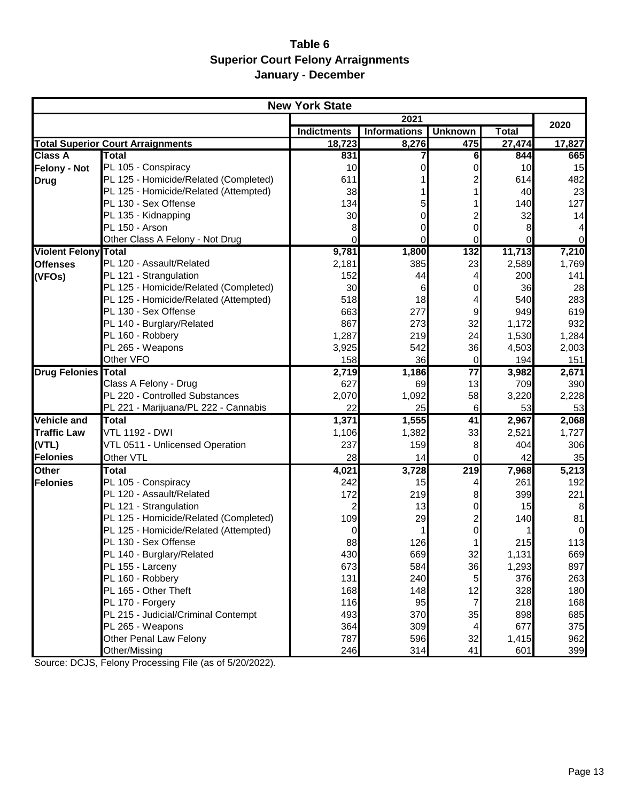## **Table 6 Superior Court Felony Arraignments January - December**

|                             |                                          | <b>New York State</b> |                     |                |              |        |
|-----------------------------|------------------------------------------|-----------------------|---------------------|----------------|--------------|--------|
|                             |                                          |                       | 2021                |                |              |        |
|                             |                                          | <b>Indictments</b>    | <b>Informations</b> | <b>Unknown</b> | <b>Total</b> | 2020   |
|                             | <b>Total Superior Court Arraignments</b> | 18,723                | 8,276               | 475            | 27,474       | 17,827 |
| <b>Class A</b>              | Total                                    | 831                   |                     | 6              | 844          | 665    |
| <b>Felony - Not</b>         | PL 105 - Conspiracy                      | 10                    | 0                   | 0              | 10           | 15     |
| <b>Drug</b>                 | PL 125 - Homicide/Related (Completed)    | 611                   |                     |                | 614          | 482    |
|                             | PL 125 - Homicide/Related (Attempted)    | 38                    |                     |                | 40           | 23     |
|                             | PL 130 - Sex Offense                     | 134                   |                     |                | 140          | 127    |
|                             | PL 135 - Kidnapping                      | 30                    | 0                   |                | 32           | 14     |
|                             | PL 150 - Arson                           | 8                     | 0                   | 0              | 8            | 4      |
|                             | Other Class A Felony - Not Drug          | 0                     | 0                   | 0              | 0            | 0      |
| <b>Violent Felony Total</b> |                                          | 9,781                 | 1,800               | 132            | 11,713       | 7,210  |
| <b>Offenses</b>             | PL 120 - Assault/Related                 | 2,181                 | 385                 | 23             | 2,589        | 1,769  |
| (VFOs)                      | PL 121 - Strangulation                   | 152                   | 44                  |                | 200          | 141    |
|                             | PL 125 - Homicide/Related (Completed)    | 30                    | 6                   | 0              | 36           | 28     |
|                             | PL 125 - Homicide/Related (Attempted)    | 518                   | 18                  |                | 540          | 283    |
|                             | PL 130 - Sex Offense                     | 663                   | 277                 | 9              | 949          | 619    |
|                             | PL 140 - Burglary/Related                | 867                   | 273                 | 32             | 1,172        | 932    |
|                             | PL 160 - Robbery                         | 1,287                 | 219                 | 24             | 1,530        | 1,284  |
|                             | PL 265 - Weapons                         | 3,925                 | 542                 | 36             | 4,503        | 2,003  |
|                             | Other VFO                                | 158                   | 36                  | 0              | 194          | 151    |
| <b>Drug Felonies Total</b>  |                                          | 2,719                 | 1,186               | 77             | 3,982        | 2,671  |
|                             | Class A Felony - Drug                    | 627                   | 69                  | 13             | 709          | 390    |
|                             | PL 220 - Controlled Substances           | 2,070                 | 1,092               | 58             | 3,220        | 2,228  |
|                             | PL 221 - Marijuana/PL 222 - Cannabis     | 22                    | 25                  | $\,6$          | 53           | 53     |
| <b>Vehicle and</b>          | Total                                    | 1,371                 | 1,555               | 41             | 2,967        | 2,068  |
| <b>Traffic Law</b>          | <b>VTL 1192 - DWI</b>                    | 1,106                 | 1,382               | 33             | 2,521        | 1,727  |
| (VTL)                       | VTL 0511 - Unlicensed Operation          | 237                   | 159                 | 8              | 404          | 306    |
| <b>Felonies</b>             | Other VTL                                | 28                    | 14                  | 0              | 42           | 35     |
| <b>Other</b>                | Total                                    | 4,021                 | 3,728               | 219            | 7,968        | 5,213  |
| <b>Felonies</b>             | PL 105 - Conspiracy                      | 242                   | 15                  | 4              | 261          | 192    |
|                             | PL 120 - Assault/Related                 | 172                   | 219                 | 8              | 399          | 221    |
|                             | PL 121 - Strangulation                   | 2                     | 13                  | 0              | 15           | 8      |
|                             | PL 125 - Homicide/Related (Completed)    | 109                   | 29                  |                | 140          | 81     |
|                             | PL 125 - Homicide/Related (Attempted)    | 0                     |                     | 0              |              | 0      |
|                             | PL 130 - Sex Offense                     | 88                    | 126                 | 11             | 215          | 113    |
|                             | PL 140 - Burglary/Related                | 430                   | 669                 | 32             | 1,131        | 669    |
|                             | PL 155 - Larceny                         | 673                   | 584                 | 36             | 1,293        | 897    |
|                             | PL 160 - Robbery                         | 131                   | 240                 | 5              | 376          | 263    |
|                             | PL 165 - Other Theft                     | 168                   | 148                 | 12             | 328          | 180    |
|                             | PL 170 - Forgery                         | 116                   | 95                  | 7              | 218          | 168    |
|                             | PL 215 - Judicial/Criminal Contempt      | 493                   | 370                 | 35             | 898          | 685    |
|                             | PL 265 - Weapons                         | 364                   | 309                 | 4              | 677          | 375    |
|                             | Other Penal Law Felony                   | 787                   | 596                 | 32             | 1,415        | 962    |
|                             | Other/Missing                            | 246                   | 314                 | 41             | 601          | 399    |

Source: DCJS, Felony Processing File (as of 5/20/2022).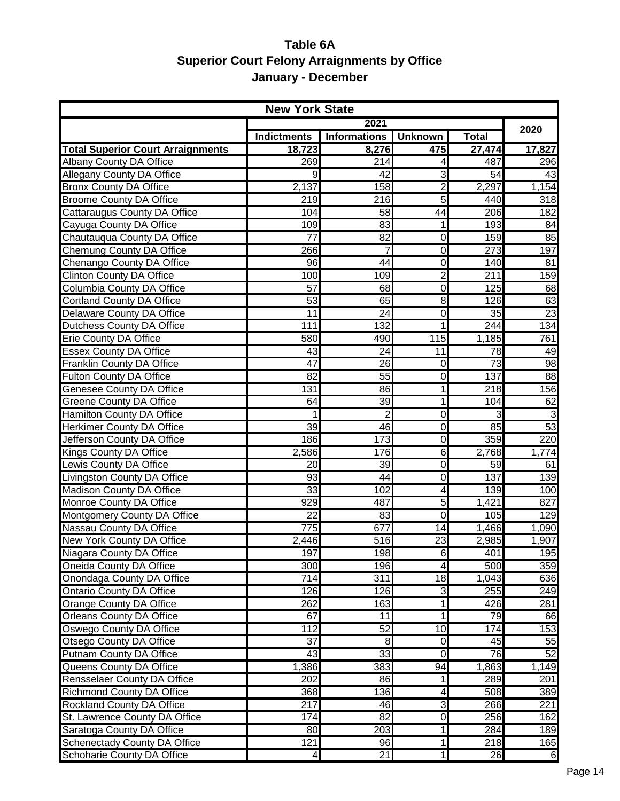## **Table 6A Superior Court Felony Arraignments by Office January - December**

| <b>New York State</b>                    |                    |                     |                         |                  |                  |  |  |
|------------------------------------------|--------------------|---------------------|-------------------------|------------------|------------------|--|--|
|                                          |                    | 2021                |                         |                  | 2020             |  |  |
|                                          | <b>Indictments</b> | <b>Informations</b> | <b>Unknown</b>          | <b>Total</b>     |                  |  |  |
| <b>Total Superior Court Arraignments</b> | 18,723             | 8,276               | 475                     | 27,474           | 17,827           |  |  |
| <b>Albany County DA Office</b>           | 269                | 214                 | 4                       | 487              | 296              |  |  |
| <b>Allegany County DA Office</b>         | 9                  | $\overline{42}$     | 3                       | $\overline{54}$  | 43               |  |  |
| <b>Bronx County DA Office</b>            | 2,137              | 158                 | $\overline{2}$          | 2,297            | 1,154            |  |  |
| <b>Broome County DA Office</b>           | 219                | 216                 | 5                       | 440              | $\overline{318}$ |  |  |
| <b>Cattaraugus County DA Office</b>      | 104                | $\overline{58}$     | 44                      | 206              | 182              |  |  |
| Cayuga County DA Office                  | 109                | 83                  | 1                       | 193              | 84               |  |  |
| Chautauqua County DA Office              | $\overline{77}$    | 82                  | O                       | 159              | 85               |  |  |
| <b>Chemung County DA Office</b>          | 266                | 7                   | $\overline{0}$          | $\overline{273}$ | 197              |  |  |
| Chenango County DA Office                | 96                 | $\overline{44}$     | O                       | 140              | 81               |  |  |
| <b>Clinton County DA Office</b>          | 100                | 109                 | $\overline{2}$          | 211              | 159              |  |  |
| <b>Columbia County DA Office</b>         | $\overline{57}$    | 68                  | $\overline{0}$          | 125              | 68               |  |  |
| <b>Cortland County DA Office</b>         | 53                 | 65                  | 8                       | 126              | 63               |  |  |
| Delaware County DA Office                | $\overline{11}$    | 24                  | Ō                       | 35               | 23               |  |  |
| <b>Dutchess County DA Office</b>         | 111                | 132                 | 1                       | 244              | 134              |  |  |
| Erie County DA Office                    | 580                | 490                 | 115                     | 1,185            | 761              |  |  |
| <b>Essex County DA Office</b>            | $\overline{43}$    | $\overline{24}$     | 11                      | 78               | 49               |  |  |
| <b>Franklin County DA Office</b>         | 47                 | 26                  | $\overline{0}$          | 73               | 98               |  |  |
| <b>Fulton County DA Office</b>           | $\overline{82}$    | $\overline{55}$     | $\overline{0}$          | 137              | 88               |  |  |
| <b>Genesee County DA Office</b>          | 131                | 86                  | 1                       | $\overline{218}$ | 156              |  |  |
| <b>Greene County DA Office</b>           | 64                 | 39                  | 1                       | 104              | 62               |  |  |
| Hamilton County DA Office                | 1                  | $\overline{2}$      | O                       | 3                | 3                |  |  |
| <b>Herkimer County DA Office</b>         | 39                 | 46                  | $\overline{0}$          | $\overline{85}$  | 53               |  |  |
| Jefferson County DA Office               | 186                | 173                 | $\overline{0}$          | 359              | 220              |  |  |
| <b>Kings County DA Office</b>            | 2,586              | 176                 | 6                       | 2,768            | 1,774            |  |  |
| Lewis County DA Office                   | 20                 | 39                  | O                       | 59               | 61               |  |  |
| Livingston County DA Office              | $\overline{93}$    | 44                  | O                       | 137              | 139              |  |  |
| Madison County DA Office                 | 33                 | 102                 | $\overline{\mathbf{A}}$ | 139              | 100              |  |  |
| Monroe County DA Office                  | 929                | 487                 | 5                       | 1,421            | 827              |  |  |
| <b>Montgomery County DA Office</b>       | $\overline{22}$    | 83                  | $\overline{0}$          | 105              | 129              |  |  |
| <b>Nassau County DA Office</b>           | 775                | 677                 | 14                      | 1,466            | 1,090            |  |  |
| New York County DA Office                | 2,446              | 516                 | 23                      | 2,985            | 1,907            |  |  |
| Niagara County DA Office                 | 197                | 198                 | $\circ$                 | 401              | 195              |  |  |
| Oneida County DA Office                  | 300                | 196                 | $\overline{\mathbf{A}}$ | 500              | 359              |  |  |
| Onondaga County DA Office                | 714                | 311                 | 18                      | 1,043            | 636              |  |  |
| <b>Ontario County DA Office</b>          | 126                | 126                 | 3                       | 255              | 249              |  |  |
| Orange County DA Office                  | 262                | 163                 | $\mathbf{1}$            | 426              | 281              |  |  |
| <b>Orleans County DA Office</b>          | 67                 | 11                  | 1                       | 79               | 66               |  |  |
| <b>Oswego County DA Office</b>           | 112                | 52                  | $\overline{10}$         | 174              | 153              |  |  |
| Otsego County DA Office                  | 37                 | 8                   | $\overline{0}$          | 45               | 55               |  |  |
| <b>Putnam County DA Office</b>           | 43                 | 33                  | $\overline{0}$          | 76               | 52               |  |  |
| Queens County DA Office                  | 1,386              | 383                 | 94                      | 1,863            | 1,149            |  |  |
| Rensselaer County DA Office              | 202                | 86                  | $\mathbf{1}$            | 289              | 201              |  |  |
| <b>Richmond County DA Office</b>         | 368                | 136                 | $\overline{\mathbf{4}}$ | 508              | 389              |  |  |
| Rockland County DA Office                | $\overline{217}$   | 46                  | 3                       | 266              | 221              |  |  |
| St. Lawrence County DA Office            | 174                | $\overline{82}$     | ō                       | 256              | 162              |  |  |
| Saratoga County DA Office                | 80                 | 203                 | $\mathbf{1}$            | 284              | 189              |  |  |
| <b>Schenectady County DA Office</b>      | 121                | 96                  | $\mathbf{1}$            | 218              | 165              |  |  |
| Schoharie County DA Office               | $\vert 4 \vert$    | 21                  | $\mathbf{1}$            | 26               | $6 \overline{6}$ |  |  |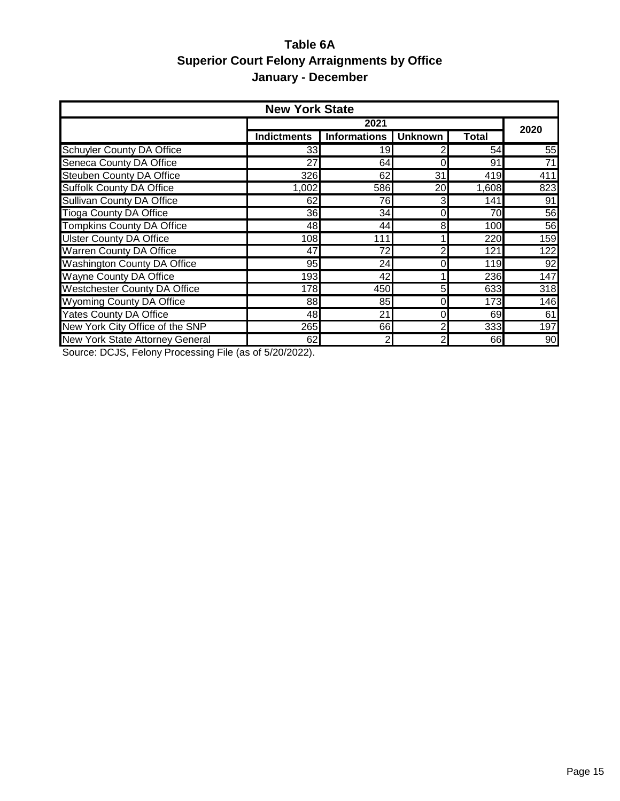## **Table 6A Superior Court Felony Arraignments by Office January - December**

| <b>New York State</b>                  |                    |                        |          |       |                  |  |  |
|----------------------------------------|--------------------|------------------------|----------|-------|------------------|--|--|
|                                        |                    | 2021                   |          |       |                  |  |  |
|                                        | <b>Indictments</b> | Informations   Unknown |          | Total | 2020             |  |  |
| Schuyler County DA Office              | 331                | 19                     |          | 54    | 55               |  |  |
| <b>Seneca County DA Office</b>         | $\overline{27}$    | 64                     | 0        | 91    | $\overline{71}$  |  |  |
| <b>Steuben County DA Office</b>        | 326                | 62                     | 31       | 419   | 411              |  |  |
| <b>Suffolk County DA Office</b>        | 1,002              | 586                    | 20       | 1,608 | 823              |  |  |
| <b>Sullivan County DA Office</b>       | 62                 | 76                     | 3        | 141   | 91               |  |  |
| <b>Tioga County DA Office</b>          | 36                 | 34                     | $\Omega$ | 70    | 56               |  |  |
| <b>Tompkins County DA Office</b>       | 48                 | 44                     | 8        | 100   | 56               |  |  |
| <b>Ulster County DA Office</b>         | 108                | 111                    |          | 220   | 159              |  |  |
| <b>Warren County DA Office</b>         | 47                 | 72                     |          | 121   | 122              |  |  |
| <b>Washington County DA Office</b>     | 95                 | 24                     | 0        | 119   | 92               |  |  |
| <b>Wayne County DA Office</b>          | 193                | 42                     |          | 236   | 147              |  |  |
| <b>Westchester County DA Office</b>    | 178                | 450                    | 5        | 633   | $\overline{318}$ |  |  |
| <b>Wyoming County DA Office</b>        | 88                 | 85                     |          | 173   | 146              |  |  |
| <b>Yates County DA Office</b>          | 48                 | 21                     |          | 69    | 61               |  |  |
| New York City Office of the SNP        | <b>265</b>         | 661                    |          | 333   | 197              |  |  |
| <b>New York State Attorney General</b> | 62                 | 2                      | 2        | 66    | 90               |  |  |

Source: DCJS, Felony Processing File (as of 5/20/2022).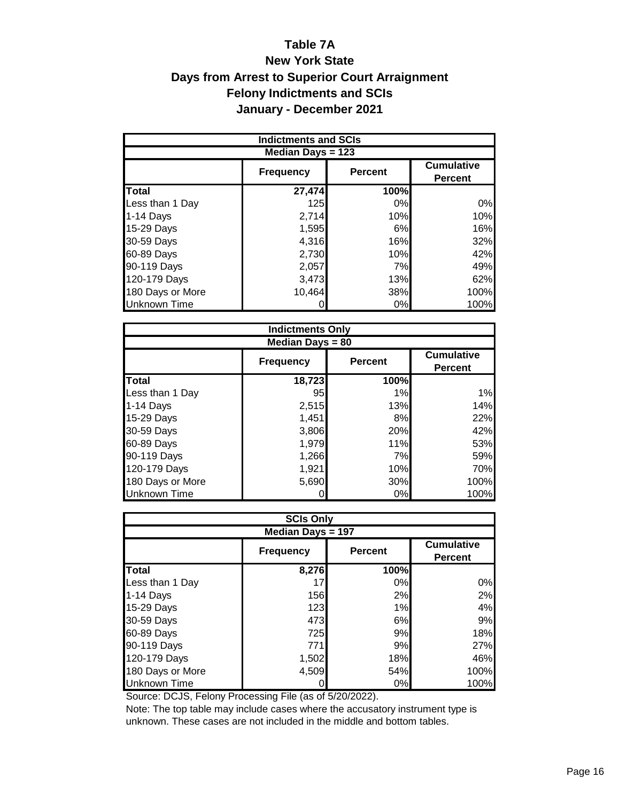## **Table 7A New York State Days from Arrest to Superior Court Arraignment Felony Indictments and SCIs January - December 2021**

|                     | <b>Indictments and SCIs</b> |                                     |      |  |  |  |
|---------------------|-----------------------------|-------------------------------------|------|--|--|--|
| Median Days = 123   |                             |                                     |      |  |  |  |
|                     | <b>Frequency</b>            | <b>Cumulative</b><br><b>Percent</b> |      |  |  |  |
| <b>Total</b>        | 27,474                      | 100%                                |      |  |  |  |
| Less than 1 Day     | <b>125</b>                  | 0%                                  | 0%   |  |  |  |
|                     |                             |                                     |      |  |  |  |
| $1-14$ Days         | 2,714                       | 10%                                 | 10%  |  |  |  |
| 15-29 Days          | 1,595                       | 6%                                  | 16%  |  |  |  |
| 30-59 Days          | 4,316                       | 16%                                 | 32%  |  |  |  |
| 60-89 Days          | 2,730                       | 10%                                 | 42%  |  |  |  |
| 90-119 Days         | 2,057                       | 7%                                  | 49%  |  |  |  |
| 120-179 Days        | 3,473                       | 13%                                 | 62%  |  |  |  |
| 180 Days or More    | 10,464                      | 38%                                 | 100% |  |  |  |
| <b>Unknown Time</b> |                             | 0%                                  | 100% |  |  |  |

|                     | <b>Indictments Only</b> |                |                                     |  |  |  |  |
|---------------------|-------------------------|----------------|-------------------------------------|--|--|--|--|
| Median Days $= 80$  |                         |                |                                     |  |  |  |  |
|                     | <b>Frequency</b>        | <b>Percent</b> | <b>Cumulative</b><br><b>Percent</b> |  |  |  |  |
| <b>Total</b>        | 18,723                  | 100%           |                                     |  |  |  |  |
| Less than 1 Day     | 95                      | 1%             | 1%                                  |  |  |  |  |
| 1-14 Days           | 2,515                   | 13%            | 14%                                 |  |  |  |  |
| 15-29 Days          | 1,451                   | 8%             | 22%                                 |  |  |  |  |
| 30-59 Days          | 3,806                   | 20%            | 42%                                 |  |  |  |  |
| 60-89 Days          | 1,979                   | 11%            | 53%                                 |  |  |  |  |
| 90-119 Days         | 1,266                   | 7%             | 59%                                 |  |  |  |  |
| 120-179 Days        | 1,921                   | 10%            | 70%                                 |  |  |  |  |
| 180 Days or More    | 5,690                   | 30%            | 100%                                |  |  |  |  |
| <b>Unknown Time</b> |                         | 0%             | 100%                                |  |  |  |  |

|                                                                           | <b>SCIs Only</b> |      |      |  |  |  |  |
|---------------------------------------------------------------------------|------------------|------|------|--|--|--|--|
| Median Days = 197                                                         |                  |      |      |  |  |  |  |
| <b>Cumulative</b><br><b>Percent</b><br><b>Frequency</b><br><b>Percent</b> |                  |      |      |  |  |  |  |
| <b>Total</b>                                                              | 8,276            | 100% |      |  |  |  |  |
| Less than 1 Day                                                           | 17               | 0%   | 0%   |  |  |  |  |
| 1-14 Days                                                                 | 156              | 2%   | 2%   |  |  |  |  |
| 15-29 Days                                                                | 123              | 1%   | 4%   |  |  |  |  |
| 30-59 Days                                                                | 473              | 6%   | 9%   |  |  |  |  |
| 60-89 Days                                                                | 725              | 9%   | 18%  |  |  |  |  |
| 90-119 Days                                                               | 771              | 9%   | 27%  |  |  |  |  |
| 120-179 Days                                                              | 1,502            | 18%  | 46%  |  |  |  |  |
| 180 Days or More                                                          | 4,509            | 54%  | 100% |  |  |  |  |
| Unknown Time                                                              |                  | 0%   | 100% |  |  |  |  |

Source: DCJS, Felony Processing File (as of 5/20/2022).

Note: The top table may include cases where the accusatory instrument type is unknown. These cases are not included in the middle and bottom tables.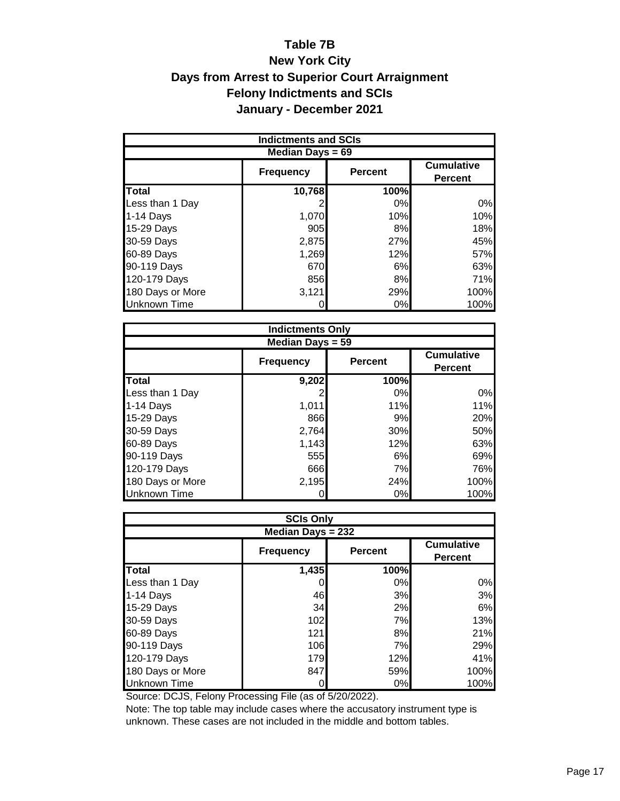## **Table 7B New York City Days from Arrest to Superior Court Arraignment Felony Indictments and SCIs January - December 2021**

| <b>Indictments and SCIs</b> |                  |                |                                     |  |  |  |  |  |  |  |
|-----------------------------|------------------|----------------|-------------------------------------|--|--|--|--|--|--|--|
| Median Days $= 69$          |                  |                |                                     |  |  |  |  |  |  |  |
|                             | <b>Frequency</b> | <b>Percent</b> | <b>Cumulative</b><br><b>Percent</b> |  |  |  |  |  |  |  |
| <b>Total</b>                | 10,768           | 100%           |                                     |  |  |  |  |  |  |  |
| Less than 1 Day             |                  | 0%             | 0%                                  |  |  |  |  |  |  |  |
| 1-14 Days                   | 1,070            | 10%            | 10%                                 |  |  |  |  |  |  |  |
| 15-29 Days                  | 905              | 8%             | 18%                                 |  |  |  |  |  |  |  |
| 30-59 Days                  | 2,875            | 27%            | 45%                                 |  |  |  |  |  |  |  |
| 60-89 Days                  | 1,269            | 12%            | 57%                                 |  |  |  |  |  |  |  |
| 90-119 Days                 | 670              | 6%             | 63%                                 |  |  |  |  |  |  |  |
| 120-179 Days                | 856              | 8%             | 71%                                 |  |  |  |  |  |  |  |
| 180 Days or More            | 3,121            | 29%            | 100%                                |  |  |  |  |  |  |  |
| <b>Unknown Time</b>         |                  | 0%             | 100%                                |  |  |  |  |  |  |  |

|                     | <b>Indictments Only</b> |                |                                     |  |  |  |  |  |  |  |  |
|---------------------|-------------------------|----------------|-------------------------------------|--|--|--|--|--|--|--|--|
|                     | Median Days $= 59$      |                |                                     |  |  |  |  |  |  |  |  |
|                     | <b>Frequency</b>        | <b>Percent</b> | <b>Cumulative</b><br><b>Percent</b> |  |  |  |  |  |  |  |  |
| <b>Total</b>        | 9,202                   | 100%           |                                     |  |  |  |  |  |  |  |  |
| Less than 1 Day     |                         | 0%             | 0%                                  |  |  |  |  |  |  |  |  |
| 1-14 Days           | 1,011                   | 11%            | 11%                                 |  |  |  |  |  |  |  |  |
| 15-29 Days          | 866                     | 9%             | 20%                                 |  |  |  |  |  |  |  |  |
| 30-59 Days          | 2,764                   | 30%            | 50%                                 |  |  |  |  |  |  |  |  |
| 60-89 Days          | 1,143                   | 12%            | 63%                                 |  |  |  |  |  |  |  |  |
| 90-119 Days         | 555                     | 6%             | 69%                                 |  |  |  |  |  |  |  |  |
| 120-179 Days        | 666                     | 7%             | 76%                                 |  |  |  |  |  |  |  |  |
| 180 Days or More    | 2,195                   | 24%            | 100%                                |  |  |  |  |  |  |  |  |
| <b>Unknown Time</b> |                         | 0%             | 100%                                |  |  |  |  |  |  |  |  |

|                          | <b>SCIs Only</b> |                |                                     |  |  |  |  |  |  |  |
|--------------------------|------------------|----------------|-------------------------------------|--|--|--|--|--|--|--|
| <b>Median Days = 232</b> |                  |                |                                     |  |  |  |  |  |  |  |
|                          | <b>Frequency</b> | <b>Percent</b> | <b>Cumulative</b><br><b>Percent</b> |  |  |  |  |  |  |  |
| Total                    | 1,435            | 100%           |                                     |  |  |  |  |  |  |  |
| Less than 1 Day          |                  | 0%             | 0%                                  |  |  |  |  |  |  |  |
| 1-14 Days                | 46               | 3%             | 3%                                  |  |  |  |  |  |  |  |
| 15-29 Days               | 34               | 2%             | 6%                                  |  |  |  |  |  |  |  |
| 30-59 Days               | 102              | 7%             | 13%                                 |  |  |  |  |  |  |  |
| 60-89 Days               | 121              | 8%             | 21%                                 |  |  |  |  |  |  |  |
| 90-119 Days              | 106              | 7%             | 29%                                 |  |  |  |  |  |  |  |
| 120-179 Days             | 179              | 12%            | 41%                                 |  |  |  |  |  |  |  |
| 180 Days or More         | 847              | 59%            | 100%                                |  |  |  |  |  |  |  |
| Unknown Time             |                  | 0%             | 100%                                |  |  |  |  |  |  |  |

Source: DCJS, Felony Processing File (as of 5/20/2022).

Note: The top table may include cases where the accusatory instrument type is unknown. These cases are not included in the middle and bottom tables.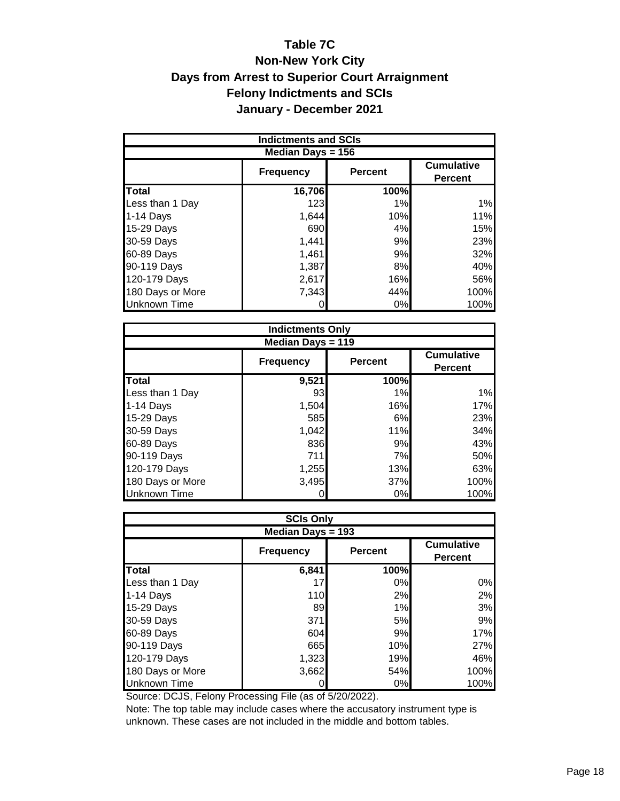## **Table 7C Non-New York City Days from Arrest to Superior Court Arraignment Felony Indictments and SCIs January - December 2021**

| <b>Indictments and SCIs</b> |                  |                |                                     |  |  |  |  |  |  |  |
|-----------------------------|------------------|----------------|-------------------------------------|--|--|--|--|--|--|--|
| Median Days $= 156$         |                  |                |                                     |  |  |  |  |  |  |  |
|                             | <b>Frequency</b> | <b>Percent</b> | <b>Cumulative</b><br><b>Percent</b> |  |  |  |  |  |  |  |
| <b>Total</b>                | 16,706           | 100%           |                                     |  |  |  |  |  |  |  |
| Less than 1 Day             | 123              | 1%             | 1%                                  |  |  |  |  |  |  |  |
| 1-14 Days                   | 1,644            | 10%            | 11%                                 |  |  |  |  |  |  |  |
| 15-29 Days                  | 690              | 4%             | 15%                                 |  |  |  |  |  |  |  |
| 30-59 Days                  | 1,441            | 9%             | 23%                                 |  |  |  |  |  |  |  |
| 60-89 Days                  | 1,461            | 9%             | 32%                                 |  |  |  |  |  |  |  |
| 90-119 Days                 | 1,387            | 8%             | 40%                                 |  |  |  |  |  |  |  |
| 120-179 Days                | 2,617            | 16%            | 56%                                 |  |  |  |  |  |  |  |
| 180 Days or More            | 7,343            | 44%            | 100%                                |  |  |  |  |  |  |  |
| <b>Unknown Time</b>         |                  | 0%             | 100%                                |  |  |  |  |  |  |  |

| <b>Indictments Only</b>  |                  |                |                                     |  |  |  |  |  |  |  |
|--------------------------|------------------|----------------|-------------------------------------|--|--|--|--|--|--|--|
| <b>Median Days = 119</b> |                  |                |                                     |  |  |  |  |  |  |  |
|                          | <b>Frequency</b> | <b>Percent</b> | <b>Cumulative</b><br><b>Percent</b> |  |  |  |  |  |  |  |
| <b>Total</b>             | 9,521            | 100%           |                                     |  |  |  |  |  |  |  |
| Less than 1 Day          | 93               | 1%             | 1%                                  |  |  |  |  |  |  |  |
| 1-14 Days                | 1,504            | 16%            | 17%                                 |  |  |  |  |  |  |  |
| 15-29 Days               | 585              | 6%             | 23%                                 |  |  |  |  |  |  |  |
| 30-59 Days               | 1,042            | 11%            | 34%                                 |  |  |  |  |  |  |  |
| 60-89 Days               | 836              | 9%             | 43%                                 |  |  |  |  |  |  |  |
| 90-119 Days              | 711              | 7%             | 50%                                 |  |  |  |  |  |  |  |
| 120-179 Days             | 1,255            | 13%            | 63%                                 |  |  |  |  |  |  |  |
| 180 Days or More         | 3,495            | 37%            | 100%                                |  |  |  |  |  |  |  |
| <b>Unknown Time</b>      |                  | 0%             | 100%                                |  |  |  |  |  |  |  |

|                     |                  | <b>SCIs Only</b> |                                     |  |  |  |  |  |  |  |  |  |
|---------------------|------------------|------------------|-------------------------------------|--|--|--|--|--|--|--|--|--|
| Median Days = 193   |                  |                  |                                     |  |  |  |  |  |  |  |  |  |
|                     | <b>Frequency</b> | <b>Percent</b>   | <b>Cumulative</b><br><b>Percent</b> |  |  |  |  |  |  |  |  |  |
| <b>Total</b>        | 6,841            | 100%             |                                     |  |  |  |  |  |  |  |  |  |
| Less than 1 Day     | 17               | 0%               | 0%                                  |  |  |  |  |  |  |  |  |  |
| $1-14$ Days         | 110              | 2%               | 2%                                  |  |  |  |  |  |  |  |  |  |
| 15-29 Days          | 89               | 1%               | 3%                                  |  |  |  |  |  |  |  |  |  |
| 30-59 Days          | 371              | 5%               | 9%                                  |  |  |  |  |  |  |  |  |  |
| 60-89 Days          | 604              | 9%               | 17%                                 |  |  |  |  |  |  |  |  |  |
| 90-119 Days         | 665              | 10%              | 27%                                 |  |  |  |  |  |  |  |  |  |
| 120-179 Days        | 1,323            | 19%              | 46%                                 |  |  |  |  |  |  |  |  |  |
| 180 Days or More    | 3,662            | 54%              | 100%                                |  |  |  |  |  |  |  |  |  |
| <b>Unknown Time</b> |                  | 0%               | 100%                                |  |  |  |  |  |  |  |  |  |

Source: DCJS, Felony Processing File (as of 5/20/2022).

Note: The top table may include cases where the accusatory instrument type is unknown. These cases are not included in the middle and bottom tables.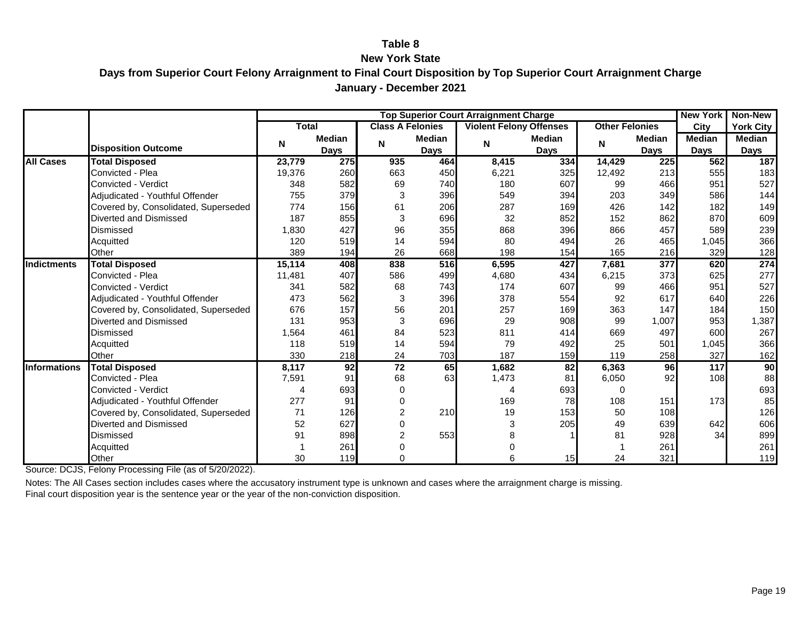#### **Table 8**

#### **New York State**

**Days from Superior Court Felony Arraignment to Final Court Disposition by Top Superior Court Arraignment Charge January - December 2021**

|                     |                                      |        |               |                         |        | <b>Top Superior Court Arraignment Charge</b> |        |                           |                  | <b>New York</b> | <b>Non-New</b>  |
|---------------------|--------------------------------------|--------|---------------|-------------------------|--------|----------------------------------------------|--------|---------------------------|------------------|-----------------|-----------------|
|                     |                                      | Total  |               | <b>Class A Felonies</b> |        | <b>Violent Felony Offenses</b>               |        | <b>Other Felonies</b>     |                  | City            | York City       |
|                     |                                      | N      | <b>Median</b> | N                       | Median | N                                            | Median | $\boldsymbol{\mathsf{N}}$ | Median           | <b>Median</b>   | Median          |
|                     | <b>Disposition Outcome</b>           |        | <b>Days</b>   |                         | Days   |                                              | Days   |                           | <b>Days</b>      | <b>Days</b>     | Days            |
| <b>All Cases</b>    | <b>Total Disposed</b>                | 23,779 | 275           | 935                     | 464    | 8,415                                        | 334    | 14,429                    | 225              | 562             | 187             |
|                     | Convicted - Plea                     | 19,376 | 260           | 663                     | 450    | 6,221                                        | 325    | 12,492                    | 213              | 555             | 183             |
|                     | Convicted - Verdict                  | 348    | 582           | 69                      | 740    | 180                                          | 607    | 99                        | 466              | 951             | 527             |
|                     | Adjudicated - Youthful Offender      | 755    | 379           | 3                       | 396    | 549                                          | 394    | 203                       | 349              | 586             | 144             |
|                     | Covered by, Consolidated, Superseded | 774    | 156           | 61                      | 206    | 287                                          | 169    | 426                       | 142              | 182             | 149             |
|                     | Diverted and Dismissed               | 187    | 855           | 3                       | 696    | 32                                           | 852    | 152                       | 862              | 870             | 609             |
|                     | Dismissed                            | 1,830  | 427           | 96                      | 355    | 868                                          | 396    | 866                       | 457              | 589             | 239             |
|                     | Acquitted                            | 120    | 519           | 14                      | 594    | 80                                           | 494    | 26                        | 465              | 1,045           | 366             |
|                     | Other                                | 389    | 194           | 26                      | 668    | 198                                          | 154    | 165                       | 216              | 329             | 128             |
| <b>Indictments</b>  | <b>Total Disposed</b>                | 15,114 | 408           | 838                     | 516    | 6,595                                        | 427    | 7,681                     | $\overline{377}$ | 620             | 274             |
|                     | Convicted - Plea                     | 11,481 | 407           | 586                     | 499    | 4,680                                        | 434    | 6,215                     | 373              | 625             | 277             |
|                     | <b>Convicted - Verdict</b>           | 341    | 582           | 68                      | 743    | 174                                          | 607    | 99                        | 466              | 951             | 527             |
|                     | Adjudicated - Youthful Offender      | 473    | 562           | 3                       | 396    | 378                                          | 554    | 92                        | 617              | 640             | 226             |
|                     | Covered by, Consolidated, Superseded | 676    | 157           | 56                      | 201    | 257                                          | 169    | 363                       | 147              | 184             | 150             |
|                     | Diverted and Dismissed               | 131    | 953           | 3                       | 696    | 29                                           | 908    | 99                        | 1,007            | 953             | 1,387           |
|                     | Dismissed                            | 1,564  | 461           | 84                      | 523    | 811                                          | 414    | 669                       | 497              | 600             | 267             |
|                     | Acquitted                            | 118    | 519           | 14                      | 594    | 79                                           | 492    | 25                        | 501              | 1,045           | 366             |
|                     | Other                                | 330    | 218           | 24                      | 703    | 187                                          | 159    | 119                       | 258              | 327             | 162             |
| <b>Informations</b> | <b>Total Disposed</b>                | 8,117  | 92            | 72                      | 65     | 1,682                                        | 82     | 6,363                     | 96               | 117             | $\overline{90}$ |
|                     | Convicted - Plea                     | 7,591  | 91            | 68                      | 63     | 1,473                                        | 81     | 6,050                     | 92               | 108             | 88              |
|                     | <b>Convicted - Verdict</b>           | 4      | 693           |                         |        | 4                                            | 693    | $\Omega$                  |                  |                 | 693             |
|                     | Adjudicated - Youthful Offender      | 277    | 91            |                         |        | 169                                          | 78     | 108                       | 151              | 173             | 85              |
|                     | Covered by, Consolidated, Superseded | 71     | 126           |                         | 210    | 19                                           | 153    | 50                        | 108              |                 | 126             |
|                     | Diverted and Dismissed               | 52     | 627           |                         |        | 3                                            | 205    | 49                        | 639              | 642             | 606             |
|                     | Dismissed                            | 91     | 898           | 2                       | 553    |                                              |        | 81                        | 928              | 34              | 899             |
|                     | Acquitted                            |        | 261           |                         |        |                                              |        |                           | 261              |                 | 261             |
|                     | Other                                | 30     | 119           |                         |        | 6                                            | 15     | 24                        | 321              |                 | 119             |

Source: DCJS, Felony Processing File (as of 5/20/2022).

Notes: The All Cases section includes cases where the accusatory instrument type is unknown and cases where the arraignment charge is missing. Final court disposition year is the sentence year or the year of the non-conviction disposition.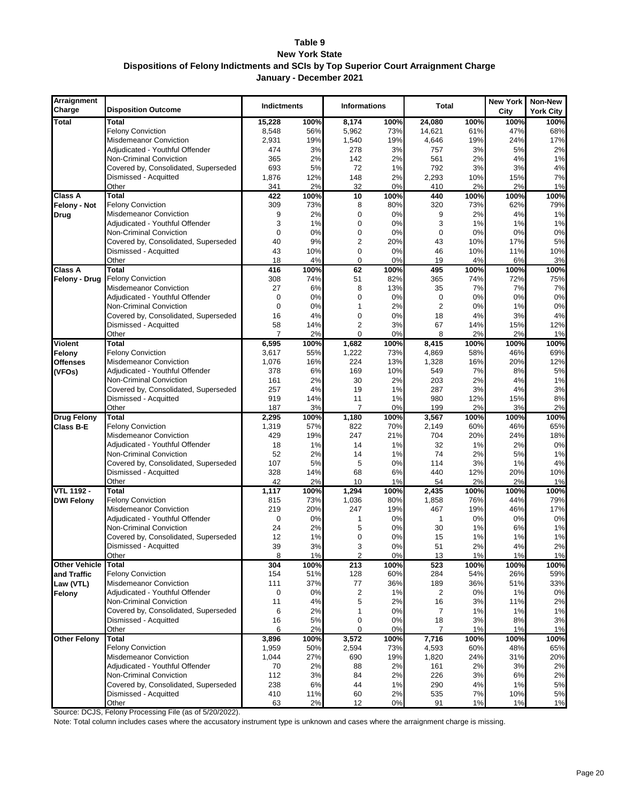#### **Table 9 New York State Dispositions of Felony Indictments and SCIs by Top Superior Court Arraignment Charge January - December 2021**

| Arraignment<br>Charge | <b>Disposition Outcome</b>           | <b>Indictments</b> |           | <b>Informations</b>     |          | <b>Total</b>   |           | New York<br>City | Non-New<br><b>York City</b> |
|-----------------------|--------------------------------------|--------------------|-----------|-------------------------|----------|----------------|-----------|------------------|-----------------------------|
| <b>Total</b>          | <b>Total</b>                         | 15,228             | 100%      | 8,174                   | 100%     | 24,080         | 100%      | 100%             | 100%                        |
|                       | <b>Felony Conviction</b>             | 8,548              | 56%       | 5,962                   | 73%      | 14,621         | 61%       | 47%              | 68%                         |
|                       | <b>Misdemeanor Conviction</b>        | 2,931              | 19%       | 1,540                   | 19%      | 4,646          | 19%       | 24%              | 17%                         |
|                       | Adjudicated - Youthful Offender      | 474                | 3%        | 278                     | 3%       | 757            | 3%        | 5%               | 2%                          |
|                       | Non-Criminal Conviction              | 365                | 2%        | 142                     | 2%       | 561            | 2%        | 4%               | 1%                          |
|                       | Covered by, Consolidated, Superseded | 693                | 5%        | 72                      | 1%       | 792            | 3%        | 3%               | 4%                          |
|                       | Dismissed - Acquitted                | 1,876              | 12%       | 148                     | 2%       | 2,293          | 10%       | 15%              | 7%                          |
|                       | Other                                | 341                | 2%        | 32                      | 0%       | 410            | 2%        | 2%               | 1%                          |
| <b>Class A</b>        | <b>Total</b>                         | 422                | 100%      | 10                      | 100%     | 440            | 100%      | 100%             | 100%                        |
| Felony - Not          | <b>Felony Conviction</b>             | 309                | 73%       | 8                       | 80%      | 320            | 73%       | 62%              | 79%                         |
| Drug                  | <b>Misdemeanor Conviction</b>        | 9                  | 2%        | 0                       | 0%       | 9              | 2%        | 4%               | 1%                          |
|                       | Adjudicated - Youthful Offender      | 3                  | 1%        | $\mathbf 0$             | 0%       | 3              | 1%        | 1%               | 1%                          |
|                       | Non-Criminal Conviction              | $\mathbf 0$        | 0%        | $\mathbf 0$             | 0%       | $\mathbf 0$    | 0%        | 0%               | 0%                          |
|                       | Covered by, Consolidated, Superseded | 40                 | 9%        | 2                       | 20%      | 43             | 10%       | 17%              | 5%                          |
|                       | Dismissed - Acquitted                | 43                 | 10%       | $\mathbf 0$             | 0%       | 46             | 10%       | 11%              | 10%                         |
|                       | Other                                | 18                 | 4%        | $\mathbf 0$             | 0%       | 19             | 4%        | 6%               | 3%                          |
| <b>Class A</b>        | Total                                | 416                | 100%      | 62                      | 100%     | 495            | 100%      | 100%             | 100%                        |
| Felony - Drug         | <b>Felony Conviction</b>             | 308                | 74%       | 51                      | 82%      | 365            | 74%       | 72%              | 75%                         |
|                       | Misdemeanor Conviction               | 27                 | 6%        | 8                       | 13%      | 35             | 7%        | 7%               | 7%                          |
|                       | Adjudicated - Youthful Offender      | 0                  | 0%        | $\mathbf 0$             | 0%       | $\mathbf 0$    | 0%        | 0%               | 0%                          |
|                       | Non-Criminal Conviction              | 0                  | 0%        | 1                       | 2%       | $\overline{2}$ | 0%        | 1%               | 0%                          |
|                       | Covered by, Consolidated, Superseded | 16                 | 4%        | 0                       | 0%       | 18             | 4%        | 3%               | 4%                          |
|                       | Dismissed - Acquitted                | 58                 | 14%       | $\overline{2}$          | 3%       | 67             | 14%       | 15%              | 12%                         |
|                       | Other                                | $\overline{7}$     | 2%        | 0                       | 0%       | 8              | 2%        | 2%               | 1%                          |
| <b>Violent</b>        | Total                                | 6,595              | 100%      | 1,682                   | 100%     | 8,415          | 100%      | 100%             | 100%                        |
| Felony                | <b>Felony Conviction</b>             | 3,617              | 55%       | 1,222                   | 73%      | 4,869          | 58%       | 46%              | 69%                         |
| <b>Offenses</b>       | <b>Misdemeanor Conviction</b>        | 1,076              | 16%       | 224                     | 13%      | 1,328          | 16%       | 20%              | 12%                         |
| (VFOs)                | Adjudicated - Youthful Offender      | 378                | 6%        | 169                     | 10%      | 549            | 7%        | 8%               | 5%                          |
|                       | Non-Criminal Conviction              | 161                | 2%        | 30                      | 2%       | 203            | 2%        | 4%               | 1%                          |
|                       | Covered by, Consolidated, Superseded | 257<br>919         | 4%        | 19<br>11                | 1%       | 287<br>980     | 3%        | 4%               | 3%                          |
|                       | Dismissed - Acquitted<br>Other       | 187                | 14%<br>3% | $\overline{7}$          | 1%<br>0% | 199            | 12%<br>2% | 15%<br>3%        | 8%<br>2%                    |
| <b>Drug Felony</b>    | <b>Total</b>                         | 2,295              | 100%      |                         | 100%     | 3,567          | 100%      | 100%             | 100%                        |
| Class B-E             | <b>Felony Conviction</b>             | 1,319              | 57%       | 1,180<br>822            | 70%      | 2,149          | 60%       | 46%              | 65%                         |
|                       | Misdemeanor Conviction               | 429                | 19%       | 247                     | 21%      | 704            | 20%       | 24%              | 18%                         |
|                       | Adjudicated - Youthful Offender      | 18                 | 1%        | 14                      | 1%       | 32             | 1%        | 2%               | 0%                          |
|                       | Non-Criminal Conviction              | 52                 | 2%        | 14                      | 1%       | 74             | 2%        | 5%               | 1%                          |
|                       | Covered by, Consolidated, Superseded | 107                | 5%        | 5                       | 0%       | 114            | 3%        | 1%               | 4%                          |
|                       | Dismissed - Acquitted                | 328                | 14%       | 68                      | 6%       | 440            | 12%       | 20%              | 10%                         |
|                       | Other                                | 42                 | 2%        | 10                      | 1%       | 54             | 2%        | 2%               | 1%                          |
| <b>VTL 1192 -</b>     | <b>Total</b>                         | 1,117              | 100%      | 1,294                   | 100%     | 2,435          | 100%      | 100%             | 100%                        |
| <b>DWI Felony</b>     | <b>Felony Conviction</b>             | 815                | 73%       | 1,036                   | 80%      | 1,858          | 76%       | 44%              | 79%                         |
|                       | <b>Misdemeanor Conviction</b>        | 219                | 20%       | 247                     | 19%      | 467            | 19%       | 46%              | 17%                         |
|                       | Adjudicated - Youthful Offender      | 0                  | 0%        | 1                       | 0%       | $\mathbf{1}$   | 0%        | 0%               | 0%                          |
|                       | Non-Criminal Conviction              | 24                 | 2%        | 5                       | 0%       | 30             | 1%        | 6%               | 1%                          |
|                       | Covered by, Consolidated, Superseded | 12                 | 1%        | 0                       | 0%       | 15             | 1%        | 1%               | 1%                          |
|                       | Dismissed - Acquitted                | 39                 | 3%        | 3                       | 0%       | 51             | 2%        | 4%               | 2%                          |
|                       | Other                                | 8                  | 1%        | $\overline{2}$          | 0%       | 13             | 1%        | 1%               | 1%                          |
| <b>Other Vehicle</b>  | <b>Total</b>                         | 304                | 100%      | 213                     | 100%     | 523            | 100%      | 100%             | 100%                        |
| and Traffic           | <b>Felony Conviction</b>             | 154                | 51%       | 128                     | 60%      | 284            | 54%       | 26%              | 59%                         |
| Law (VTL)             | <b>Misdemeanor Conviction</b>        | 111                | 37%       | 77                      | 36%      | 189            | 36%       | 51%              | 33%                         |
| Felony                | Adjudicated - Youthful Offender      | 0                  | 0%        | $\overline{\mathbf{c}}$ | 1%       | $\overline{2}$ | 0%        | 1%               | 0%                          |
|                       | Non-Criminal Conviction              | 11                 | 4%        | 5                       | 2%       | 16             | 3%        | 11%              | 2%                          |
|                       | Covered by, Consolidated, Superseded | 6                  | 2%        | 1                       | 0%       | 7              | 1%        | 1%               | 1%                          |
|                       | Dismissed - Acquitted                | 16                 | 5%        | 0                       | 0%       | 18             | 3%        | 8%               | 3%                          |
|                       | Other                                | 6                  | 2%        | $\mathbf 0$             | 0%       | $\overline{7}$ | 1%        | 1%               | 1%                          |
| <b>Other Felony</b>   | <b>Total</b>                         | 3,896              | 100%      | 3,572                   | 100%     | 7,716          | 100%      | 100%             | 100%                        |
|                       | <b>Felony Conviction</b>             | 1,959              | 50%       | 2,594                   | 73%      | 4,593          | 60%       | 48%              | 65%                         |
|                       | Misdemeanor Conviction               | 1,044              | 27%       | 690                     | 19%      | 1,820          | 24%       | 31%              | 20%                         |
|                       | Adjudicated - Youthful Offender      | 70                 | 2%        | 88                      | 2%       | 161            | 2%        | 3%               | 2%                          |
|                       | <b>Non-Criminal Conviction</b>       | 112                | 3%        | 84                      | 2%       | 226            | 3%        | 6%               | 2%                          |
|                       | Covered by, Consolidated, Superseded | 238                | 6%        | 44                      | 1%       | 290            | 4%        | 1%               | 5%                          |
|                       | Dismissed - Acquitted                | 410                | 11%       | 60                      | 2%       | 535            | 7%        | 10%              | $5\%$                       |
|                       | Other                                | 63                 | 2%        | 12                      | 0%       | 91             | 1%        | 1%               | 1%                          |

Source: DCJS, Felony Processing File (as of 5/20/2022).

Note: Total column includes cases where the accusatory instrument type is unknown and cases where the arraignment charge is missing.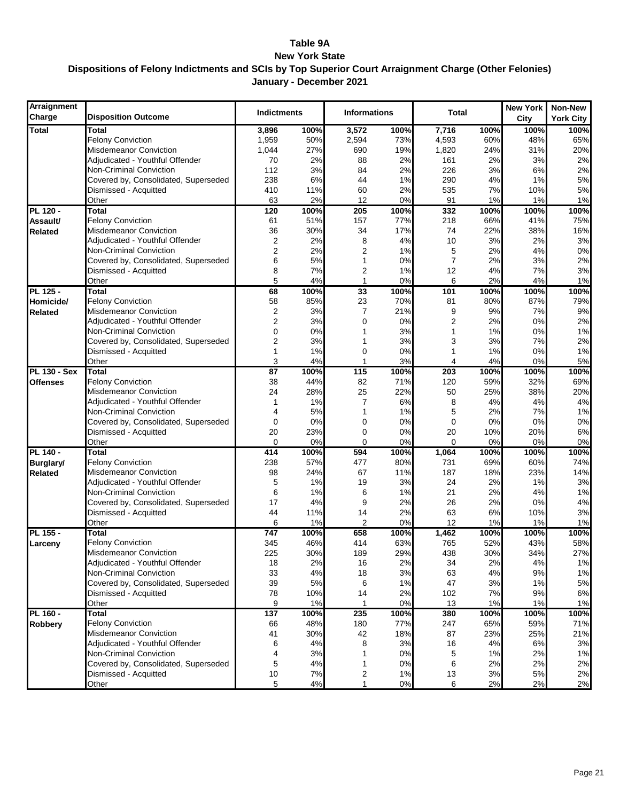#### **Table 9A New York State Dispositions of Felony Indictments and SCIs by Top Superior Court Arraignment Charge (Other Felonies) January - December 2021**

| Arraignment<br>Charge | <b>Disposition Outcome</b>           | <b>Indictments</b> |          | <b>Informations</b> |          | <b>Total</b>   |          | <b>New York</b><br>City | Non-New<br><b>York City</b> |
|-----------------------|--------------------------------------|--------------------|----------|---------------------|----------|----------------|----------|-------------------------|-----------------------------|
| <b>Total</b>          | <b>Total</b>                         | 3,896              | 100%     | 3,572               | 100%     | 7,716          | 100%     | 100%                    | 100%                        |
|                       | <b>Felony Conviction</b>             | 1,959              | 50%      | 2,594               | 73%      | 4,593          | 60%      | 48%                     | 65%                         |
|                       | <b>Misdemeanor Conviction</b>        | 1,044              | 27%      | 690                 | 19%      | 1,820          | 24%      | 31%                     | 20%                         |
|                       | Adjudicated - Youthful Offender      | 70                 | 2%       | 88                  | 2%       | 161            | 2%       | 3%                      | 2%                          |
|                       | Non-Criminal Conviction              | 112                | 3%       | 84                  | 2%       | 226            | 3%       | 6%                      | 2%                          |
|                       | Covered by, Consolidated, Superseded | 238                | 6%       | 44                  | 1%       | 290            | 4%       | 1%                      | 5%                          |
|                       | Dismissed - Acquitted                | 410                | 11%      | 60                  | 2%       | 535            | 7%       | 10%                     | 5%                          |
|                       | Other                                | 63                 | 2%       | 12                  | 0%       | 91             | 1%       | 1%                      | 1%                          |
| PL 120 -              | <b>Total</b>                         | 120                | 100%     | 205                 | 100%     | 332            | 100%     | 100%                    | 100%                        |
| Assault/              | <b>Felony Conviction</b>             | 61                 | 51%      | 157                 | 77%      | 218            | 66%      | 41%                     | 75%                         |
| <b>Related</b>        | <b>Misdemeanor Conviction</b>        | 36                 | 30%      | 34                  | 17%      | 74             | 22%      | 38%                     | 16%                         |
|                       | Adjudicated - Youthful Offender      | $\overline{2}$     | 2%       | 8                   | 4%       | 10             | 3%       | 2%                      | 3%                          |
|                       | Non-Criminal Conviction              | $\overline{2}$     | 2%       | $\overline{2}$      | 1%       | 5              | 2%       | 4%                      | 0%                          |
|                       | Covered by, Consolidated, Superseded | 6                  | 5%       | 1                   | 0%       | $\overline{7}$ | 2%       | 3%                      | 2%                          |
|                       | Dismissed - Acquitted                | 8                  | 7%       | 2                   | 1%       | 12             | 4%       | 7%                      | 3%                          |
|                       | Other                                | 5                  | 4%       | 1                   | 0%       | 6              | 2%       | 4%                      | 1%                          |
| PL 125 -              | <b>Total</b>                         | 68                 | 100%     | 33                  | 100%     | 101            | 100%     | 100%                    | 100%                        |
| Homicide/             | <b>Felony Conviction</b>             | 58                 | 85%      | 23                  | 70%      | 81             | 80%      | 87%                     | 79%                         |
| <b>Related</b>        | <b>Misdemeanor Conviction</b>        | $\overline{2}$     | 3%       | 7                   | 21%      | 9              | 9%       | 7%                      | 9%                          |
|                       | Adiudicated - Youthful Offender      | 2                  | 3%       | $\mathbf 0$         | 0%       | 2              | 2%       | 0%                      | 2%                          |
|                       | <b>Non-Criminal Conviction</b>       | 0                  | 0%       | 1                   | 3%       | 1              | 1%       | 0%                      | 1%                          |
|                       | Covered by, Consolidated, Superseded | 2                  | 3%       | 1                   | 3%       | 3              | 3%       | 7%                      | 2%                          |
|                       | Dismissed - Acquitted                | 1<br>3             | 1%<br>4% | 0                   | 0%<br>3% | 1<br>4         | 1%<br>4% | 0%<br>0%                | 1%                          |
| <b>PL 130 - Sex</b>   | Other<br><b>Total</b>                | 87                 | 100%     | 115                 | 100%     | 203            | 100%     | 100%                    | 5%<br>100%                  |
| <b>Offenses</b>       | <b>Felony Conviction</b>             | 38                 | 44%      | 82                  | 71%      | 120            | 59%      | 32%                     | 69%                         |
|                       | Misdemeanor Conviction               | 24                 | 28%      | 25                  | 22%      | 50             | 25%      | 38%                     | 20%                         |
|                       | Adjudicated - Youthful Offender      | 1                  | 1%       | 7                   | 6%       | 8              | 4%       | 4%                      | 4%                          |
|                       | Non-Criminal Conviction              | 4                  | 5%       | 1                   | 1%       | 5              | 2%       | 7%                      | 1%                          |
|                       | Covered by, Consolidated, Superseded | $\mathbf 0$        | 0%       | $\mathbf 0$         | 0%       | 0              | 0%       | 0%                      | 0%                          |
|                       | Dismissed - Acquitted                | 20                 | 23%      | $\mathbf 0$         | 0%       | 20             | 10%      | 20%                     | 6%                          |
|                       | Other                                | $\Omega$           | 0%       | 0                   | 0%       | $\mathbf 0$    | 0%       | 0%                      | 0%                          |
| PL 140 -              | Total                                | 414                | 100%     | 594                 | 100%     | 1,064          | 100%     | 100%                    | 100%                        |
| <b>Burglary/</b>      | <b>Felony Conviction</b>             | 238                | 57%      | 477                 | 80%      | 731            | 69%      | 60%                     | 74%                         |
| <b>Related</b>        | <b>Misdemeanor Conviction</b>        | 98                 | 24%      | 67                  | 11%      | 187            | 18%      | 23%                     | 14%                         |
|                       | Adjudicated - Youthful Offender      | 5                  | 1%       | 19                  | 3%       | 24             | 2%       | 1%                      | 3%                          |
|                       | Non-Criminal Conviction              | 6                  | 1%       | 6                   | 1%       | 21             | 2%       | 4%                      | 1%                          |
|                       | Covered by, Consolidated, Superseded | 17                 | 4%       | 9                   | 2%       | 26             | 2%       | 0%                      | 4%                          |
|                       | Dismissed - Acquitted                | 44                 | 11%      | 14                  | 2%       | 63             | 6%       | 10%                     | 3%                          |
|                       | Other                                | 6                  | 1%       | 2                   | 0%       | 12             | 1%       | 1%                      | 1%                          |
| PL 155 -              | <b>Total</b>                         | 747                | 100%     | 658                 | 100%     | 1,462          | 100%     | 100%                    | 100%                        |
| Larceny               | <b>Felony Conviction</b>             | 345                | 46%      | 414                 | 63%      | 765            | 52%      | 43%                     | 58%                         |
|                       | <b>Misdemeanor Conviction</b>        | 225                | 30%      | 189                 | 29%      | 438            | 30%      | 34%                     | 27%                         |
|                       | Adjudicated - Youthful Offender      | 18                 | 2%       | 16                  | 2%       | 34             | 2%       | 4%                      | 1%                          |
|                       | Non-Criminal Conviction              | 33                 | 4%       | 18                  | 3%       | 63             | 4%       | 9%                      | 1%                          |
|                       | Covered by, Consolidated, Superseded | 39                 | $5%$     | 6                   | 1%       | 47             | 3%       | 1%                      | 5%                          |
|                       | Dismissed - Acquitted                | 78                 | 10%      | 14                  | 2%       | 102            | 7%       | 9%                      | $6\%$                       |
|                       | Other                                | 9                  | 1%       |                     | 0%       | 13             | 1%       | 1%                      | 1%                          |
| PL 160 -              | <b>Total</b>                         | 137                | 100%     | 235                 | 100%     | 380            | 100%     | 100%                    | 100%                        |
| <b>Robbery</b>        | <b>Felony Conviction</b>             | 66                 | 48%      | 180                 | 77%      | 247            | 65%      | 59%                     | 71%                         |
|                       | <b>Misdemeanor Conviction</b>        | 41                 | 30%      | 42                  | 18%      | 87             | 23%      | 25%                     | 21%                         |
|                       | Adjudicated - Youthful Offender      | 6                  | 4%       | 8                   | 3%       | 16             | 4%       | 6%                      | 3%                          |
|                       | Non-Criminal Conviction              | 4                  | 3%       | 1                   | 0%       | 5              | 1%       | 2%                      | 1%                          |
|                       | Covered by, Consolidated, Superseded | 5                  | 4%       | 1                   | 0%       | 6              | 2%       | 2%                      | 2%                          |
|                       | Dismissed - Acquitted                | $10\,$             | 7%       | 2                   | 1%       | 13             | 3%       | 5%                      | 2%                          |
|                       | Other                                | 5                  | $4\%$    | 1                   | $0\%$    | 6              | 2%       | 2%                      | 2%                          |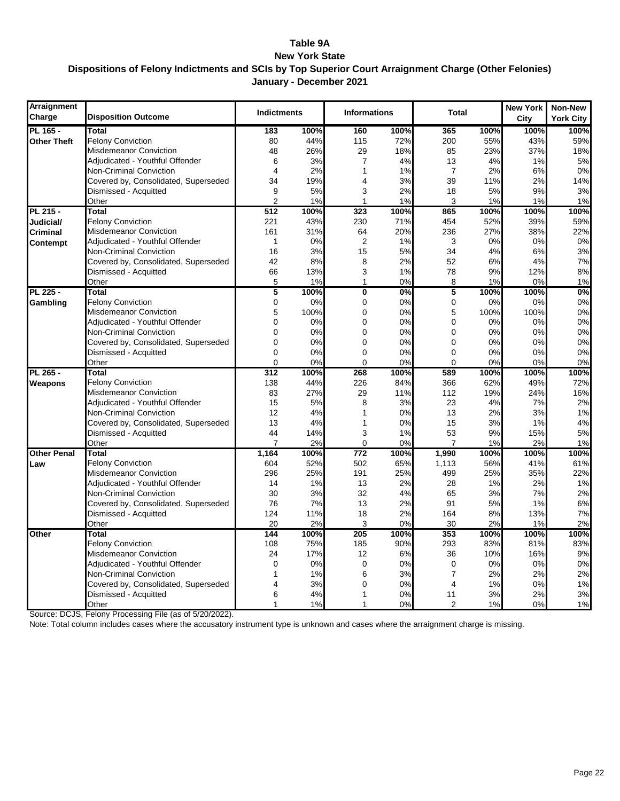#### **Table 9A New York State Dispositions of Felony Indictments and SCIs by Top Superior Court Arraignment Charge (Other Felonies) January - December 2021**

| <b>Arraignment</b><br>Charge | <b>Disposition Outcome</b>           | <b>Indictments</b> |      | <b>Informations</b> |      | <b>Total</b>   |      | <b>New York</b><br>City | Non-New<br><b>York City</b> |
|------------------------------|--------------------------------------|--------------------|------|---------------------|------|----------------|------|-------------------------|-----------------------------|
| <b>PL 165 -</b>              | Total                                | 183                | 100% | 160                 | 100% | 365            | 100% | 100%                    | 100%                        |
| <b>Other Theft</b>           | <b>Felony Conviction</b>             | 80                 | 44%  | 115                 | 72%  | 200            | 55%  | 43%                     | 59%                         |
|                              | <b>Misdemeanor Conviction</b>        | 48                 | 26%  | 29                  | 18%  | 85             | 23%  | 37%                     | 18%                         |
|                              | Adjudicated - Youthful Offender      | 6                  | 3%   | 7                   | 4%   | 13             | 4%   | 1%                      | 5%                          |
|                              | Non-Criminal Conviction              | 4                  | 2%   | 1                   | 1%   | $\overline{7}$ | 2%   | 6%                      | 0%                          |
|                              | Covered by, Consolidated, Superseded | 34                 | 19%  | 4                   | 3%   | 39             | 11%  | 2%                      | 14%                         |
|                              | Dismissed - Acquitted                | 9                  | 5%   | 3                   | 2%   | 18             | 5%   | 9%                      | 3%                          |
|                              | Other                                | $\overline{2}$     | 1%   | 1                   | 1%   | 3              | 1%   | 1%                      | 1%                          |
| PL 215 -                     | Total                                | 512                | 100% | 323                 | 100% | 865            | 100% | 100%                    | 100%                        |
| Judicial/                    | <b>Felony Conviction</b>             | 221                | 43%  | 230                 | 71%  | 454            | 52%  | 39%                     | 59%                         |
| Criminal                     | Misdemeanor Conviction               | 161                | 31%  | 64                  | 20%  | 236            | 27%  | 38%                     | 22%                         |
| Contempt                     | Adjudicated - Youthful Offender      | 1                  | 0%   | $\overline{2}$      | 1%   | 3              | 0%   | 0%                      | 0%                          |
|                              | Non-Criminal Conviction              | 16                 | 3%   | 15                  | 5%   | 34             | 4%   | 6%                      | 3%                          |
|                              | Covered by, Consolidated, Superseded | 42                 | 8%   | 8                   | 2%   | 52             | 6%   | 4%                      | 7%                          |
|                              | Dismissed - Acquitted                | 66                 | 13%  | 3                   | 1%   | 78             | 9%   | 12%                     | 8%                          |
|                              | Other                                | 5                  | 1%   | $\mathbf{1}$        | 0%   | 8              | 1%   | 0%                      | 1%                          |
| PL 225 -                     | <b>Total</b>                         | 5                  | 100% | $\mathbf 0$         | 0%   | 5              | 100% | 100%                    | 0%                          |
| Gambling                     | <b>Felony Conviction</b>             | 0                  | 0%   | 0                   | 0%   | 0              | 0%   | 0%                      | 0%                          |
|                              | <b>Misdemeanor Conviction</b>        | 5                  | 100% | 0                   | 0%   | 5              | 100% | 100%                    | 0%                          |
|                              | Adjudicated - Youthful Offender      | 0                  | 0%   | 0                   | 0%   | 0              | 0%   | 0%                      | 0%                          |
|                              | Non-Criminal Conviction              | 0                  | 0%   | 0                   | 0%   | 0              | 0%   | 0%                      | 0%                          |
|                              | Covered by, Consolidated, Superseded | 0                  | 0%   | 0                   | 0%   | 0              | 0%   | 0%                      | 0%                          |
|                              | Dismissed - Acquitted                | 0                  | 0%   | $\Omega$            | 0%   | 0              | 0%   | 0%                      | 0%                          |
|                              | Other                                | $\overline{0}$     | 0%   | $\Omega$            | 0%   | $\Omega$       | 0%   | 0%                      | 0%                          |
| PL 265 -                     | Total                                | 312                | 100% | 268                 | 100% | 589            | 100% | 100%                    | 100%                        |
| Weapons                      | <b>Felony Conviction</b>             | 138                | 44%  | 226                 | 84%  | 366            | 62%  | 49%                     | 72%                         |
|                              | <b>Misdemeanor Conviction</b>        | 83                 | 27%  | 29                  | 11%  | 112            | 19%  | 24%                     | 16%                         |
|                              | Adjudicated - Youthful Offender      | 15                 | 5%   | 8                   | 3%   | 23             | 4%   | 7%                      | 2%                          |
|                              | <b>Non-Criminal Conviction</b>       | 12                 | 4%   | 1                   | 0%   | 13             | 2%   | 3%                      | 1%                          |
|                              | Covered by, Consolidated, Superseded | 13                 | 4%   | 1                   | 0%   | 15             | 3%   | 1%                      | 4%                          |
|                              | Dismissed - Acquitted                | 44                 | 14%  | 3                   | 1%   | 53             | 9%   | 15%                     | 5%                          |
|                              | Other                                | $\overline{7}$     | 2%   | $\Omega$            | 0%   | $\overline{7}$ | 1%   | 2%                      | 1%                          |
| <b>Other Penal</b>           | Total                                | 1,164              | 100% | 772                 | 100% | 1,990          | 100% | 100%                    | 100%                        |
| Law                          | <b>Felony Conviction</b>             | 604                | 52%  | 502                 | 65%  | 1,113          | 56%  | 41%                     | 61%                         |
|                              | <b>Misdemeanor Conviction</b>        | 296                | 25%  | 191                 | 25%  | 499            | 25%  | 35%                     | 22%                         |
|                              | Adjudicated - Youthful Offender      | 14                 | 1%   | 13                  | 2%   | 28             | 1%   | 2%                      | 1%                          |
|                              | <b>Non-Criminal Conviction</b>       | 30                 | 3%   | 32                  | 4%   | 65             | 3%   | 7%                      | 2%                          |
|                              | Covered by, Consolidated, Superseded | 76                 | 7%   | 13                  | 2%   | 91             | 5%   | 1%                      | 6%                          |
|                              | Dismissed - Acquitted                | 124                | 11%  | 18                  | 2%   | 164            | 8%   | 13%                     | 7%                          |
|                              | Other                                | 20                 | 2%   | 3                   | 0%   | 30             | 2%   | 1%                      | 2%                          |
| Other                        | Total                                | 144                | 100% | 205                 | 100% | 353            | 100% | 100%                    | 100%                        |
|                              | <b>Felony Conviction</b>             | 108                | 75%  | 185                 | 90%  | 293            | 83%  | 81%                     | 83%                         |
|                              | Misdemeanor Conviction               | 24                 | 17%  | 12                  | 6%   | 36             | 10%  | 16%                     | 9%                          |
|                              | Adjudicated - Youthful Offender      | 0                  | 0%   | $\mathbf 0$         | 0%   | $\mathbf 0$    | 0%   | 0%                      | 0%                          |
|                              | <b>Non-Criminal Conviction</b>       | 1                  | 1%   | 6                   | 3%   | $\overline{7}$ | 2%   | 2%                      | 2%                          |
|                              | Covered by, Consolidated, Superseded | 4                  | 3%   | 0                   | 0%   | 4              | 1%   | 0%                      | 1%                          |
|                              | Dismissed - Acquitted                | 6                  | 4%   | 1                   | 0%   | 11             | 3%   | 2%                      | 3%                          |
|                              | Other                                | 1                  | 1%   | 1                   | 0%   | $\overline{2}$ | 1%   | 0%                      | 1%                          |

Source: DCJS, Felony Processing File (as of 5/20/2022).

Note: Total column includes cases where the accusatory instrument type is unknown and cases where the arraignment charge is missing.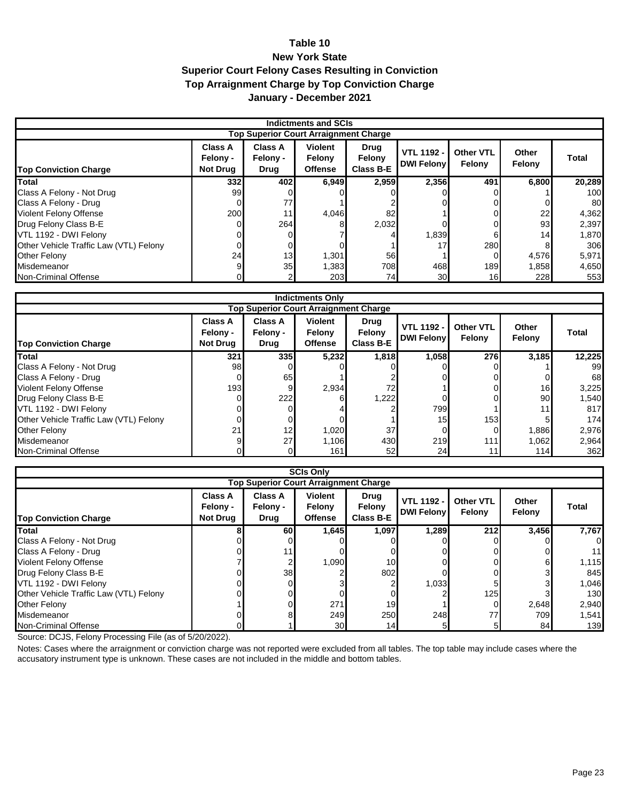#### **Table 10 New York State Superior Court Felony Cases Resulting in Conviction Top Arraignment Charge by Top Conviction Charge January - December 2021**

| Indictments and SCIs                         |                                               |                                           |                                            |                                           |                                        |                            |                 |        |  |  |  |
|----------------------------------------------|-----------------------------------------------|-------------------------------------------|--------------------------------------------|-------------------------------------------|----------------------------------------|----------------------------|-----------------|--------|--|--|--|
| <b>Top Superior Court Arraignment Charge</b> |                                               |                                           |                                            |                                           |                                        |                            |                 |        |  |  |  |
| <b>Top Conviction Charge</b>                 | <b>Class A</b><br>Felony -<br><b>Not Drug</b> | <b>Class A</b><br>Felony -<br><b>Drug</b> | <b>Violent</b><br>Felony<br><b>Offense</b> | <b>Drug</b><br>Felony<br><b>Class B-E</b> | <b>VTL 1192 -</b><br><b>DWI Felony</b> | <b>Other VTL</b><br>Felony | Other<br>Felony | Total  |  |  |  |
| <b>Total</b>                                 | 332                                           | 402I                                      | 6,949                                      | 2,959                                     | 2,356                                  | 491                        | 6,800           | 20,289 |  |  |  |
| Class A Felony - Not Drug                    | 99                                            |                                           |                                            |                                           |                                        |                            |                 | 100    |  |  |  |
| Class A Felony - Drug                        |                                               | 77                                        |                                            |                                           |                                        |                            |                 | 80     |  |  |  |
| <b>Violent Felony Offense</b>                | 200                                           | 11 <sub>1</sub>                           | 4,046                                      | 82                                        |                                        |                            | 22              | 4,362  |  |  |  |
| Drug Felony Class B-E                        |                                               | 264                                       |                                            | 2,032                                     |                                        |                            | 93              | 2,397  |  |  |  |
| VTL 1192 - DWI Felony                        |                                               |                                           |                                            |                                           | 1,839                                  |                            | 14 <sub>h</sub> | 1,870  |  |  |  |
| Other Vehicle Traffic Law (VTL) Felony       |                                               |                                           |                                            |                                           | 17                                     | 280                        |                 | 306    |  |  |  |
| Other Felony                                 | 24                                            | 13                                        | 1,301                                      | 56                                        |                                        |                            | 4,576           | 5,971  |  |  |  |
| Misdemeanor                                  |                                               | 35 <sub>l</sub>                           | 1,383                                      | 708                                       | 468                                    | 189                        | 1,858           | 4,650  |  |  |  |
| Non-Criminal Offense                         |                                               |                                           | 203                                        | 74                                        | 30                                     | 16 <sub>l</sub>            | 228             | 553    |  |  |  |

|                                              | <b>Indictments Only</b>                              |                                           |                                            |                                    |                                        |                                   |                 |        |  |  |  |
|----------------------------------------------|------------------------------------------------------|-------------------------------------------|--------------------------------------------|------------------------------------|----------------------------------------|-----------------------------------|-----------------|--------|--|--|--|
| <b>Top Superior Court Arraignment Charge</b> |                                                      |                                           |                                            |                                    |                                        |                                   |                 |        |  |  |  |
| <b>Top Conviction Charge</b>                 | <b>Class A</b><br><b>Felony -</b><br><b>Not Drug</b> | <b>Class A</b><br>Felony -<br><b>Drug</b> | <b>Violent</b><br>Felony<br><b>Offense</b> | Drug<br>Felony<br><b>Class B-E</b> | <b>VTL 1192 -</b><br><b>DWI Felony</b> | <b>Other VTL</b><br><b>Felony</b> | Other<br>Felony | Total  |  |  |  |
| Total                                        | 321                                                  | <b>335</b>                                | 5,232                                      | 1,818                              | 1,058                                  | <b>276</b>                        | 3,185           | 12,225 |  |  |  |
| Class A Felony - Not Drug                    | 98                                                   |                                           |                                            |                                    |                                        |                                   |                 | 99     |  |  |  |
| Class A Felony - Drug                        |                                                      | 65                                        |                                            |                                    |                                        |                                   |                 | 68     |  |  |  |
| <b>Violent Felony Offense</b>                | 193                                                  |                                           | 2,934                                      | 72                                 |                                        |                                   | 16              | 3,225  |  |  |  |
| Drug Felony Class B-E                        |                                                      | 222                                       |                                            | 1,222                              |                                        |                                   | 90l             | 1,540  |  |  |  |
| VTL 1192 - DWI Felony                        |                                                      |                                           |                                            |                                    | 799                                    |                                   | 11              | 817    |  |  |  |
| Other Vehicle Traffic Law (VTL) Felony       |                                                      |                                           |                                            |                                    | 15 <sub>l</sub>                        | 153                               |                 | 174    |  |  |  |
| Other Felony                                 | 21                                                   | 12                                        | 1,020                                      | 37                                 |                                        |                                   | 1,886           | 2,976  |  |  |  |
| Misdemeanor                                  |                                                      | 27                                        | 1,106                                      | 430                                | 219                                    | 111                               | 1,062           | 2,964  |  |  |  |
| Non-Criminal Offense                         |                                                      |                                           | 161                                        | 52                                 | 24                                     |                                   | 114             | 362    |  |  |  |

| <b>SCIs Only</b>                       |                                               |                                           |                                            |                                    |                                        |                            |                 |       |  |  |  |  |
|----------------------------------------|-----------------------------------------------|-------------------------------------------|--------------------------------------------|------------------------------------|----------------------------------------|----------------------------|-----------------|-------|--|--|--|--|
|                                        | <b>Top Superior Court Arraignment Charge</b>  |                                           |                                            |                                    |                                        |                            |                 |       |  |  |  |  |
| <b>Top Conviction Charge</b>           | <b>Class A</b><br>Felony -<br><b>Not Drug</b> | <b>Class A</b><br>Felony -<br><b>Drug</b> | <b>Violent</b><br>Felony<br><b>Offense</b> | Drug<br>Felony<br><b>Class B-E</b> | <b>VTL 1192 -</b><br><b>DWI Felony</b> | <b>Other VTL</b><br>Felony | Other<br>Felony | Total |  |  |  |  |
| <b>Total</b>                           |                                               | 60                                        | 1,645                                      | 1,097                              | 1,289                                  | 212                        | 3,456           | 7,767 |  |  |  |  |
| Class A Felony - Not Drug              |                                               |                                           |                                            |                                    |                                        |                            |                 | 0     |  |  |  |  |
| Class A Felony - Drug                  |                                               | 11                                        |                                            |                                    |                                        |                            |                 | 11    |  |  |  |  |
| <b>Violent Felony Offense</b>          |                                               |                                           | 1,090                                      | 10                                 |                                        |                            |                 | 1,115 |  |  |  |  |
| Drug Felony Class B-E                  |                                               | 38                                        |                                            | 802                                |                                        |                            |                 | 845   |  |  |  |  |
| VTL 1192 - DWI Felony                  |                                               |                                           |                                            |                                    | 1,033                                  |                            |                 | 1,046 |  |  |  |  |
| Other Vehicle Traffic Law (VTL) Felony |                                               |                                           |                                            |                                    |                                        | 125                        |                 | 130   |  |  |  |  |
| Other Felony                           |                                               |                                           | 271                                        | 19                                 |                                        |                            | 2,648           | 2,940 |  |  |  |  |
| Misdemeanor                            |                                               |                                           | 249                                        | 250                                | 248                                    | 77                         | 709             | 1,541 |  |  |  |  |
| Non-Criminal Offense                   |                                               |                                           | 30 <sup>°</sup>                            | 14                                 |                                        |                            | 84              | 139   |  |  |  |  |

Source: DCJS, Felony Processing File (as of 5/20/2022).

Notes: Cases where the arraignment or conviction charge was not reported were excluded from all tables. The top table may include cases where the accusatory instrument type is unknown. These cases are not included in the middle and bottom tables.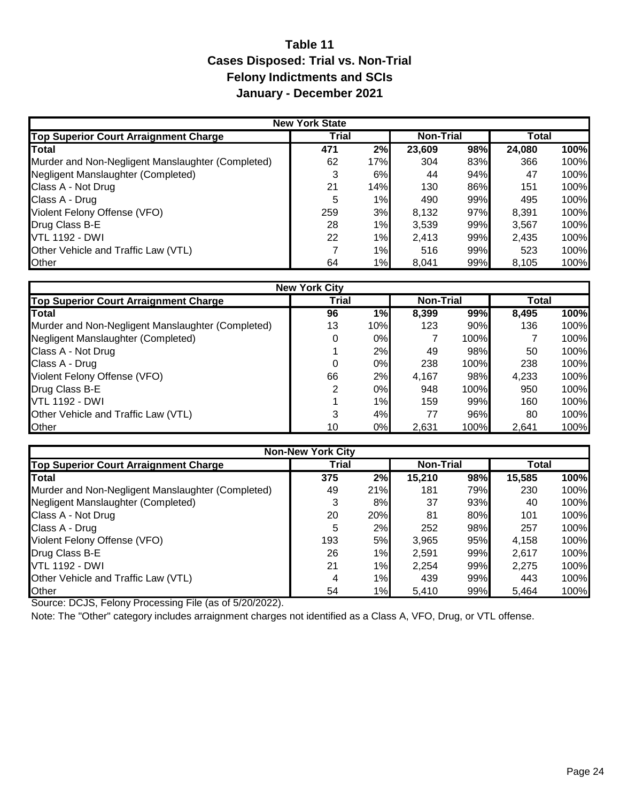## **Table 11 Cases Disposed: Trial vs. Non-Trial Felony Indictments and SCIs January - December 2021**

| <b>New York State</b>                             |       |       |                  |     |        |      |  |  |  |  |
|---------------------------------------------------|-------|-------|------------------|-----|--------|------|--|--|--|--|
| Top Superior Court Arraignment Charge             | Trial |       | <b>Non-Trial</b> |     | Total  |      |  |  |  |  |
| <b>Total</b>                                      | 471   | 2%    | 23,609           | 98% | 24,080 | 100% |  |  |  |  |
| Murder and Non-Negligent Manslaughter (Completed) | 62    | 17%   | 304              | 83% | 366    | 100% |  |  |  |  |
| Negligent Manslaughter (Completed)                |       | 6%    | 44               | 94% | 47     | 100% |  |  |  |  |
| Class A - Not Drug                                | 21    | 14%   | 130              | 86% | 151    | 100% |  |  |  |  |
| Class A - Drug                                    | 5     | $1\%$ | 490              | 99% | 495    | 100% |  |  |  |  |
| Violent Felony Offense (VFO)                      | 259   | 3%    | 8,132            | 97% | 8,391  | 100% |  |  |  |  |
| Drug Class B-E                                    | 28    | $1\%$ | 3,539            | 99% | 3,567  | 100% |  |  |  |  |
| <b>VTL 1192 - DWI</b>                             | 22    | $1\%$ | 2,413            | 99% | 2,435  | 100% |  |  |  |  |
| Other Vehicle and Traffic Law (VTL)               |       | 1%    | 516              | 99% | 523    | 100% |  |  |  |  |
| Other                                             | 64    | 1%    | 8,041            | 99% | 8,105  | 100% |  |  |  |  |

| <b>New York City</b>                              |              |       |                  |      |       |      |  |  |  |
|---------------------------------------------------|--------------|-------|------------------|------|-------|------|--|--|--|
| Top Superior Court Arraignment Charge             | <b>Trial</b> |       | <b>Non-Trial</b> |      | Total |      |  |  |  |
| Total                                             | 96           | 1%    | 8.399            | 99%  | 8,495 | 100% |  |  |  |
| Murder and Non-Negligent Manslaughter (Completed) | 13           | 10%   | 123              | 90%  | 136   | 100% |  |  |  |
| Negligent Manslaughter (Completed)                |              | 0%    |                  | 100% |       | 100% |  |  |  |
| Class A - Not Drug                                |              | 2%    | 49               | 98%  | 50    | 100% |  |  |  |
| Class A - Drug                                    | 0            | 0%    | 238              | 100% | 238   | 100% |  |  |  |
| Violent Felony Offense (VFO)                      | 66           | 2%    | 4,167            | 98%  | 4,233 | 100% |  |  |  |
| Drug Class B-E                                    | 2            | 0%    | 948              | 100% | 950   | 100% |  |  |  |
| <b>VTL 1192 - DWI</b>                             |              | $1\%$ | 159              | 99%  | 160   | 100% |  |  |  |
| Other Vehicle and Traffic Law (VTL)               | 3            | 4%    | 77               | 96%  | 80    | 100% |  |  |  |
| <b>Other</b>                                      | 10           | 0%    | 2,631            | 100% | 2,641 | 100% |  |  |  |

| <b>Non-New York City</b>                          |              |       |                  |     |        |      |  |  |  |  |
|---------------------------------------------------|--------------|-------|------------------|-----|--------|------|--|--|--|--|
| Top Superior Court Arraignment Charge             | <b>Trial</b> |       | <b>Non-Trial</b> |     | Total  |      |  |  |  |  |
| <b>Total</b>                                      | 375          | 2%    | 15,210           | 98% | 15,585 | 100% |  |  |  |  |
| Murder and Non-Negligent Manslaughter (Completed) | 49           | 21%   | 181              | 79% | 230    | 100% |  |  |  |  |
| Negligent Manslaughter (Completed)                | 3            | 8%    | 37               | 93% | 40     | 100% |  |  |  |  |
| Class A - Not Drug                                | 20           | 20%   | 81               | 80% | 101    | 100% |  |  |  |  |
| Class A - Drug                                    | 5            | 2%    | 252              | 98% | 257    | 100% |  |  |  |  |
| Violent Felony Offense (VFO)                      | 193          | 5%    | 3,965            | 95% | 4,158  | 100% |  |  |  |  |
| Drug Class B-E                                    | 26           | 1%    | 2,591            | 99% | 2,617  | 100% |  |  |  |  |
| <b>VTL 1192 - DWI</b>                             | 21           | 1%    | 2,254            | 99% | 2,275  | 100% |  |  |  |  |
| Other Vehicle and Traffic Law (VTL)               | 4            | $1\%$ | 439              | 99% | 443    | 100% |  |  |  |  |
| Other                                             | 54           | 1%    | 5,410            | 99% | 5,464  | 100% |  |  |  |  |

Source: DCJS, Felony Processing File (as of 5/20/2022).

Note: The "Other" category includes arraignment charges not identified as a Class A, VFO, Drug, or VTL offense.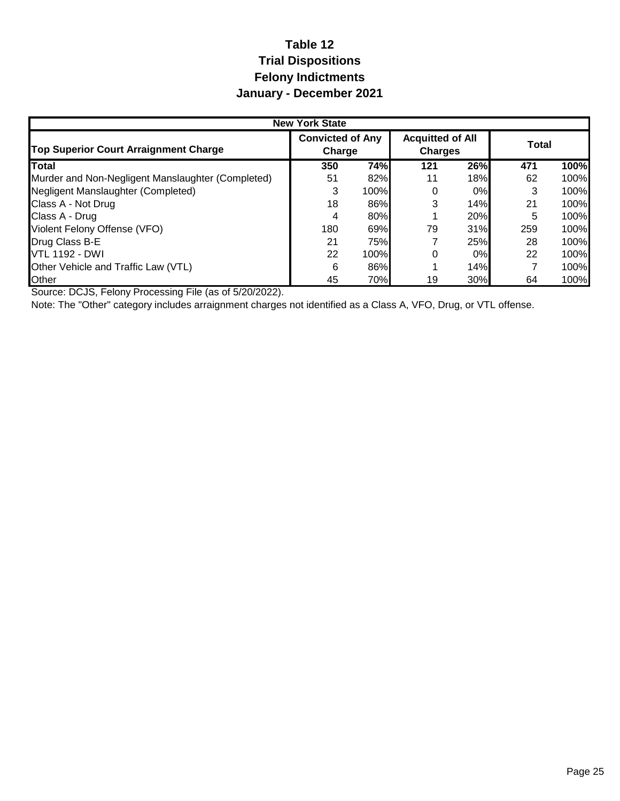## **Table 12 Trial Dispositions Felony Indictments January - December 2021**

|                                                   | <b>New York State</b>             |      |                                           |     |       |      |  |
|---------------------------------------------------|-----------------------------------|------|-------------------------------------------|-----|-------|------|--|
| <b>Top Superior Court Arraignment Charge</b>      | <b>Convicted of Any</b><br>Charge |      | <b>Acquitted of All</b><br><b>Charges</b> |     | Total |      |  |
| <b>Total</b>                                      | 350                               | 74%  | 121                                       | 26% | 471   | 100% |  |
| Murder and Non-Negligent Manslaughter (Completed) | 51                                | 82%  | 11                                        | 18% | 62    | 100% |  |
| Negligent Manslaughter (Completed)                | 3                                 | 100% | 0                                         | 0%  |       | 100% |  |
| Class A - Not Drug                                | 18                                | 86%  | 3                                         | 14% | 21    | 100% |  |
| Class A - Drug                                    | 4                                 | 80%  |                                           | 20% | 5     | 100% |  |
| Violent Felony Offense (VFO)                      | 180                               | 69%  | 79                                        | 31% | 259   | 100% |  |
| Drug Class B-E                                    | 21                                | 75%  |                                           | 25% | 28    | 100% |  |
| <b>VTL 1192 - DWI</b>                             | 22                                | 100% | 0                                         | 0%  | 22    | 100% |  |
| Other Vehicle and Traffic Law (VTL)               | 6                                 | 86%  |                                           | 14% |       | 100% |  |
| Other                                             | 45                                | 70%  | 19                                        | 30% | 64    | 100% |  |

Source: DCJS, Felony Processing File (as of 5/20/2022).

Note: The "Other" category includes arraignment charges not identified as a Class A, VFO, Drug, or VTL offense.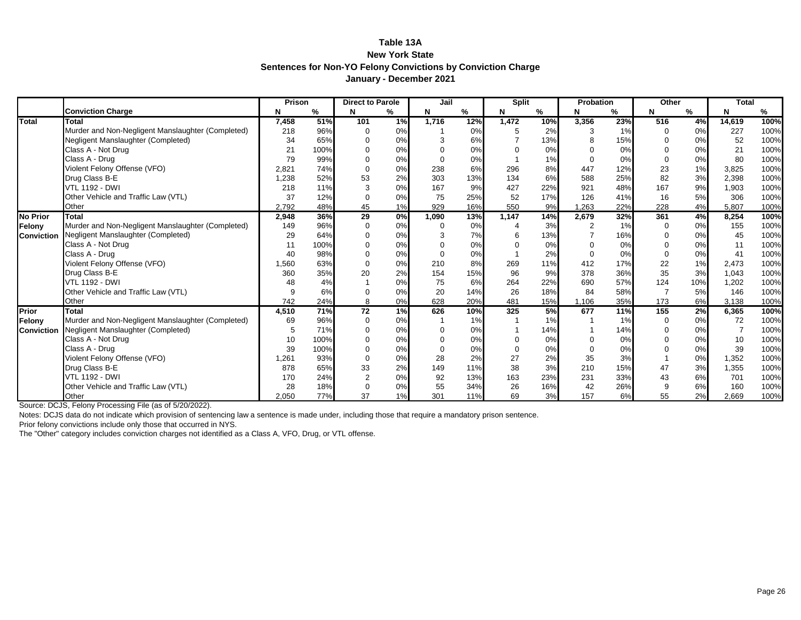#### **Table 13A New York State Sentences for Non-YO Felony Convictions by Conviction Charge January - December 2021**

|                   |                                                   | Prison |      | <b>Direct to Parole</b> |                  | Jail  |     | <b>Split</b> |     | <b>Probation</b> |     | Other       |     | <b>Total</b> |      |
|-------------------|---------------------------------------------------|--------|------|-------------------------|------------------|-------|-----|--------------|-----|------------------|-----|-------------|-----|--------------|------|
|                   | <b>Conviction Charge</b>                          | N      | %    |                         | %                | N     | %   | N            | %   | N                | %   | N           | %   | N            | %    |
| Total             | Total                                             | 7,458  | 51%  | 101                     | 1%               | 1,716 | 12% | 1,472        | 10% | 3,356            | 23% | 516         | 4%  | 14,619       | 100% |
|                   | Murder and Non-Negligent Manslaughter (Completed) | 218    | 96%  |                         | 0%               |       | 0%  | 5            | 2%  | 3                | 1%  | $\mathbf 0$ | 0%  | 227          | 100% |
|                   | Negligent Manslaughter (Completed)                | 34     | 65%  |                         | 0%               |       | 6%  |              | 13% | 8                | 15% | $\Omega$    | 0%  | 52           | 100% |
|                   | Class A - Not Drug                                | 21     | 100% |                         | 0%               |       | 0%  |              | 0%  |                  | 0%  |             | 0%  | 21           | 100% |
|                   | Class A - Drug                                    | 79     | 99%  |                         | 0%               |       | 0%  |              | 1%  | $\Omega$         | 0%  | $\Omega$    | 0%  | 80           | 100% |
|                   | Violent Felony Offense (VFO)                      | 2,821  | 74%  |                         | 0%               | 238   | 6%  | 296          | 8%  | 447              | 12% | 23          | 1%  | 3,825        | 100% |
|                   | Drug Class B-E                                    | 1,238  | 52%  | 53                      | 2%               | 303   | 13% | 134          | 6%  | 588              | 25% | 82          | 3%  | 2,398        | 100% |
|                   | <b>VTL 1192 - DWI</b>                             | 218    | 11%  |                         | 0%               | 167   | 9%  | 427          | 22% | 921              | 48% | 167         | 9%  | 1,903        | 100% |
|                   | Other Vehicle and Traffic Law (VTL)               | 37     | 12%  |                         | 0%               | 75    | 25% | 52           | 17% | 126              | 41% | 16          | 5%  | 306          | 100% |
|                   | Other                                             | 2.792  | 48%  | 45                      | 1%               | 929   | 16% | 550          | 9%  | 1.263            | 22% | 228         | 4%  | 5,807        | 100% |
| <b>No Prior</b>   | <b>Total</b>                                      | 2,948  | 36%  | 29                      | $\overline{0\%}$ | 1,090 | 13% | 1,147        | 14% | 2,679            | 32% | 361         | 4%  | 8,254        | 100% |
| Felony            | Murder and Non-Negligent Manslaughter (Completed) | 149    | 96%  | 0                       | 0%               | 0     | 0%  |              | 3%  | 2                | 1%  | 0           | 0%  | 155          | 100% |
| <b>Conviction</b> | Negligent Manslaughter (Completed)                | 29     | 64%  |                         | 0%               | 3     | 7%  | 6            | 13% |                  | 16% | $\Omega$    | 0%  | 45           | 100% |
|                   | Class A - Not Drug                                | 11     | 100% |                         | 0%               |       | 0%  |              | 0%  |                  | 0%  |             | 0%  | 11           | 100% |
|                   | Class A - Drug                                    | 40     | 98%  |                         | 0%               |       | 0%  |              | 2%  | $\Omega$         | 0%  |             | 0%  | 41           | 100% |
|                   | Violent Felony Offense (VFO)                      | 1,560  | 63%  |                         | 0%               | 210   | 8%  | 269          | 11% | 412              | 17% | 22          | 1%  | 2,473        | 100% |
|                   | Drug Class B-E                                    | 360    | 35%  | 20                      | 2%               | 154   | 15% | 96           | 9%  | 378              | 36% | 35          | 3%  | 1,043        | 100% |
|                   | <b>VTL 1192 - DWI</b>                             | 48     | 4%   |                         | 0%               | 75    | 6%  | 264          | 22% | 690              | 57% | 124         | 10% | 1,202        | 100% |
|                   | Other Vehicle and Traffic Law (VTL)               | 9      | 6%   |                         | 0%               | 20    | 14% | 26           | 18% | 84               | 58% |             | 5%  | 146          | 100% |
|                   | Other                                             | 742    | 24%  | 8                       | 0%               | 628   | 20% | 481          | 15% | 1,106            | 35% | 173         | 6%  | 3,138        | 100% |
| Prior             | <b>Total</b>                                      | 4,510  | 71%  | 72                      | 1%               | 626   | 10% | 325          | 5%  | 677              | 11% | 155         | 2%  | 6,365        | 100% |
| Felony            | Murder and Non-Negligent Manslaughter (Completed) | 69     | 96%  | $\Omega$                | 0%               |       | 1%  |              | 1%  |                  | 1%  | 0           | 0%  | 72           | 100% |
| <b>Conviction</b> | Negligent Manslaughter (Completed)                | 5      | 71%  |                         | 0%               | ∩     | 0%  |              | 14% |                  | 14% | $\Omega$    | 0%  |              | 100% |
|                   | Class A - Not Drug                                | 10     | 100% |                         | 0%               |       | 0%  | ŋ            | 0%  |                  | 0%  |             | 0%  | 10           | 100% |
|                   | Class A - Drug                                    | 39     | 100% |                         | 0%               |       | 0%  |              | 0%  |                  | 0%  |             | 0%  | 39           | 100% |
|                   | Violent Felony Offense (VFO)                      | 1,261  | 93%  | $\Omega$                | 0%               | 28    | 2%  | 27           | 2%  | 35               | 3%  |             | 0%  | 1,352        | 100% |
|                   | Drug Class B-E                                    | 878    | 65%  | 33                      | 2%               | 149   | 11% | 38           | 3%  | 210              | 15% | 47          | 3%  | 1,355        | 100% |
|                   | <b>VTL 1192 - DWI</b>                             | 170    | 24%  | $\overline{2}$          | 0%               | 92    | 13% | 163          | 23% | 231              | 33% | 43          | 6%  | 701          | 100% |
|                   | Other Vehicle and Traffic Law (VTL)               | 28     | 18%  |                         | 0%               | 55    | 34% | 26           | 16% | 42               | 26% | 9           | 6%  | 160          | 100% |
|                   | Other                                             | 2.050  | 77%  | 37                      | 1%               | 301   | 11% | 69           | 3%  | 157              | 6%  | 55          | 2%  | 2.669        | 100% |

Source: DCJS, Felony Processing File (as of 5/20/2022).

Notes: DCJS data do not indicate which provision of sentencing law a sentence is made under, including those that require a mandatory prison sentence.

Prior felony convictions include only those that occurred in NYS.

The "Other" category includes conviction charges not identified as a Class A, VFO, Drug, or VTL offense.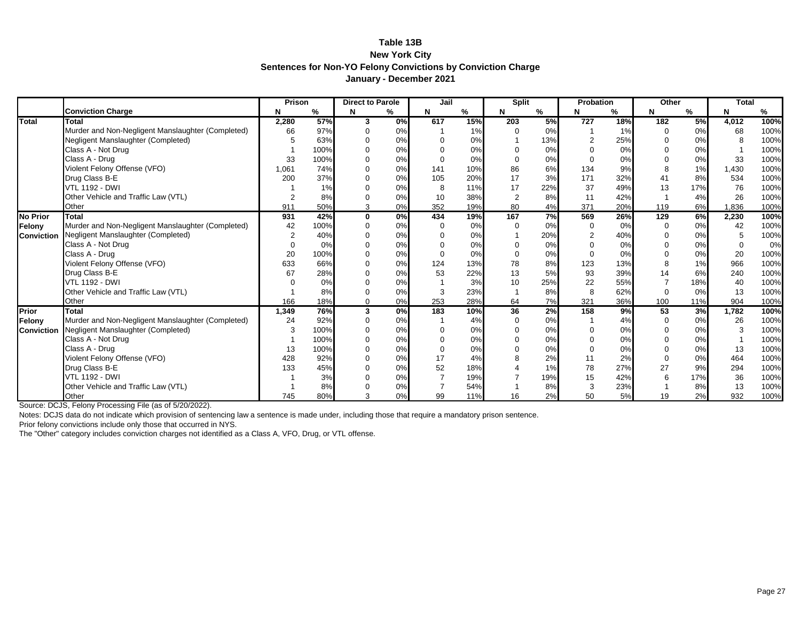#### **Table 13B New York City Sentences for Non-YO Felony Convictions by Conviction Charge January - December 2021**

|                   |                                                   | Prison         |      | <b>Direct to Parole</b> |                           | Jail |     | <b>Split</b>   |     | Probation      |     | Other |     | <b>Total</b> |      |
|-------------------|---------------------------------------------------|----------------|------|-------------------------|---------------------------|------|-----|----------------|-----|----------------|-----|-------|-----|--------------|------|
|                   | <b>Conviction Charge</b>                          | N              | %    |                         | %                         | N    | %   | N              | %   | N              | ℅   | N     | %   | N            | %    |
| Total             | <b>Total</b>                                      | 2,280          | 57%  | 3                       | 0%                        | 617  | 15% | 203            | 5%  | 727            | 18% | 182   | 5%  | 4,012        | 100% |
|                   | Murder and Non-Negligent Manslaughter (Completed) | 66             | 97%  |                         | 0%                        |      | 1%  |                | 0%  |                | 1%  |       | 0%  | 68           | 100% |
|                   | Negligent Manslaughter (Completed)                | 5              | 63%  |                         | 0%                        |      | 0%  |                | 13% | $\overline{2}$ | 25% |       | 0%  |              | 100% |
|                   | Class A - Not Drug                                |                | 100% |                         | 0%                        |      | 0%  |                | 0%  |                | 0%  |       | 0%  |              | 100% |
|                   | Class A - Drug                                    | 33             | 100% |                         | 0%                        |      | 0%  | ∩              | 0%  | $\Omega$       | 0%  |       | 0%  | 33           | 100% |
|                   | Violent Felony Offense (VFO)                      | 1,061          | 74%  |                         | 0%                        | 141  | 10% | 86             | 6%  | 134            | 9%  |       | 1%  | 1,430        | 100% |
|                   | Drug Class B-E                                    | 200            | 37%  |                         | 0%                        | 105  | 20% | 17             | 3%  | 171            | 32% | 41    | 8%  | 534          | 100% |
|                   | <b>VTL 1192 - DWI</b>                             |                | 1%   |                         | 0%                        |      | 11% | 17             | 22% | 37             | 49% | 13    | 17% | 76           | 100% |
|                   | Other Vehicle and Traffic Law (VTL)               | $\overline{2}$ | 8%   |                         | 0%                        | 10   | 38% | $\overline{2}$ | 8%  | 11             | 42% |       | 4%  | 26           | 100% |
|                   | Other                                             | 911            | 50%  |                         | 0%                        | 352  | 19% | 80             | 4%  | 371            | 20% | 119   | 6%  | 836.         | 100% |
| <b>No Prior</b>   | <b>Total</b>                                      | 931            | 42%  | $\mathbf 0$             | $\overline{\mathbf{0\%}}$ | 434  | 19% | 167            | 7%  | 569            | 26% | 129   | 6%  | 2,230        | 100% |
| Felony            | Murder and Non-Negligent Manslaughter (Completed) | 42             | 100% | $\Omega$                | 0%                        |      | 0%  |                | 0%  | 0              | 0%  |       | 0%  | 42           | 100% |
| <b>Conviction</b> | Negligent Manslaughter (Completed)                | $\overline{2}$ | 40%  |                         | 0%                        |      | 0%  |                | 20% | $\overline{2}$ | 40% |       | 0%  | 5            | 100% |
|                   | Class A - Not Drug                                | $\Omega$       | 0%   |                         | 0%                        |      | 0%  |                | 0%  |                | 0%  |       | 0%  | $\Omega$     | 0%   |
|                   | Class A - Drug                                    | 20             | 100% |                         | 0%                        |      | 0%  |                | 0%  | $\Omega$       | 0%  |       | 0%  | 20           | 100% |
|                   | Violent Felony Offense (VFO)                      | 633            | 66%  |                         | 0%                        | 124  | 13% | 78             | 8%  | 123            | 13% |       | 1%  | 966          | 100% |
|                   | Drug Class B-E                                    | 67             | 28%  |                         | 0%                        | 53   | 22% | 13             | 5%  | 93             | 39% |       | 6%  | 240          | 100% |
|                   | <b>VTL 1192 - DWI</b>                             |                | 0%   |                         | 0%                        |      | 3%  | 10             | 25% | 22             | 55% |       | 18% | 40           | 100% |
|                   | Other Vehicle and Traffic Law (VTL)               |                | 8%   |                         | 0%                        |      | 23% |                | 8%  | 8              | 62% |       | 0%  | 13           | 100% |
|                   | Other                                             | 166            | 18%  | $\Omega$                | 0%                        | 253  | 28% | 64             | 7%  | 321            | 36% | 100   | 11% | 904          | 100% |
| Prior             | <b>Total</b>                                      | 1,349          | 76%  | 3                       | 0%                        | 183  | 10% | 36             | 2%  | 158            | 9%  | 53    | 3%  | 1,782        | 100% |
| Felony            | Murder and Non-Negligent Manslaughter (Completed) | 24             | 92%  | $\mathbf 0$             | 0%                        |      | 4%  |                | 0%  |                | 4%  |       | 0%  | 26           | 100% |
| Conviction        | Negligent Manslaughter (Completed)                | 3              | 100% |                         | 0%                        |      | 0%  |                | 0%  | $\Omega$       | 0%  |       | 0%  | 3            | 100% |
|                   | Class A - Not Drug                                |                | 100% |                         | 0%                        |      | 0%  |                | 0%  |                | 0%  |       | 0%  |              | 100% |
|                   | Class A - Drug                                    | 13             | 100% |                         | 0%                        |      | 0%  |                | 0%  |                | 0%  |       | 0%  | 13           | 100% |
|                   | Violent Felony Offense (VFO)                      | 428            | 92%  |                         | 0%                        | 17   | 4%  |                | 2%  | 11             | 2%  |       | 0%  | 464          | 100% |
|                   | Drug Class B-E                                    | 133            | 45%  |                         | 0%                        | 52   | 18% |                | 1%  | 78             | 27% | 27    | 9%  | 294          | 100% |
|                   | <b>VTL 1192 - DWI</b>                             |                | 3%   |                         | 0%                        |      | 19% |                | 19% | 15             | 42% |       | 17% | 36           | 100% |
|                   | Other Vehicle and Traffic Law (VTL)               |                | 8%   |                         | 0%                        |      | 54% |                | 8%  | 3              | 23% |       | 8%  | 13           | 100% |
|                   | Other                                             | 745            | 80%  |                         | 0%                        | 99   | 11% | 16             | 2%  | 50             | 5%  | 19    | 2%  | 932          | 100% |

Source: DCJS, Felony Processing File (as of 5/20/2022).

Notes: DCJS data do not indicate which provision of sentencing law a sentence is made under, including those that require a mandatory prison sentence.

Prior felony convictions include only those that occurred in NYS.

The "Other" category includes conviction charges not identified as a Class A, VFO, Drug, or VTL offense.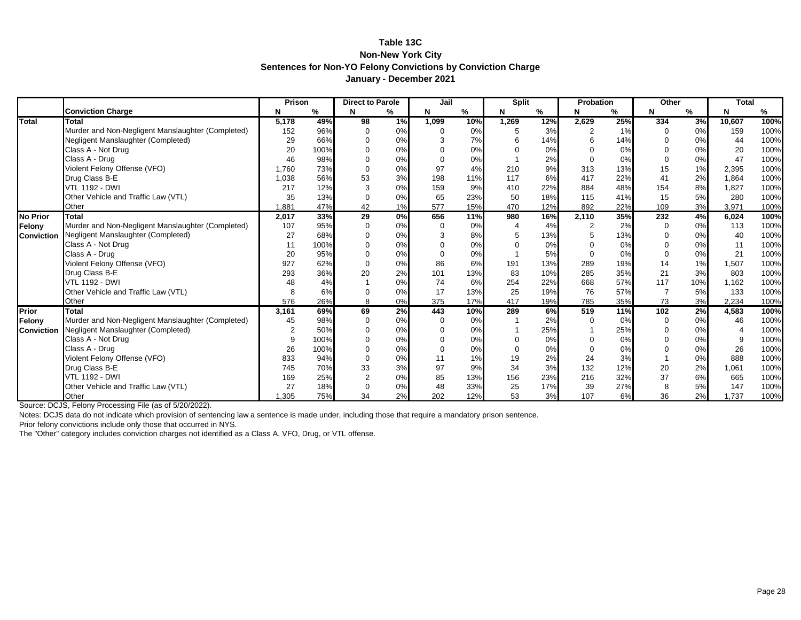#### **Table 13C Non-New York City Sentences for Non-YO Felony Convictions by Conviction Charge January - December 2021**

|                   |                                                   | Prison         |      | <b>Direct to Parole</b> |       | Jail     |     | <b>Split</b> |     | Probation |     | Other    |     | <b>Total</b> |      |
|-------------------|---------------------------------------------------|----------------|------|-------------------------|-------|----------|-----|--------------|-----|-----------|-----|----------|-----|--------------|------|
|                   | <b>Conviction Charge</b>                          | N              | %    |                         | %     | N        | %   | N            | %   |           | %   | N        | %   | N            | %    |
| <b>Total</b>      | Total                                             | 5,178          | 49%  | 98                      | 1%    | 1,099    | 10% | 1,269        | 12% | 2,629     | 25% | 334      | 3%  | 10,607       | 100% |
|                   | Murder and Non-Negligent Manslaughter (Completed) | 152            | 96%  | $\Omega$                | 0%    |          | 0%  | 5            | 3%  |           | 1%  | $\Omega$ | 0%  | 159          | 100% |
|                   | Negligent Manslaughter (Completed)                | 29             | 66%  |                         | 0%    |          | 7%  | 6            | 14% |           | 14% |          | 0%  | 44           | 100% |
|                   | Class A - Not Drug                                | 20             | 100% |                         | 0%    |          | 0%  |              | 0%  |           | 0%  |          | 0%  | 20           | 100% |
|                   | Class A - Drug                                    | 46             | 98%  |                         | 0%    |          | 0%  |              | 2%  | $\Omega$  | 0%  |          | 0%  | 47           | 100% |
|                   | Violent Felony Offense (VFO)                      | 1,760          | 73%  |                         | 0%    | 97       | 4%  | 210          | 9%  | 313       | 13% | 15       | 1%  | 2,395        | 100% |
|                   | Drug Class B-E                                    | 1,038          | 56%  | 53                      | 3%    | 198      | 11% | 117          | 6%  | 417       | 22% | 41       | 2%  | 1,864        | 100% |
|                   | <b>VTL 1192 - DWI</b>                             | 217            | 12%  |                         | 0%    | 159      | 9%  | 410          | 22% | 884       | 48% | 154      | 8%  | 1,827        | 100% |
|                   | Other Vehicle and Traffic Law (VTL)               | 35             | 13%  |                         | 0%    | 65       | 23% | 50           | 18% | 115       | 41% | 15       | 5%  | 280          | 100% |
|                   | Other                                             | 1.881          | 47%  | 42                      | 1%    | 577      | 15% | 470          | 12% | 892       | 22% | 109      | 3%  | 3,971        | 100% |
| <b>No Prior</b>   | Total                                             | 2,017          | 33%  | 29                      | $0\%$ | 656      | 11% | 980          | 16% | 2,110     | 35% | 232      | 4%  | 6,024        | 100% |
| Felony            | Murder and Non-Negligent Manslaughter (Completed) | 107            | 95%  | 0                       | 0%    | $\Omega$ | 0%  |              | 4%  | 2         | 2%  | 0        | 0%  | 113          | 100% |
| <b>Conviction</b> | Negligent Manslaughter (Completed)                | 27             | 68%  |                         | 0%    | 3        | 8%  | 5            | 13% | 5         | 13% |          | 0%  | 40           | 100% |
|                   | Class A - Not Drug                                | 11             | 100% |                         | 0%    |          | 0%  | $\Omega$     | 0%  |           | 0%  |          | 0%  | 11           | 100% |
|                   | Class A - Drug                                    | 20             | 95%  |                         | 0%    |          | 0%  |              | 5%  | $\Omega$  | 0%  |          | 0%  | 21           | 100% |
|                   | Violent Felony Offense (VFO)                      | 927            | 62%  |                         | 0%    | 86       | 6%  | 191          | 13% | 289       | 19% | 14       | 1%  | 1,507        | 100% |
|                   | Drug Class B-E                                    | 293            | 36%  | 20                      | 2%    | 101      | 13% | 83           | 10% | 285       | 35% | 21       | 3%  | 803          | 100% |
|                   | <b>VTL 1192 - DWI</b>                             | 48             | 4%   |                         | 0%    | 74       | 6%  | 254          | 22% | 668       | 57% | 117      | 10% | 1,162        | 100% |
|                   | Other Vehicle and Traffic Law (VTL)               | 8              | 6%   |                         | 0%    | 17       | 13% | 25           | 19% | 76        | 57% |          | 5%  | 133          | 100% |
|                   | Other                                             | 576            | 26%  | 8                       | 0%    | 375      | 17% | 417          | 19% | 785       | 35% | 73       | 3%  | 2,234        | 100% |
| Prior             | Total                                             | 3,161          | 69%  | 69                      | 2%    | 443      | 10% | 289          | 6%  | 519       | 11% | 102      | 2%  | 4,583        | 100% |
| Felony            | Murder and Non-Negligent Manslaughter (Completed) | 45             | 98%  |                         | 0%    | 0        | 0%  |              | 2%  |           | 0%  | 0        | 0%  | 46           | 100% |
| <b>Conviction</b> | Negligent Manslaughter (Completed)                | $\overline{2}$ | 50%  |                         | 0%    |          | 0%  |              | 25% |           | 25% | $\Omega$ | 0%  |              | 100% |
|                   | Class A - Not Drug                                | 9              | 100% |                         | 0%    |          | 0%  | $\Omega$     | 0%  |           | 0%  |          | 0%  |              | 100% |
|                   | Class A - Drug                                    | 26             | 100% |                         | 0%    |          | 0%  | 0            | 0%  |           | 0%  |          | 0%  | 26           | 100% |
|                   | Violent Felony Offense (VFO)                      | 833            | 94%  | $\Omega$                | 0%    |          | 1%  | 19           | 2%  | 24        | 3%  |          | 0%  | 888          | 100% |
|                   | Drug Class B-E                                    | 745            | 70%  | 33                      | 3%    | 97       | 9%  | 34           | 3%  | 132       | 12% | 20       | 2%  | 1,061        | 100% |
|                   | <b>VTL 1192 - DWI</b>                             | 169            | 25%  | $\overline{2}$          | 0%    | 85       | 13% | 156          | 23% | 216       | 32% | 37       | 6%  | 665          | 100% |
|                   | Other Vehicle and Traffic Law (VTL)               | 27             | 18%  |                         | 0%    | 48       | 33% | 25           | 17% | 39        | 27% | 8        | 5%  | 147          | 100% |
|                   | Other                                             | .305           | 75%  | 34                      | 2%    | 202      | 12% | 53           | 3%  | 107       | 6%  | 36       | 2%  | 1,737        | 100% |

Source: DCJS, Felony Processing File (as of 5/20/2022).

Notes: DCJS data do not indicate which provision of sentencing law a sentence is made under, including those that require a mandatory prison sentence.

Prior felony convictions include only those that occurred in NYS.

The "Other" category includes conviction charges not identified as a Class A, VFO, Drug, or VTL offense.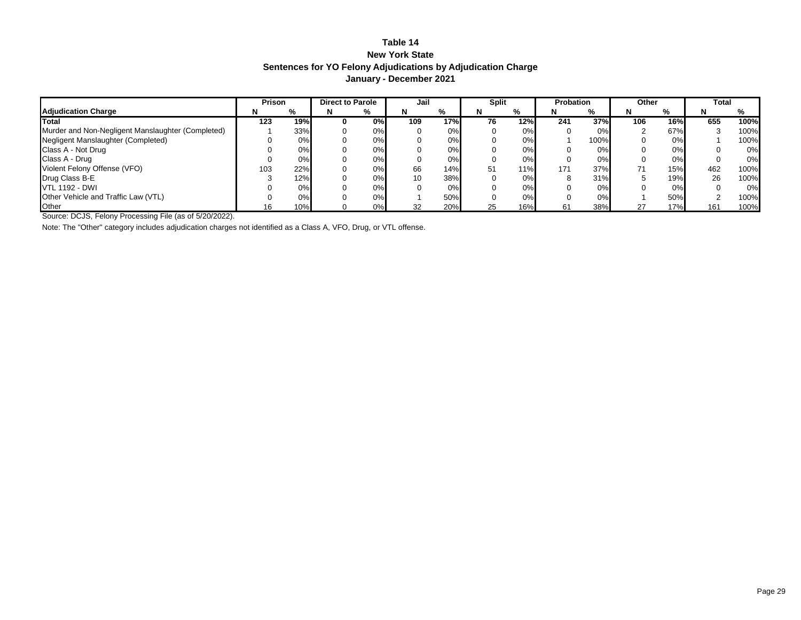#### **Table 14 New York State Sentences for YO Felony Adjudications by Adjudication Charge January - December 2021**

|                                                   | Prison |     | <b>Direct to Parole</b> |    | Jail |       | <b>Split</b> |     | <b>Probation</b> |       | Other |     | Total |       |
|---------------------------------------------------|--------|-----|-------------------------|----|------|-------|--------------|-----|------------------|-------|-------|-----|-------|-------|
| <b>Adjudication Charge</b>                        | N      | %   | N                       | %  | N    | %     |              | %   |                  | %     | N     | %   |       |       |
| Total                                             | 123    | 19% |                         | 0% | 109  | 17%   | 76           | 12% | 241              | 37%   | 106   | 16% | 655   | 100%  |
| Murder and Non-Negligent Manslaughter (Completed) |        | 33% |                         | 0% |      | 0%    |              | 0%  |                  | $0\%$ |       | 67% | 3     | 100%  |
| Negligent Manslaughter (Completed)                |        | 0%  |                         | 0% |      | 0%    |              | 0%  |                  | 100%  |       | 0%  |       | 100%  |
| Class A - Not Drug                                |        | 0%  |                         | 0% |      | $0\%$ |              | 0%  |                  | 0%    |       | 0%  |       | $0\%$ |
| Class A - Drug                                    |        | 0%  |                         | 0% |      | 0%    |              | 0%  |                  | 0%    |       | 0%  |       | $0\%$ |
| Violent Felony Offense (VFO)                      | 103    | 22% |                         | 0% | 66   | 14%   | 51           | 11% | 171              | 37%   | 71    | 15% | 462   | 100%  |
| Drug Class B-E                                    |        | 12% |                         | 0% |      | 38%   |              | 0%  |                  | 31%   |       | 19% | 26    | 100%  |
| <b>VTL 1192 - DWI</b>                             |        | 0%  |                         | 0% |      | 0%    |              | 0%  |                  | 0%    |       | 0%  |       | 0%    |
| Other Vehicle and Traffic Law (VTL)               |        | 0%  |                         | 0% |      | 50%   |              | 0%  |                  | 0%    |       | 50% | ◠     | 100%  |
| Other                                             |        | 10% |                         | 0% | 32   | 20%   | 25           | 16% | 61               | 38%   | 27    | 17% | 161   | 100%  |

Source: DCJS, Felony Processing File (as of 5/20/2022).

Note: The "Other" category includes adjudication charges not identified as a Class A, VFO, Drug, or VTL offense.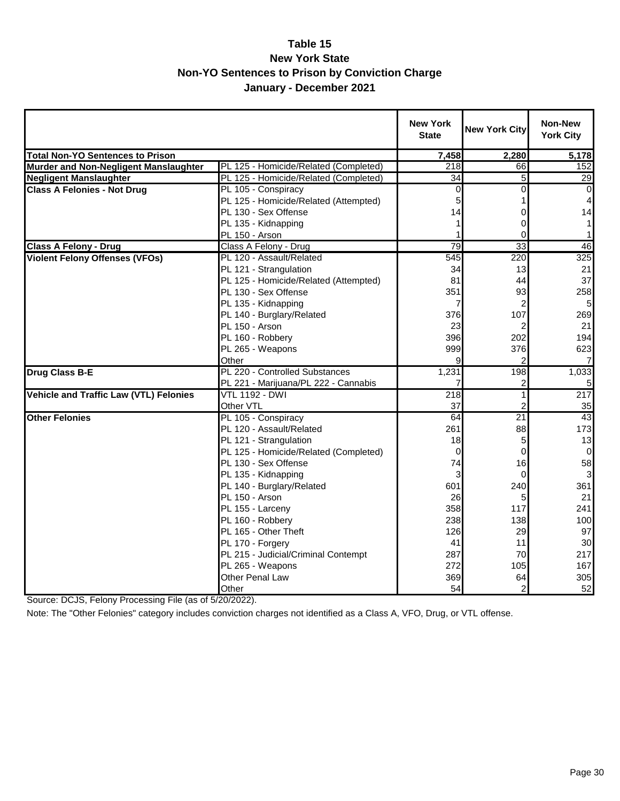#### **Table 15 New York State Non-YO Sentences to Prison by Conviction Charge January - December 2021**

|                                               |                                       | <b>New York</b><br><b>State</b> | <b>New York City</b>    | <b>Non-New</b><br><b>York City</b> |
|-----------------------------------------------|---------------------------------------|---------------------------------|-------------------------|------------------------------------|
| <b>Total Non-YO Sentences to Prison</b>       |                                       | 7,458                           | 2,280                   | 5,178                              |
| Murder and Non-Negligent Manslaughter         | PL 125 - Homicide/Related (Completed) | 218                             | 66                      | 152                                |
| <b>Negligent Manslaughter</b>                 | PL 125 - Homicide/Related (Completed) | $\overline{34}$                 | 5                       | 29                                 |
| <b>Class A Felonies - Not Drug</b>            | PL 105 - Conspiracy                   | 0                               | 0                       | $\overline{0}$                     |
|                                               | PL 125 - Homicide/Related (Attempted) | 5                               |                         | $\overline{4}$                     |
|                                               | PL 130 - Sex Offense                  | 14                              | 0                       | 14                                 |
|                                               | PL 135 - Kidnapping                   |                                 | 0                       | 1 <sup>1</sup>                     |
|                                               | PL 150 - Arson                        |                                 | 0                       | 1 <sup>1</sup>                     |
| <b>Class A Felony - Drug</b>                  | Class A Felony - Drug                 | 79                              | 33                      | 46                                 |
| <b>Violent Felony Offenses (VFOs)</b>         | PL 120 - Assault/Related              | 545                             | 220                     | 325                                |
|                                               | PL 121 - Strangulation                | 34                              | 13                      | 21                                 |
|                                               | PL 125 - Homicide/Related (Attempted) | 81                              | 44                      | 37                                 |
|                                               | PL 130 - Sex Offense                  | 351                             | 93                      | 258                                |
|                                               | PL 135 - Kidnapping                   | 7                               | $\overline{\mathbf{c}}$ | 5 <sub>l</sub>                     |
|                                               | PL 140 - Burglary/Related             | 376                             | 107                     | 269                                |
|                                               | PL 150 - Arson                        | 23                              |                         | 21                                 |
|                                               | PL 160 - Robbery                      | 396                             | 202                     | 194                                |
|                                               | PL 265 - Weapons                      | 999                             | 376                     | 623                                |
|                                               | Other                                 | 9                               |                         | $\overline{7}$                     |
| Drug Class B-E                                | PL 220 - Controlled Substances        | 1,231                           | 198                     | 1,033                              |
|                                               | PL 221 - Marijuana/PL 222 - Cannabis  |                                 | 2                       | 51                                 |
| <b>Vehicle and Traffic Law (VTL) Felonies</b> | <b>VTL 1192 - DWI</b>                 | 218                             | 1                       | 217                                |
|                                               | Other VTL                             | 37                              | 2                       | 35                                 |
| <b>Other Felonies</b>                         | PL 105 - Conspiracy                   | 64                              | $\overline{21}$         | 43                                 |
|                                               | PL 120 - Assault/Related              | 261                             | 88                      | 173                                |
|                                               | PL 121 - Strangulation                | 18                              | 5                       | 13                                 |
|                                               | PL 125 - Homicide/Related (Completed) | 0                               | 0                       | $\mathbf 0$                        |
|                                               | PL 130 - Sex Offense                  | 74                              | 16                      | 58                                 |
|                                               | PL 135 - Kidnapping                   | 3                               | 0                       | $\overline{3}$                     |
|                                               | PL 140 - Burglary/Related             | 601                             | 240                     | 361                                |
|                                               | PL 150 - Arson                        | 26                              | 5                       | 21                                 |
|                                               | PL 155 - Larceny                      | 358                             | 117                     | 241                                |
|                                               | PL 160 - Robbery                      | 238                             | 138                     | 100                                |
|                                               | PL 165 - Other Theft                  | 126                             | 29                      | 97                                 |
|                                               | PL 170 - Forgery                      | 41                              | 11                      | 30                                 |
|                                               | PL 215 - Judicial/Criminal Contempt   | 287                             | 70                      | 217                                |
|                                               | PL 265 - Weapons                      | 272                             | 105                     | 167                                |
|                                               | Other Penal Law                       | 369                             | 64                      | 305                                |
|                                               | Other                                 | 54                              | $\overline{c}$          | 52                                 |

Source: DCJS, Felony Processing File (as of 5/20/2022).

Note: The "Other Felonies" category includes conviction charges not identified as a Class A, VFO, Drug, or VTL offense.